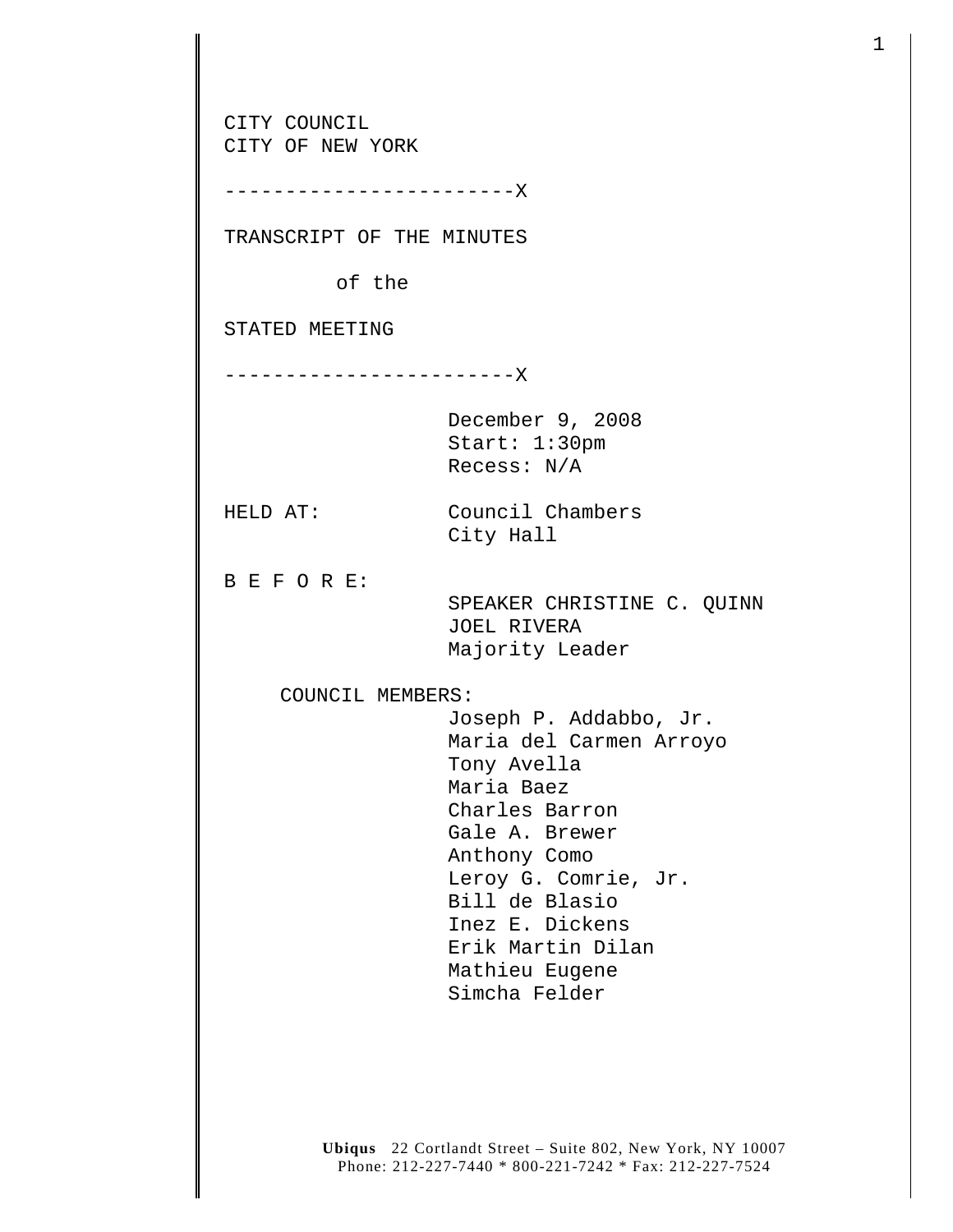| CITY OF NEW YORK<br>---------------------X |                                                                                                                                                                                                                                                         |
|--------------------------------------------|---------------------------------------------------------------------------------------------------------------------------------------------------------------------------------------------------------------------------------------------------------|
| TRANSCRIPT OF THE MINUTES                  |                                                                                                                                                                                                                                                         |
| of the                                     |                                                                                                                                                                                                                                                         |
| STATED MEETING                             |                                                                                                                                                                                                                                                         |
| ---------------------X                     |                                                                                                                                                                                                                                                         |
|                                            | December 9, 2008<br>Start: 1:30pm<br>Recess: $N/A$                                                                                                                                                                                                      |
| HELD AT:                                   | Council Chambers<br>City Hall                                                                                                                                                                                                                           |
| BEFORE:                                    | SPEAKER CHRISTINE C. QUINN<br><b>JOEL RIVERA</b><br>Majority Leader                                                                                                                                                                                     |
| COUNCIL MEMBERS:                           |                                                                                                                                                                                                                                                         |
|                                            | Joseph P. Addabbo, Jr.<br>Maria del Carmen Arroyo<br>Tony Avella<br>Maria Baez<br>Charles Barron<br>Gale A. Brewer<br>Anthony Como<br>Leroy G. Comrie, Jr.<br>Bill de Blasio<br>Inez E. Dickens<br>Erik Martin Dilan<br>Mathieu Eugene<br>Simcha Felder |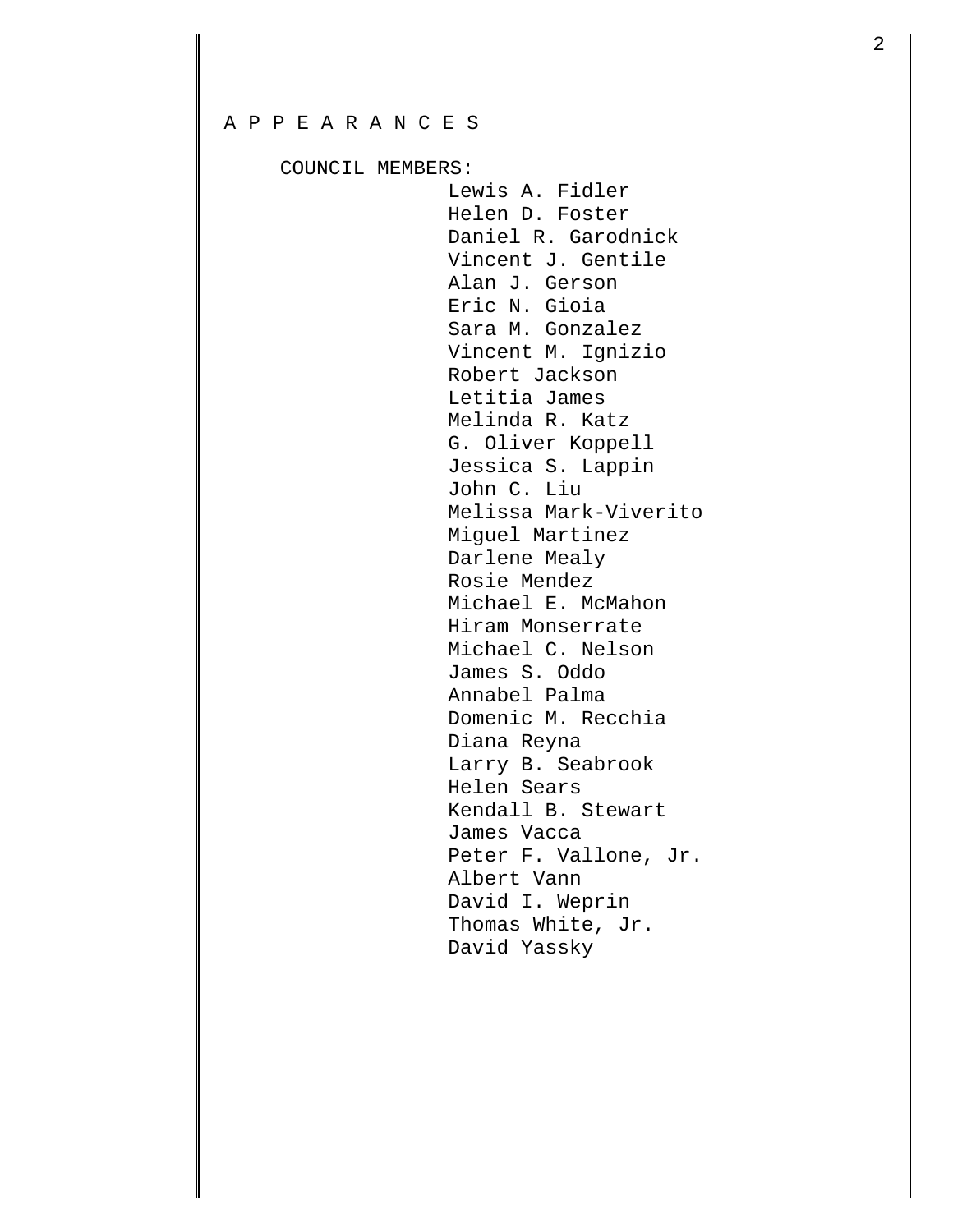## A P P E A R A N C E S

COUNCIL MEMBERS:

 Lewis A. Fidler Helen D. Foster Daniel R. Garodnick Vincent J. Gentile Alan J. Gerson Eric N. Gioia Sara M. Gonzalez Vincent M. Ignizio Robert Jackson Letitia James Melinda R. Katz G. Oliver Koppell Jessica S. Lappin John C. Liu Melissa Mark-Viverito Miguel Martinez Darlene Mealy Rosie Mendez Michael E. McMahon Hiram Monserrate Michael C. Nelson James S. Oddo Annabel Palma Domenic M. Recchia Diana Reyna Larry B. Seabrook Helen Sears Kendall B. Stewart James Vacca Peter F. Vallone, Jr. Albert Vann David I. Weprin Thomas White, Jr. David Yassky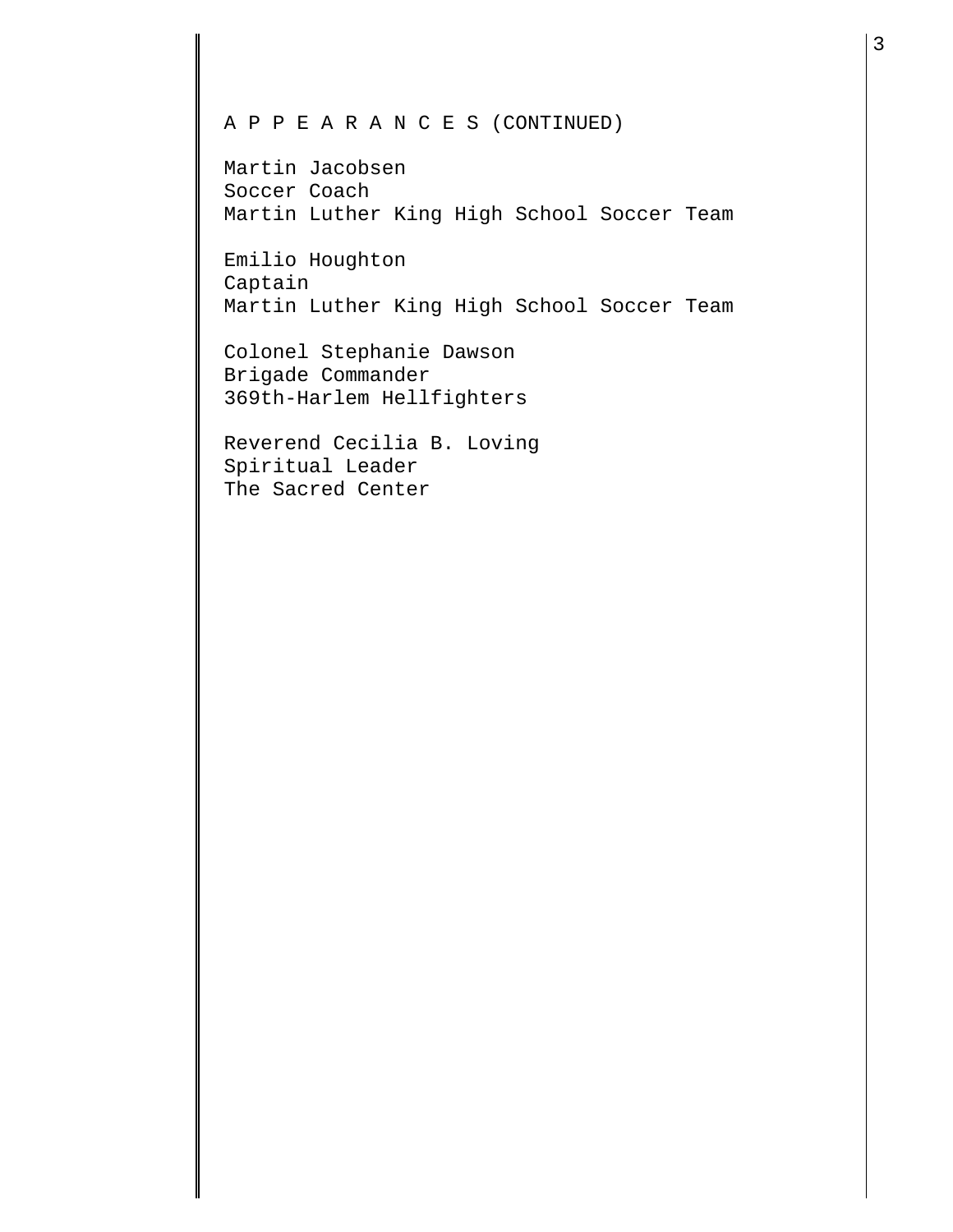## A P P E A R A N C E S (CONTINUED)

Martin Jacobsen Soccer Coach Martin Luther King High School Soccer Team

Emilio Houghton Captain Martin Luther King High School Soccer Team

Colonel Stephanie Dawson Brigade Commander 369th-Harlem Hellfighters

Reverend Cecilia B. Loving Spiritual Leader The Sacred Center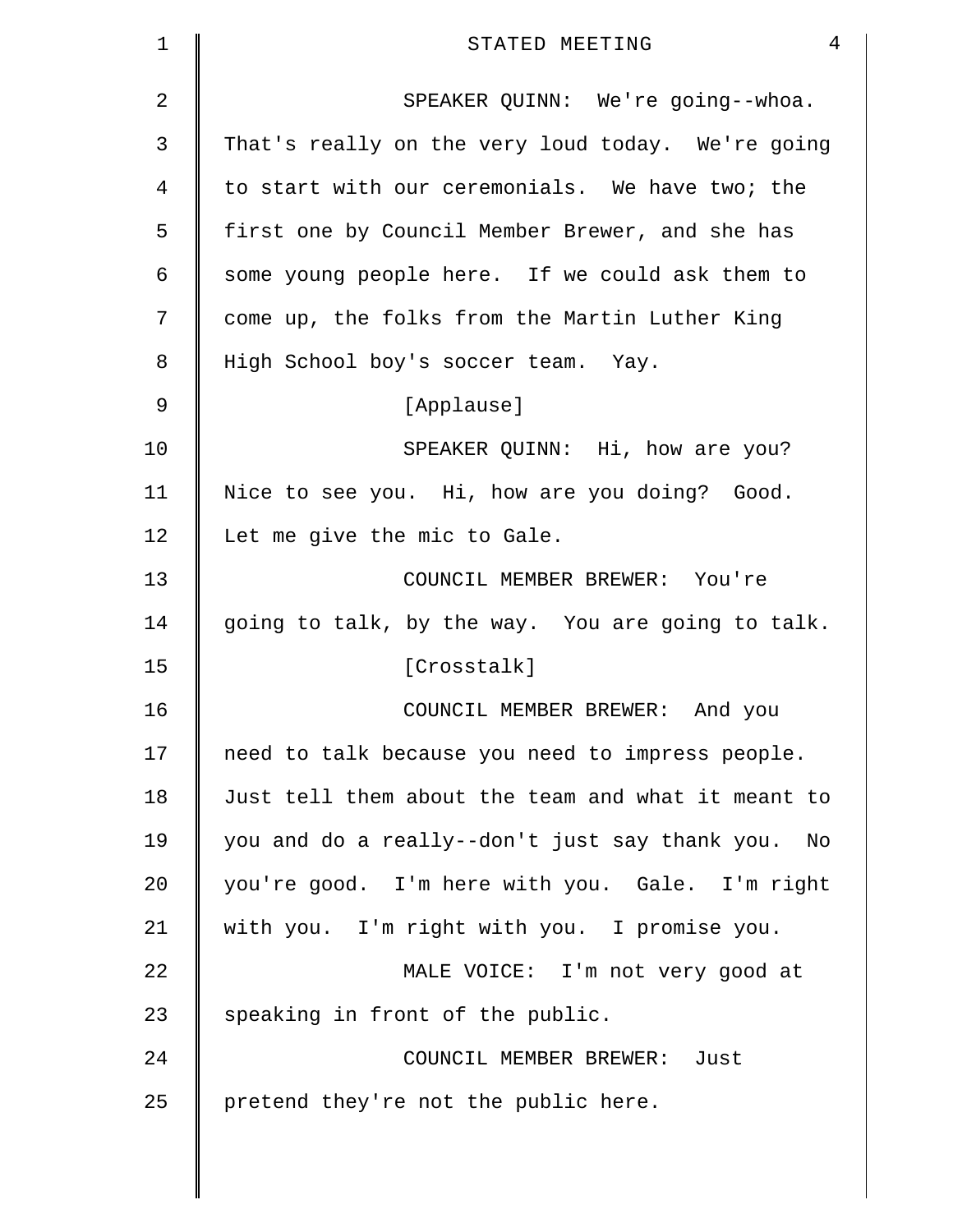| $\mathbf 1$ | $\overline{4}$<br>STATED MEETING                   |
|-------------|----------------------------------------------------|
| 2           | SPEAKER QUINN: We're going--whoa.                  |
| 3           | That's really on the very loud today. We're going  |
| 4           | to start with our ceremonials. We have two; the    |
| 5           | first one by Council Member Brewer, and she has    |
| 6           | some young people here. If we could ask them to    |
| 7           | come up, the folks from the Martin Luther King     |
| 8           | High School boy's soccer team. Yay.                |
| 9           | [Applause]                                         |
| 10          | SPEAKER QUINN: Hi, how are you?                    |
| 11          | Nice to see you. Hi, how are you doing? Good.      |
| 12          | Let me give the mic to Gale.                       |
| 13          | COUNCIL MEMBER BREWER: You're                      |
| 14          | going to talk, by the way. You are going to talk.  |
| 15          | [Crosstalk]                                        |
| 16          | COUNCIL MEMBER BREWER: And you                     |
| 17          | need to talk because you need to impress people.   |
| 18          | Just tell them about the team and what it meant to |
| 19          | you and do a really--don't just say thank you. No  |
| 20          | you're good. I'm here with you. Gale. I'm right    |
| 21          | with you. I'm right with you. I promise you.       |
| 22          | MALE VOICE: I'm not very good at                   |
| 23          | speaking in front of the public.                   |
| 24          | COUNCIL MEMBER BREWER: Just                        |
| 25          | pretend they're not the public here.               |
|             |                                                    |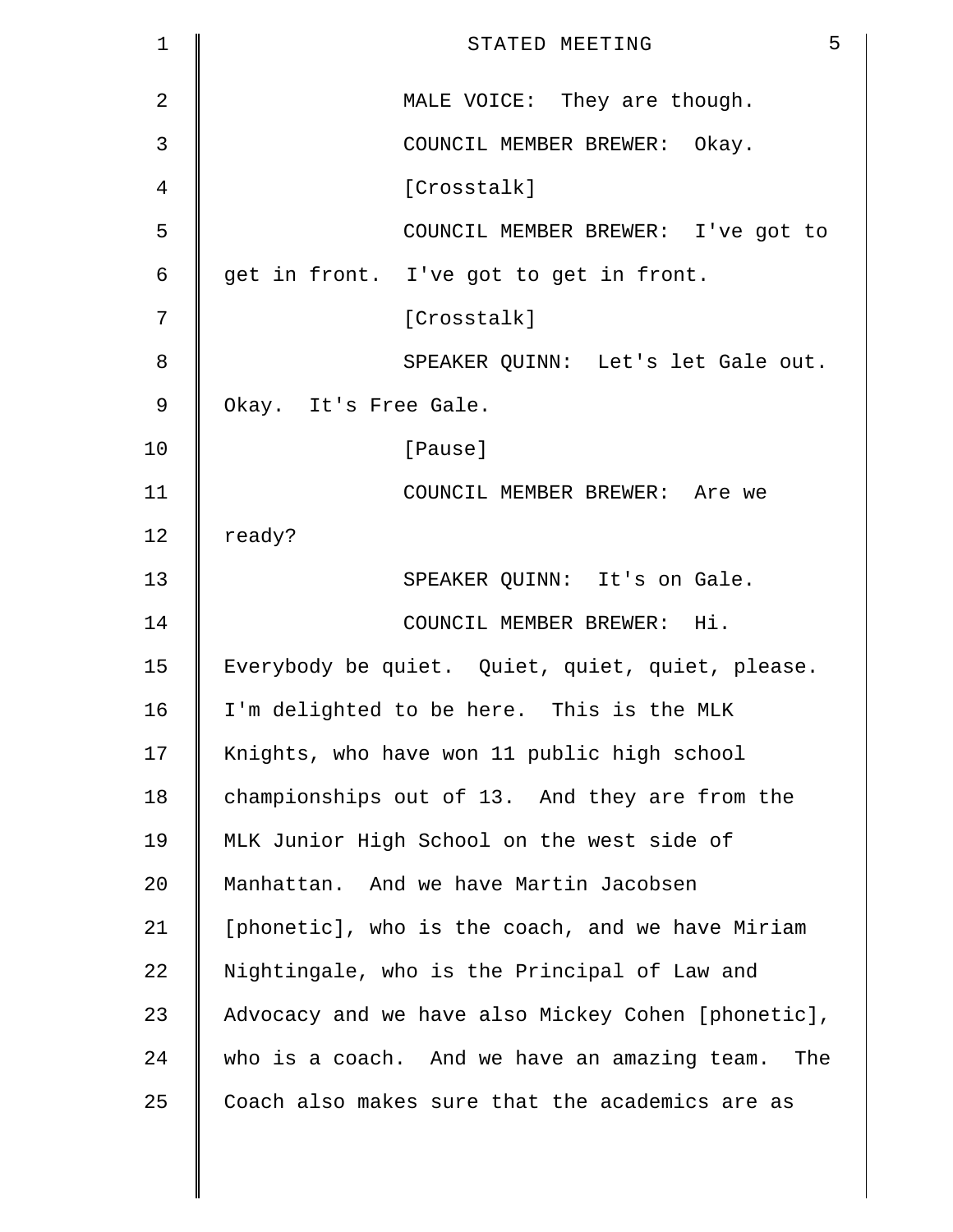| $\mathbf 1$    | 5<br>STATED MEETING                                 |
|----------------|-----------------------------------------------------|
| $\overline{2}$ | MALE VOICE: They are though.                        |
| 3              | COUNCIL MEMBER BREWER: Okay.                        |
| 4              | [Crosstalk]                                         |
| 5              | COUNCIL MEMBER BREWER: I've got to                  |
| 6              | get in front. I've got to get in front.             |
| 7              | [Crosstalk]                                         |
| 8              | SPEAKER QUINN: Let's let Gale out.                  |
| 9              | Okay. It's Free Gale.                               |
| 10             | [Pause]                                             |
| 11             | COUNCIL MEMBER BREWER: Are we                       |
| 12             | ready?                                              |
| 13             | SPEAKER QUINN: It's on Gale.                        |
| 14             | COUNCIL MEMBER BREWER: Hi.                          |
| 15             | Everybody be quiet. Quiet, quiet, quiet, please.    |
| 16             | I'm delighted to be here. This is the MLK           |
| 17             | Knights, who have won 11 public high school         |
| 18             | championships out of 13. And they are from the      |
| 19             | MLK Junior High School on the west side of          |
| 20             | Manhattan. And we have Martin Jacobsen              |
| 21             | [phonetic], who is the coach, and we have Miriam    |
| 22             | Nightingale, who is the Principal of Law and        |
| 23             | Advocacy and we have also Mickey Cohen [phonetic],  |
| 24             | who is a coach. And we have an amazing team.<br>The |
| 25             | Coach also makes sure that the academics are as     |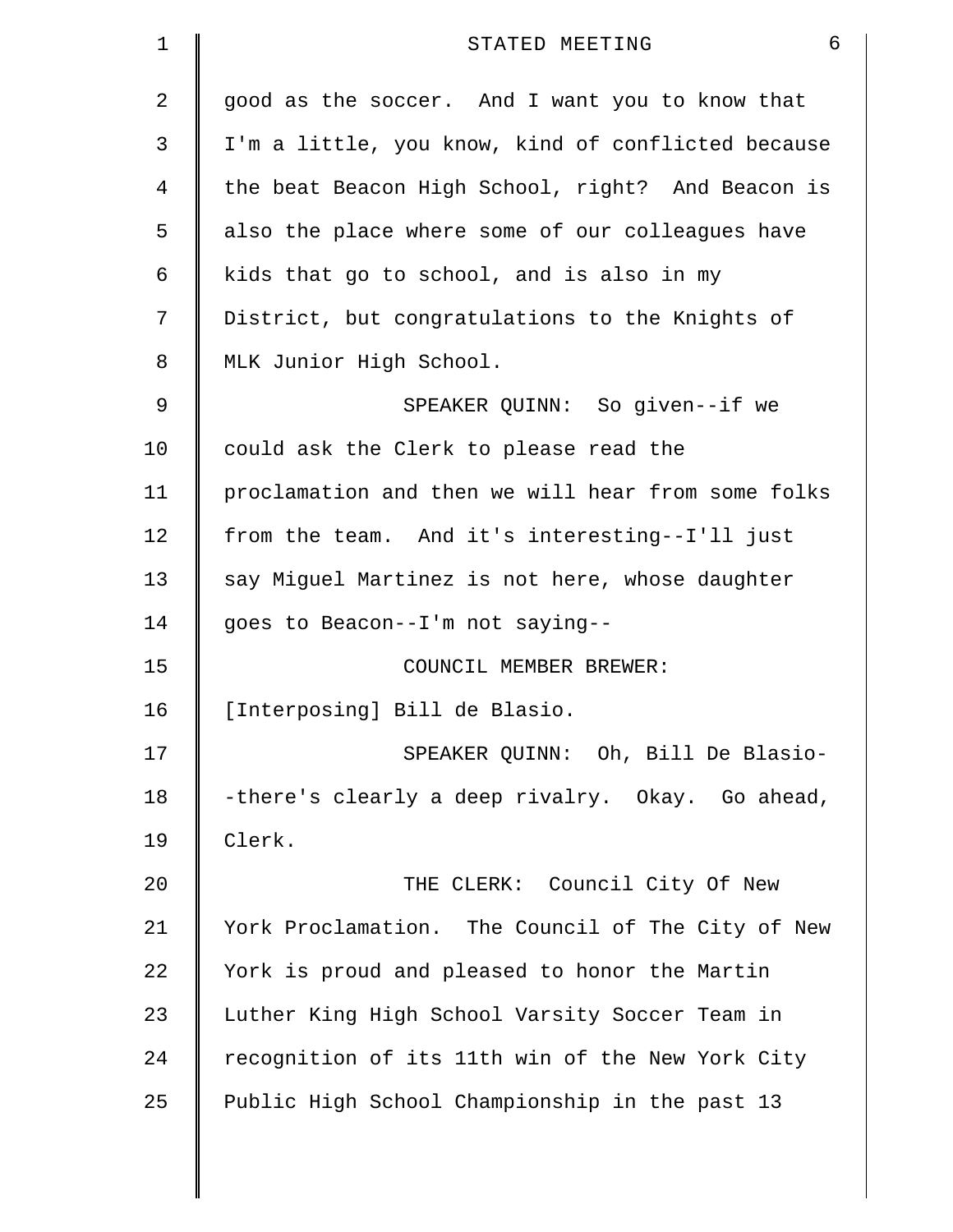| $\mathbf 1$ | 6<br>STATED MEETING                                |
|-------------|----------------------------------------------------|
| 2           | good as the soccer. And I want you to know that    |
| 3           | I'm a little, you know, kind of conflicted because |
| 4           | the beat Beacon High School, right? And Beacon is  |
| 5           | also the place where some of our colleagues have   |
| 6           | kids that go to school, and is also in my          |
| 7           | District, but congratulations to the Knights of    |
| 8           | MLK Junior High School.                            |
| 9           | SPEAKER QUINN: So given--if we                     |
| 10          | could ask the Clerk to please read the             |
| 11          | proclamation and then we will hear from some folks |
| 12          | from the team. And it's interesting--I'll just     |
| 13          | say Miguel Martinez is not here, whose daughter    |
| 14          | goes to Beacon--I'm not saying--                   |
| 15          | COUNCIL MEMBER BREWER:                             |
| 16          | [Interposing] Bill de Blasio.                      |
| 17          | SPEAKER QUINN: Oh, Bill De Blasio-                 |
| 18          | -there's clearly a deep rivalry. Okay. Go ahead,   |
| 19          | Clerk.                                             |
| 20          | THE CLERK: Council City Of New                     |
| 21          | York Proclamation. The Council of The City of New  |
| 22          | York is proud and pleased to honor the Martin      |
| 23          | Luther King High School Varsity Soccer Team in     |
| 24          | recognition of its 11th win of the New York City   |
| 25          | Public High School Championship in the past 13     |
|             |                                                    |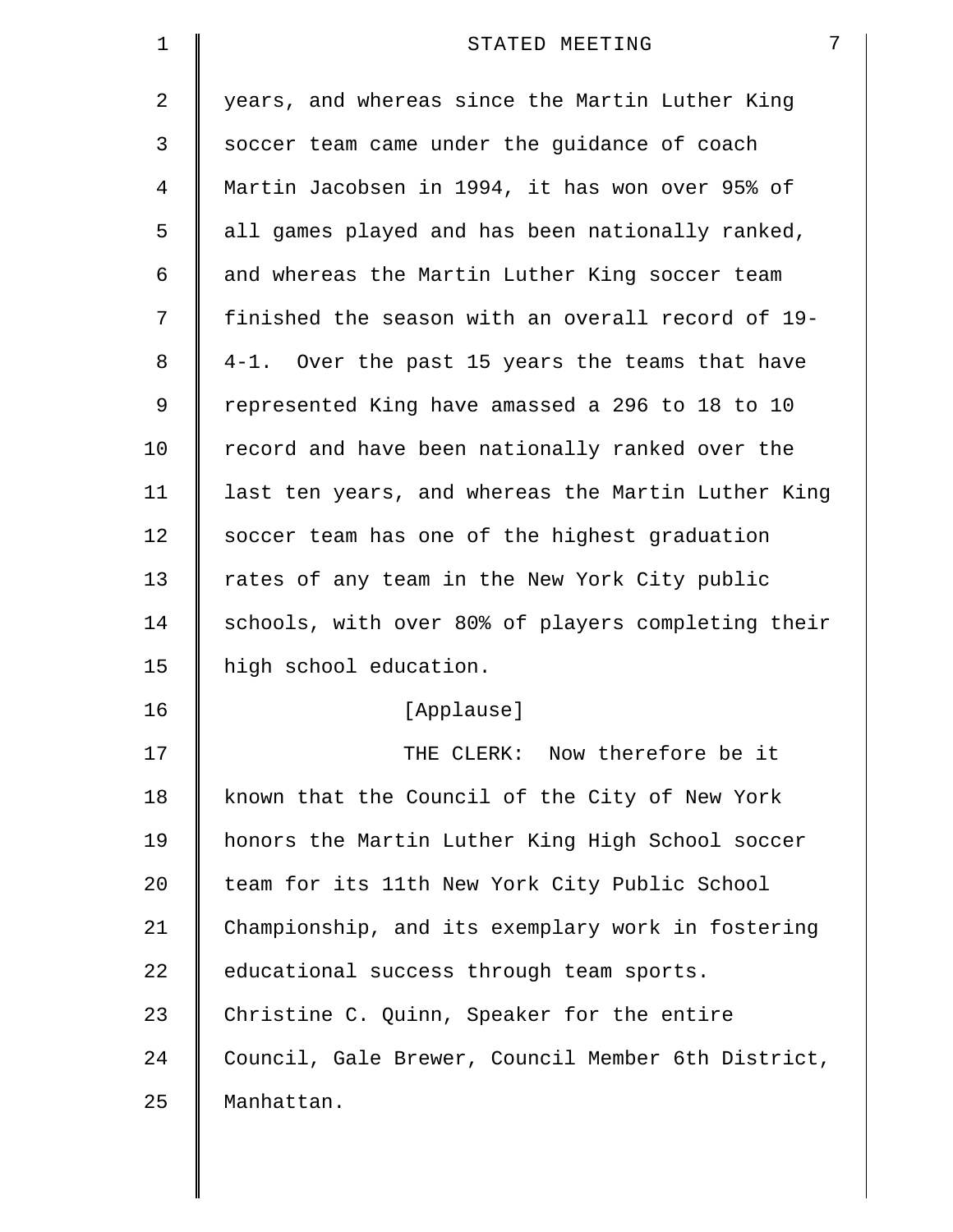| 1  | 7<br>STATED MEETING                                |
|----|----------------------------------------------------|
| 2  | years, and whereas since the Martin Luther King    |
| 3  | soccer team came under the guidance of coach       |
| 4  | Martin Jacobsen in 1994, it has won over 95% of    |
| 5  | all games played and has been nationally ranked,   |
| 6  | and whereas the Martin Luther King soccer team     |
| 7  | finished the season with an overall record of 19-  |
| 8  | 4-1. Over the past 15 years the teams that have    |
| 9  | represented King have amassed a 296 to 18 to 10    |
| 10 | record and have been nationally ranked over the    |
| 11 | last ten years, and whereas the Martin Luther King |
| 12 | soccer team has one of the highest graduation      |
| 13 | rates of any team in the New York City public      |
| 14 | schools, with over 80% of players completing their |
| 15 | high school education.                             |
| 16 | [Applause]                                         |
| 17 | THE CLERK: Now therefore be it                     |
| 18 | known that the Council of the City of New York     |
| 19 | honors the Martin Luther King High School soccer   |
| 20 | team for its 11th New York City Public School      |
| 21 | Championship, and its exemplary work in fostering  |
| 22 | educational success through team sports.           |
| 23 | Christine C. Quinn, Speaker for the entire         |
| 24 | Council, Gale Brewer, Council Member 6th District, |
| 25 | Manhattan.                                         |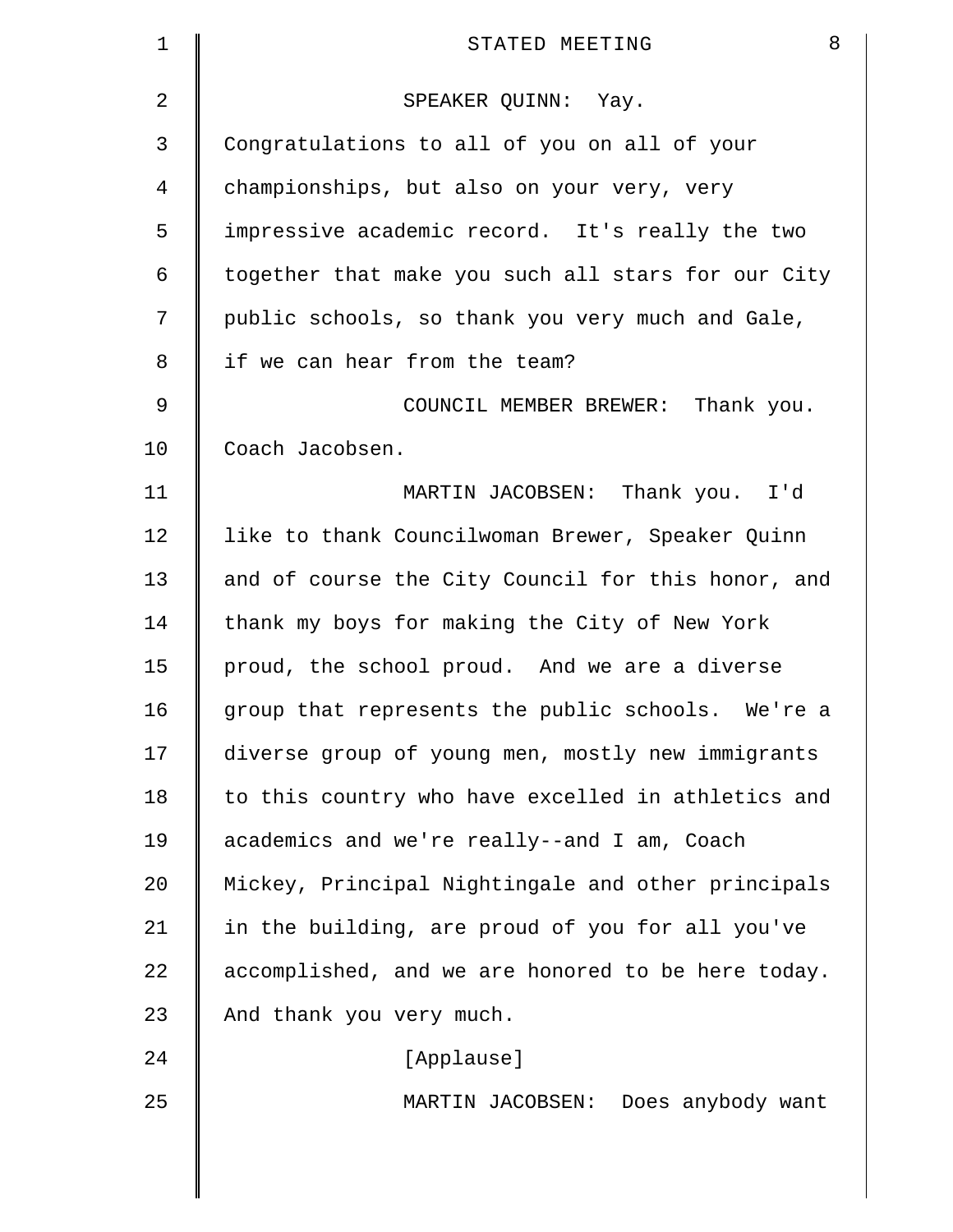| $\mathbf 1$    | 8<br>STATED MEETING                                |
|----------------|----------------------------------------------------|
| $\overline{2}$ | SPEAKER QUINN: Yay.                                |
| 3              | Congratulations to all of you on all of your       |
| 4              | championships, but also on your very, very         |
| 5              | impressive academic record. It's really the two    |
| 6              | together that make you such all stars for our City |
| 7              | public schools, so thank you very much and Gale,   |
| 8              | if we can hear from the team?                      |
| 9              | COUNCIL MEMBER BREWER: Thank you.                  |
| 10             | Coach Jacobsen.                                    |
| 11             | MARTIN JACOBSEN: Thank you. I'd                    |
| 12             | like to thank Councilwoman Brewer, Speaker Quinn   |
| 13             | and of course the City Council for this honor, and |
| 14             | thank my boys for making the City of New York      |
| 15             | proud, the school proud. And we are a diverse      |
| 16             | group that represents the public schools. We're a  |
| 17             | diverse group of young men, mostly new immigrants  |
| 18             | to this country who have excelled in athletics and |
| 19             | academics and we're really--and I am, Coach        |
| 20             | Mickey, Principal Nightingale and other principals |
| 21             | in the building, are proud of you for all you've   |
| 22             | accomplished, and we are honored to be here today. |
| 23             | And thank you very much.                           |
| 24             | [Applause]                                         |
| 25             | MARTIN JACOBSEN: Does anybody want                 |
|                |                                                    |
|                |                                                    |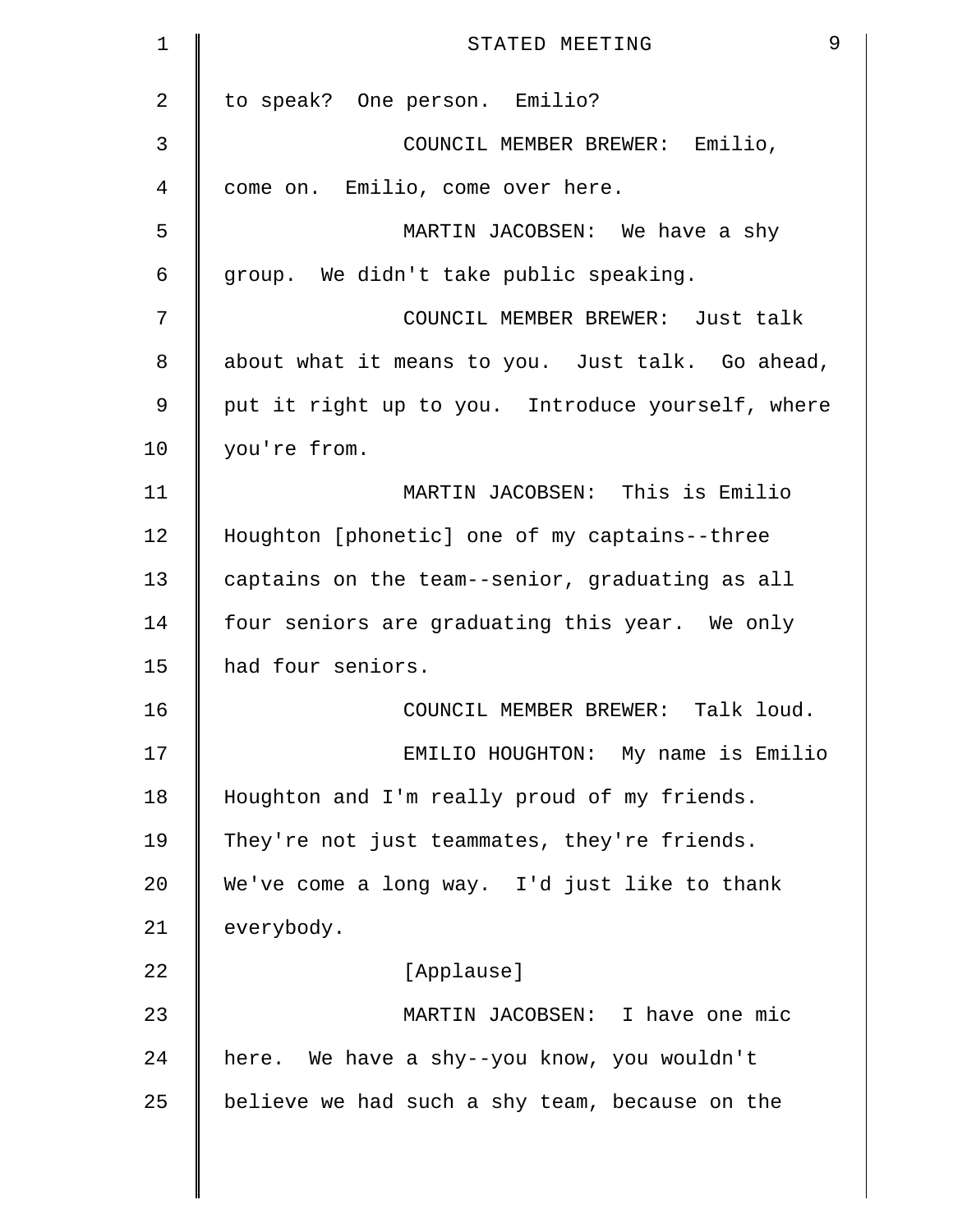| 9<br>STATED MEETING                               |
|---------------------------------------------------|
| to speak? One person. Emilio?                     |
| COUNCIL MEMBER BREWER: Emilio,                    |
| come on. Emilio, come over here.                  |
| MARTIN JACOBSEN: We have a shy                    |
| group. We didn't take public speaking.            |
| COUNCIL MEMBER BREWER: Just talk                  |
| about what it means to you. Just talk. Go ahead,  |
| put it right up to you. Introduce yourself, where |
| you're from.                                      |
| MARTIN JACOBSEN: This is Emilio                   |
| Houghton [phonetic] one of my captains--three     |
| captains on the team--senior, graduating as all   |
| four seniors are graduating this year. We only    |
| had four seniors.                                 |
| COUNCIL MEMBER BREWER: Talk loud.                 |
| EMILIO HOUGHTON: My name is Emilio                |
| Houghton and I'm really proud of my friends.      |
| They're not just teammates, they're friends.      |
| We've come a long way. I'd just like to thank     |
| everybody.                                        |
| [Applause]                                        |
| MARTIN JACOBSEN: I have one mic                   |
| here. We have a shy--you know, you wouldn't       |
| believe we had such a shy team, because on the    |
|                                                   |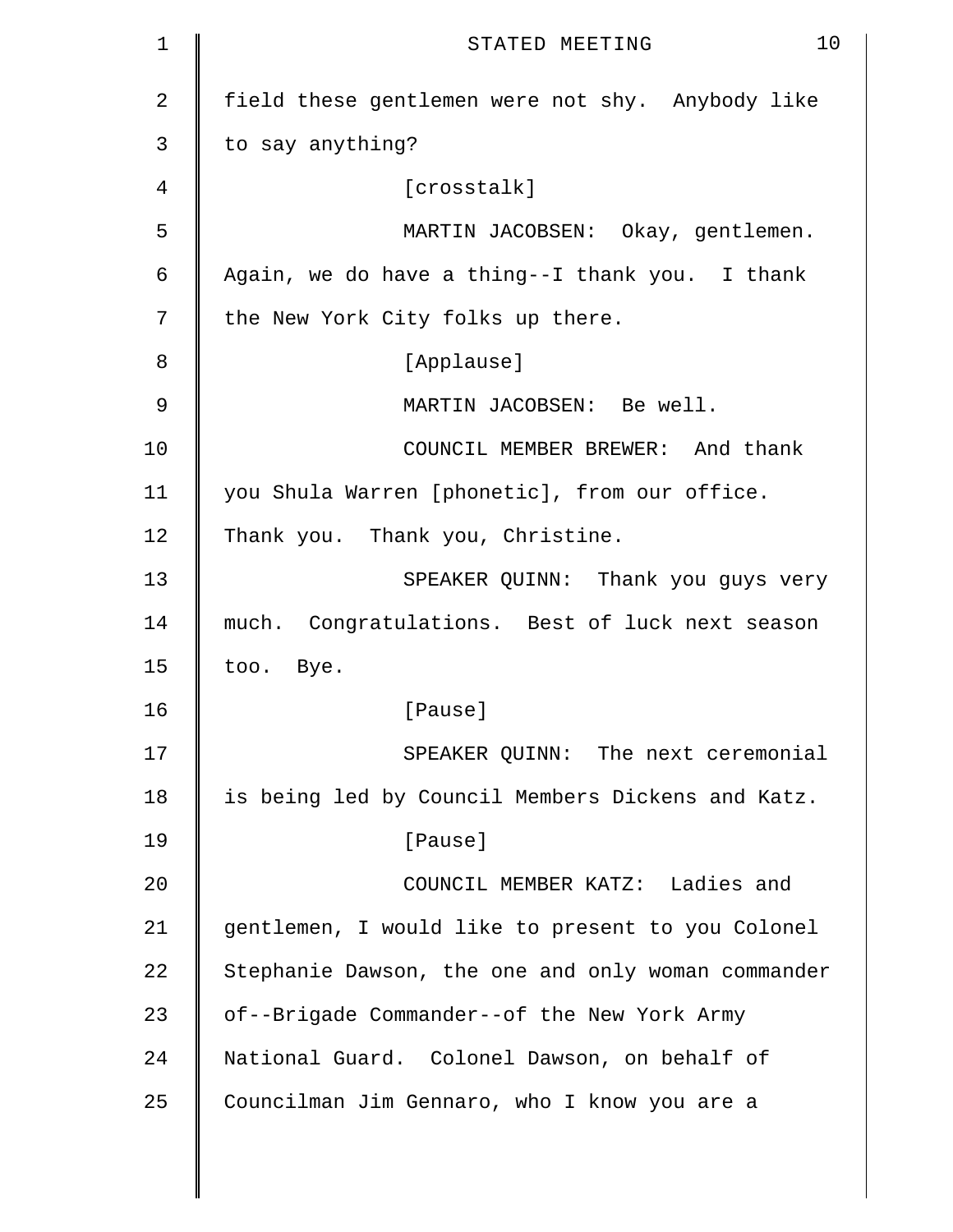| 1  | 10<br>STATED MEETING                               |
|----|----------------------------------------------------|
| 2  | field these gentlemen were not shy. Anybody like   |
| 3  | to say anything?                                   |
| 4  | [crosstalk]                                        |
| 5  | MARTIN JACOBSEN: Okay, gentlemen.                  |
| 6  | Again, we do have a thing--I thank you. I thank    |
| 7  | the New York City folks up there.                  |
| 8  | [Applause]                                         |
| 9  | MARTIN JACOBSEN: Be well.                          |
| 10 | COUNCIL MEMBER BREWER: And thank                   |
| 11 | you Shula Warren [phonetic], from our office.      |
| 12 | Thank you. Thank you, Christine.                   |
| 13 | SPEAKER QUINN: Thank you guys very                 |
| 14 | much. Congratulations. Best of luck next season    |
| 15 | too. Bye.                                          |
| 16 | [Pause]                                            |
| 17 | SPEAKER QUINN: The next ceremonial                 |
| 18 | is being led by Council Members Dickens and Katz.  |
| 19 | [Pause]                                            |
| 20 | COUNCIL MEMBER KATZ: Ladies and                    |
| 21 | gentlemen, I would like to present to you Colonel  |
| 22 | Stephanie Dawson, the one and only woman commander |
| 23 | of--Brigade Commander--of the New York Army        |
| 24 | National Guard. Colonel Dawson, on behalf of       |
| 25 | Councilman Jim Gennaro, who I know you are a       |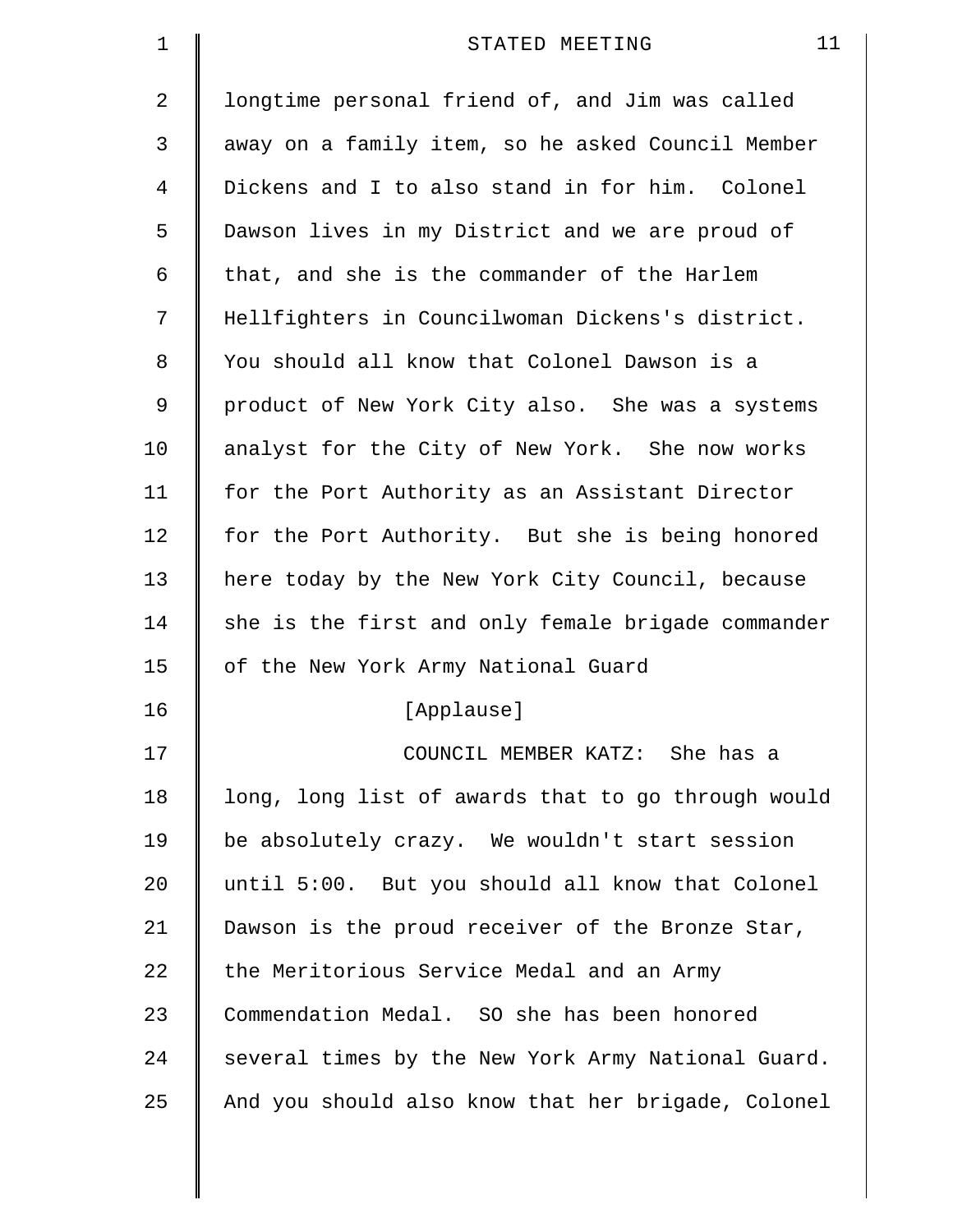| $\mathbf 1$    | 11<br>STATED MEETING                               |
|----------------|----------------------------------------------------|
| $\overline{2}$ | longtime personal friend of, and Jim was called    |
| 3              | away on a family item, so he asked Council Member  |
| $\overline{4}$ | Dickens and I to also stand in for him. Colonel    |
| 5              | Dawson lives in my District and we are proud of    |
| 6              | that, and she is the commander of the Harlem       |
| 7              | Hellfighters in Councilwoman Dickens's district.   |
| 8              | You should all know that Colonel Dawson is a       |
| 9              | product of New York City also. She was a systems   |
| 10             | analyst for the City of New York. She now works    |
| 11             | for the Port Authority as an Assistant Director    |
| 12             | for the Port Authority. But she is being honored   |
| 13             | here today by the New York City Council, because   |
| 14             | she is the first and only female brigade commander |
| 15             | of the New York Army National Guard                |
| 16             | [Applause]                                         |
| 17             | COUNCIL MEMBER KATZ: She has a                     |
| 18             | long, long list of awards that to go through would |
| 19             | be absolutely crazy. We wouldn't start session     |
| 20             | until 5:00. But you should all know that Colonel   |
| 21             | Dawson is the proud receiver of the Bronze Star,   |
| 22             | the Meritorious Service Medal and an Army          |
| 23             | Commendation Medal. SO she has been honored        |
| 24             | several times by the New York Army National Guard. |
| 25             | And you should also know that her brigade, Colonel |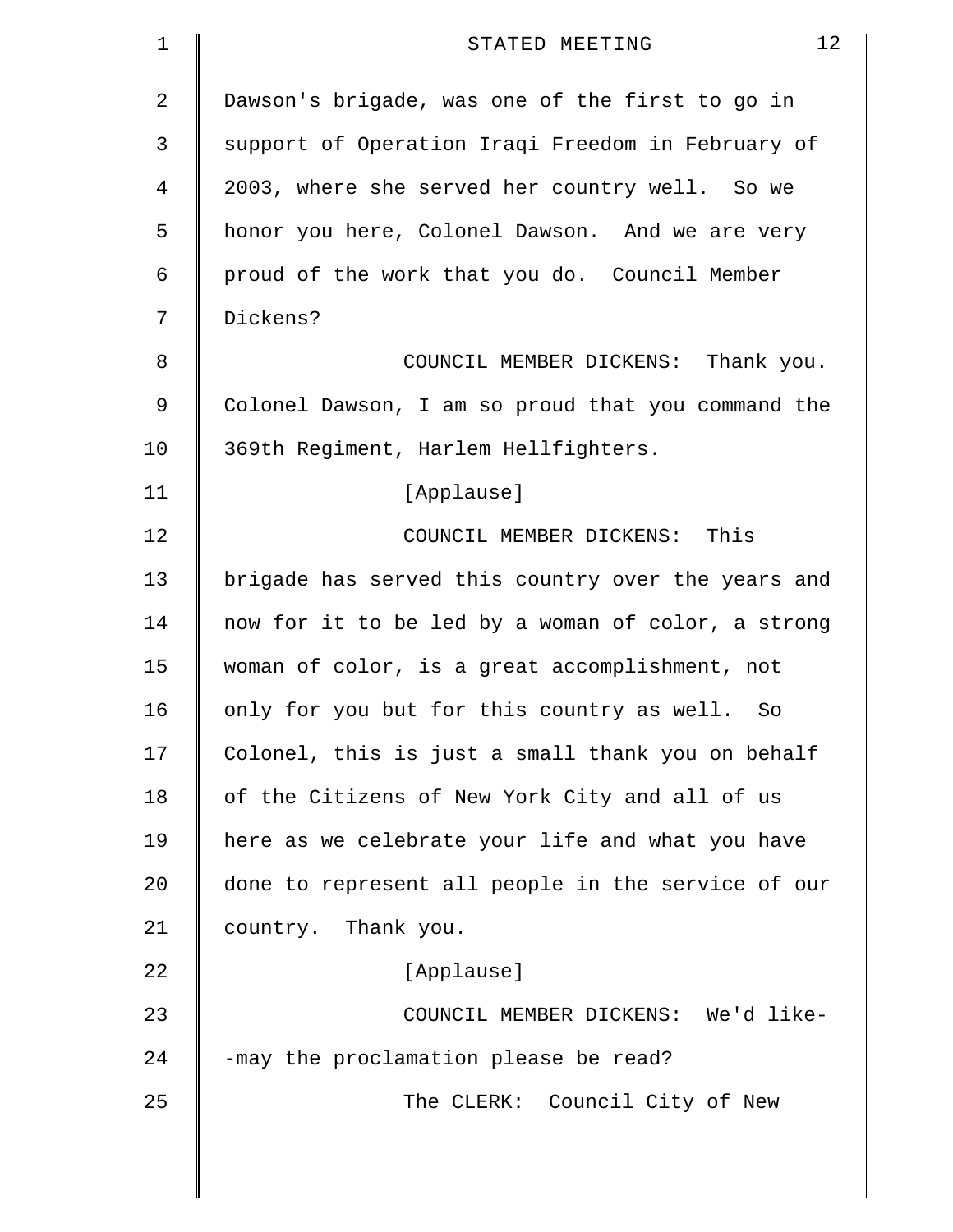| 1  | 12<br>STATED MEETING                               |
|----|----------------------------------------------------|
| 2  | Dawson's brigade, was one of the first to go in    |
| 3  | support of Operation Iraqi Freedom in February of  |
| 4  | 2003, where she served her country well. So we     |
| 5  | honor you here, Colonel Dawson. And we are very    |
| 6  | proud of the work that you do. Council Member      |
| 7  | Dickens?                                           |
| 8  | COUNCIL MEMBER DICKENS: Thank you.                 |
| 9  | Colonel Dawson, I am so proud that you command the |
| 10 | 369th Regiment, Harlem Hellfighters.               |
| 11 | [Applause]                                         |
| 12 | COUNCIL MEMBER DICKENS: This                       |
| 13 | brigade has served this country over the years and |
| 14 | now for it to be led by a woman of color, a strong |
| 15 | woman of color, is a great accomplishment, not     |
| 16 | only for you but for this country as well.<br>So   |
| 17 | Colonel, this is just a small thank you on behalf  |
| 18 | of the Citizens of New York City and all of us     |
| 19 | here as we celebrate your life and what you have   |
| 20 | done to represent all people in the service of our |
| 21 | country. Thank you.                                |
| 22 | [Applause]                                         |
| 23 | COUNCIL MEMBER DICKENS: We'd like-                 |
| 24 | -may the proclamation please be read?              |
| 25 | The CLERK: Council City of New                     |
|    |                                                    |
|    |                                                    |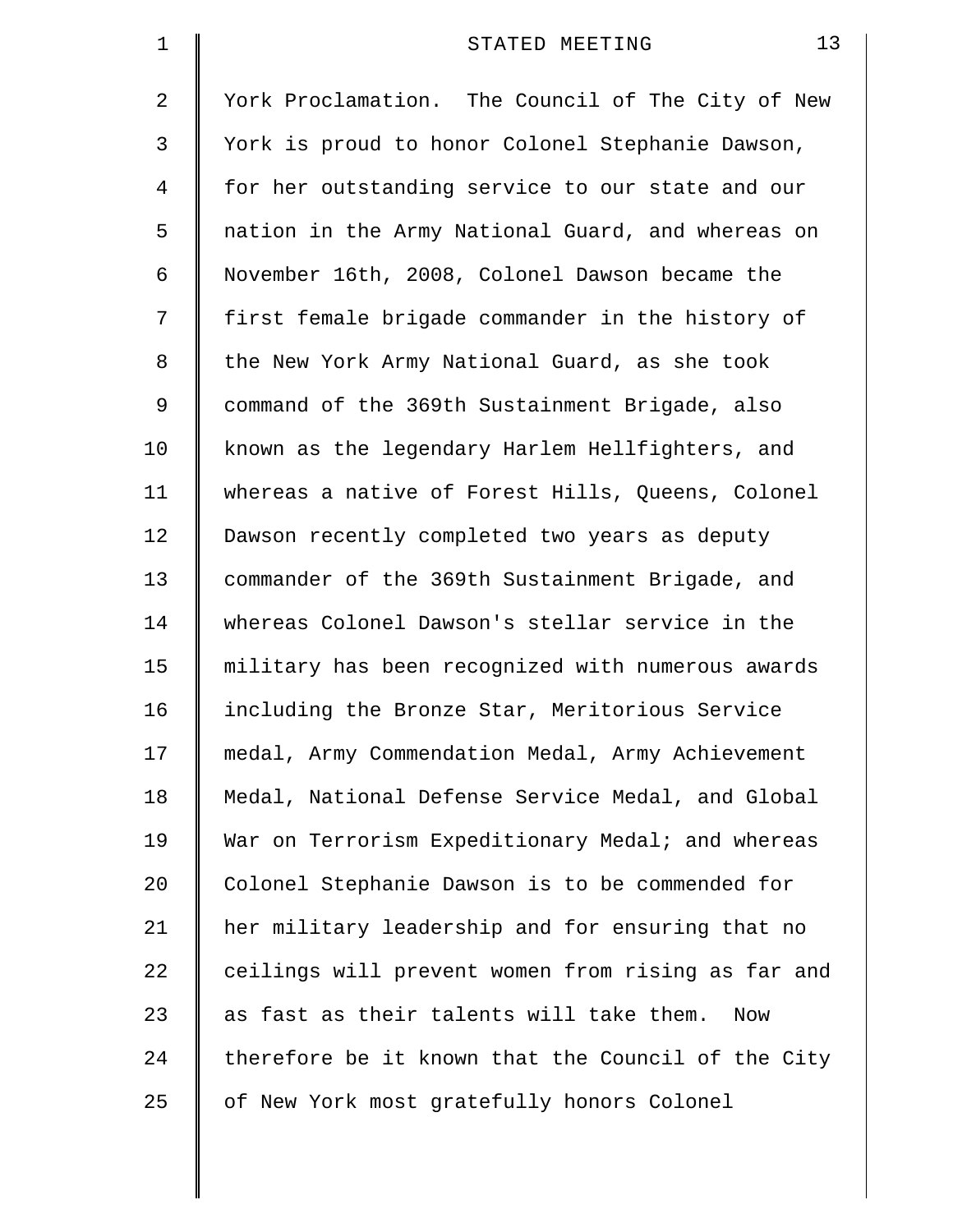| 1  | 13<br>STATED MEETING                               |
|----|----------------------------------------------------|
| 2  | York Proclamation. The Council of The City of New  |
| 3  | York is proud to honor Colonel Stephanie Dawson,   |
| 4  | for her outstanding service to our state and our   |
| 5  | nation in the Army National Guard, and whereas on  |
| 6  | November 16th, 2008, Colonel Dawson became the     |
| 7  | first female brigade commander in the history of   |
| 8  | the New York Army National Guard, as she took      |
| 9  | command of the 369th Sustainment Brigade, also     |
| 10 | known as the legendary Harlem Hellfighters, and    |
| 11 | whereas a native of Forest Hills, Queens, Colonel  |
| 12 | Dawson recently completed two years as deputy      |
| 13 | commander of the 369th Sustainment Brigade, and    |
| 14 | whereas Colonel Dawson's stellar service in the    |
| 15 | military has been recognized with numerous awards  |
| 16 | including the Bronze Star, Meritorious Service     |
| 17 | medal, Army Commendation Medal, Army Achievement   |
| 18 | Medal, National Defense Service Medal, and Global  |
| 19 | War on Terrorism Expeditionary Medal; and whereas  |
| 20 | Colonel Stephanie Dawson is to be commended for    |
| 21 | her military leadership and for ensuring that no   |
| 22 | ceilings will prevent women from rising as far and |
| 23 | as fast as their talents will take them.<br>Now    |
| 24 | therefore be it known that the Council of the City |
| 25 | of New York most gratefully honors Colonel         |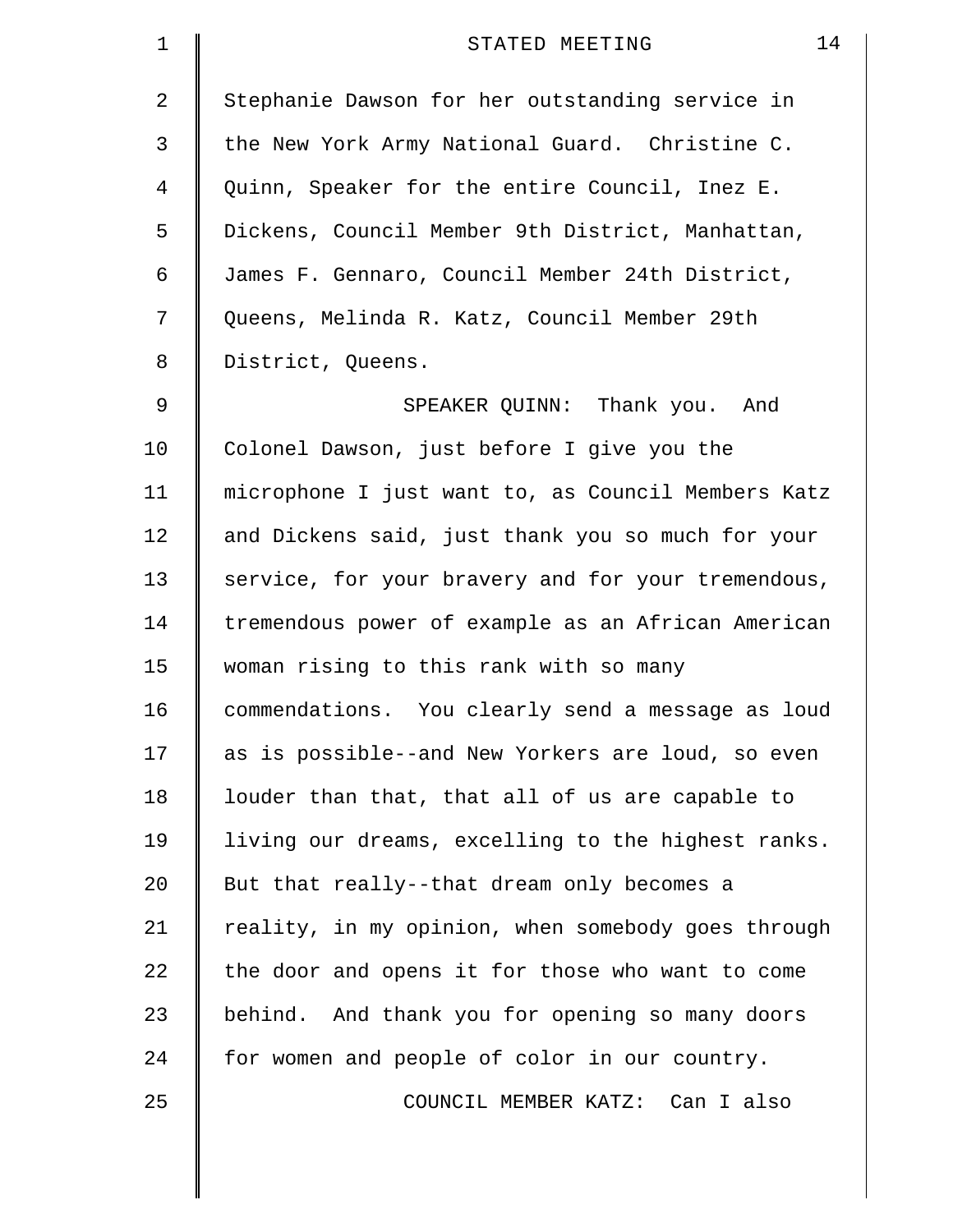| $\mathbf 1$ | 14<br>STATED MEETING                               |
|-------------|----------------------------------------------------|
| 2           | Stephanie Dawson for her outstanding service in    |
| 3           | the New York Army National Guard. Christine C.     |
| 4           | Quinn, Speaker for the entire Council, Inez E.     |
| 5           | Dickens, Council Member 9th District, Manhattan,   |
| 6           | James F. Gennaro, Council Member 24th District,    |
| 7           | Queens, Melinda R. Katz, Council Member 29th       |
| 8           | District, Queens.                                  |
| 9           | SPEAKER QUINN: Thank you. And                      |
| 10          | Colonel Dawson, just before I give you the         |
| 11          | microphone I just want to, as Council Members Katz |
| 12          | and Dickens said, just thank you so much for your  |
| 13          | service, for your bravery and for your tremendous, |
| 14          | tremendous power of example as an African American |
| 15          | woman rising to this rank with so many             |
| 16          | commendations. You clearly send a message as loud  |
| 17          | as is possible--and New Yorkers are loud, so even  |
| 18          | louder than that, that all of us are capable to    |
| 19          | living our dreams, excelling to the highest ranks. |
| 20          | But that really--that dream only becomes a         |
| 21          | reality, in my opinion, when somebody goes through |
| 22          | the door and opens it for those who want to come   |
| 23          | behind. And thank you for opening so many doors    |
| 24          | for women and people of color in our country.      |
| 25          | COUNCIL MEMBER KATZ: Can I also                    |
|             |                                                    |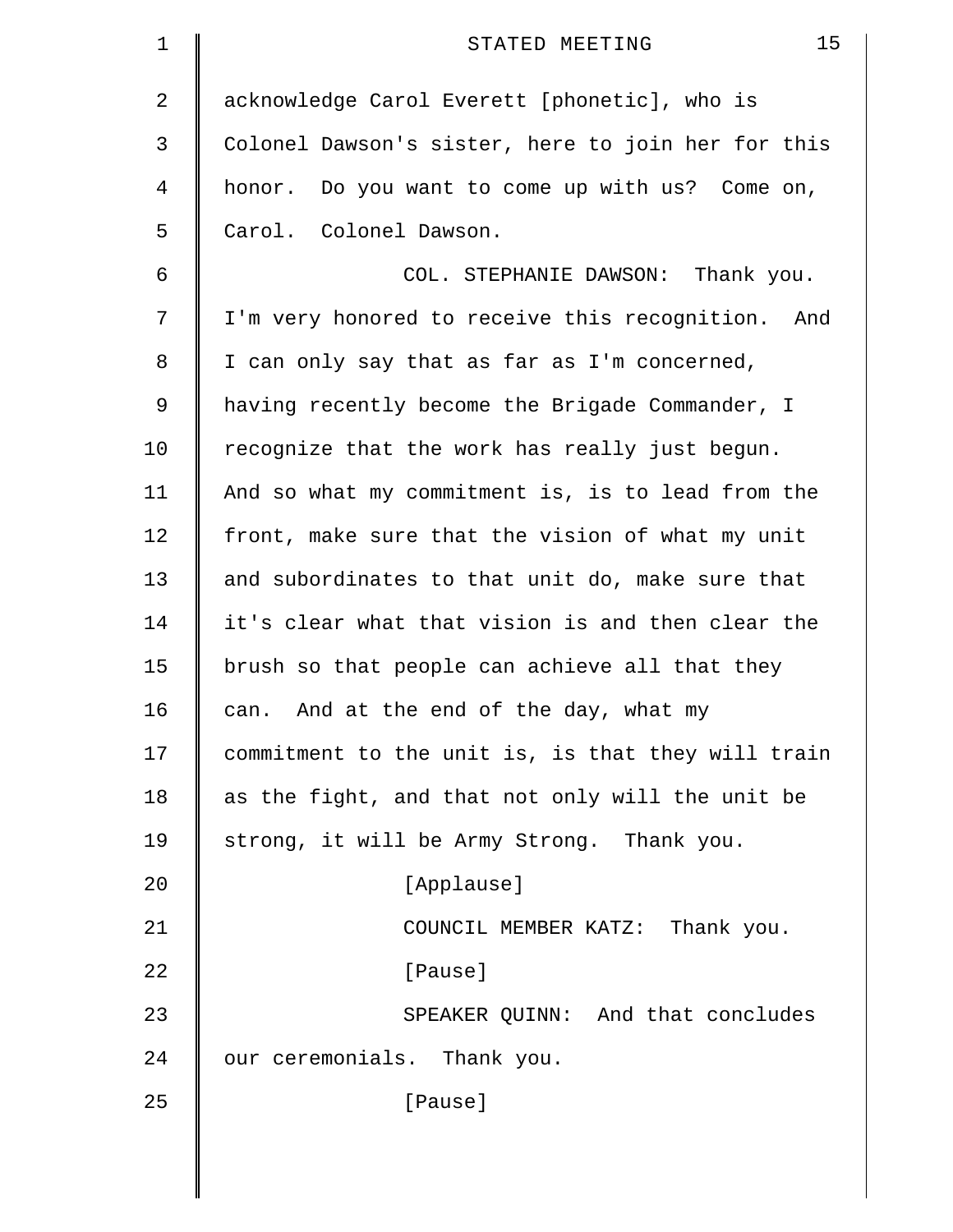| $\mathbf 1$ | 15<br>STATED MEETING                               |
|-------------|----------------------------------------------------|
| 2           | acknowledge Carol Everett [phonetic], who is       |
| 3           | Colonel Dawson's sister, here to join her for this |
| 4           | honor. Do you want to come up with us? Come on,    |
| 5           | Carol. Colonel Dawson.                             |
| 6           | COL. STEPHANIE DAWSON: Thank you.                  |
| 7           | I'm very honored to receive this recognition. And  |
| 8           | I can only say that as far as I'm concerned,       |
| 9           | having recently become the Brigade Commander, I    |
| 10          | recognize that the work has really just begun.     |
| 11          | And so what my commitment is, is to lead from the  |
| 12          | front, make sure that the vision of what my unit   |
| 13          | and subordinates to that unit do, make sure that   |
| 14          | it's clear what that vision is and then clear the  |
| 15          | brush so that people can achieve all that they     |
| 16          | And at the end of the day, what my<br>can.         |
| 17          | commitment to the unit is, is that they will train |
| 18          | as the fight, and that not only will the unit be   |
| 19          | strong, it will be Army Strong. Thank you.         |
| 20          | [Applause]                                         |
| 21          | COUNCIL MEMBER KATZ: Thank you.                    |
| 22          | [Pause]                                            |
| 23          | SPEAKER QUINN: And that concludes                  |
| 24          | our ceremonials. Thank you.                        |
| 25          | [Pause]                                            |
|             |                                                    |
|             |                                                    |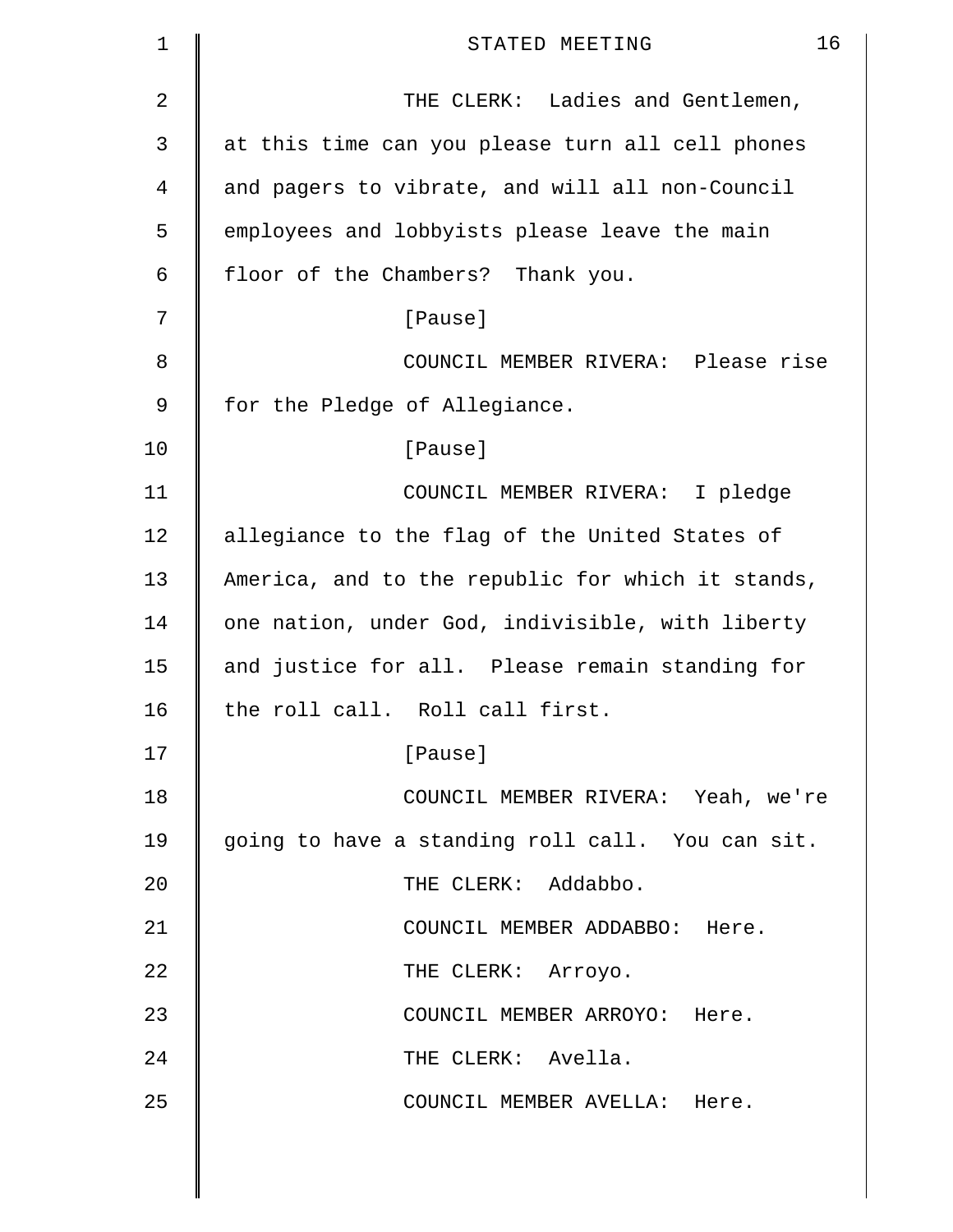| $\mathbf 1$ | 16<br>STATED MEETING                              |
|-------------|---------------------------------------------------|
| 2           | THE CLERK: Ladies and Gentlemen,                  |
| 3           | at this time can you please turn all cell phones  |
| 4           | and pagers to vibrate, and will all non-Council   |
| 5           | employees and lobbyists please leave the main     |
| 6           | floor of the Chambers? Thank you.                 |
| 7           | [Pause]                                           |
| 8           | COUNCIL MEMBER RIVERA: Please rise                |
| 9           | for the Pledge of Allegiance.                     |
| 10          | [Pause]                                           |
| 11          | COUNCIL MEMBER RIVERA: I pledge                   |
| 12          | allegiance to the flag of the United States of    |
| 13          | America, and to the republic for which it stands, |
| 14          | one nation, under God, indivisible, with liberty  |
| 15          | and justice for all. Please remain standing for   |
| 16          | the roll call. Roll call first.                   |
| 17          | [Pause]                                           |
| 18          | COUNCIL MEMBER RIVERA: Yeah, we're                |
| 19          | going to have a standing roll call. You can sit.  |
| 20          | THE CLERK: Addabbo.                               |
| 21          | COUNCIL MEMBER ADDABBO: Here.                     |
| 22          | THE CLERK: Arroyo.                                |
| 23          | COUNCIL MEMBER ARROYO: Here.                      |
| 24          | THE CLERK: Avella.                                |
| 25          | COUNCIL MEMBER AVELLA: Here.                      |
|             |                                                   |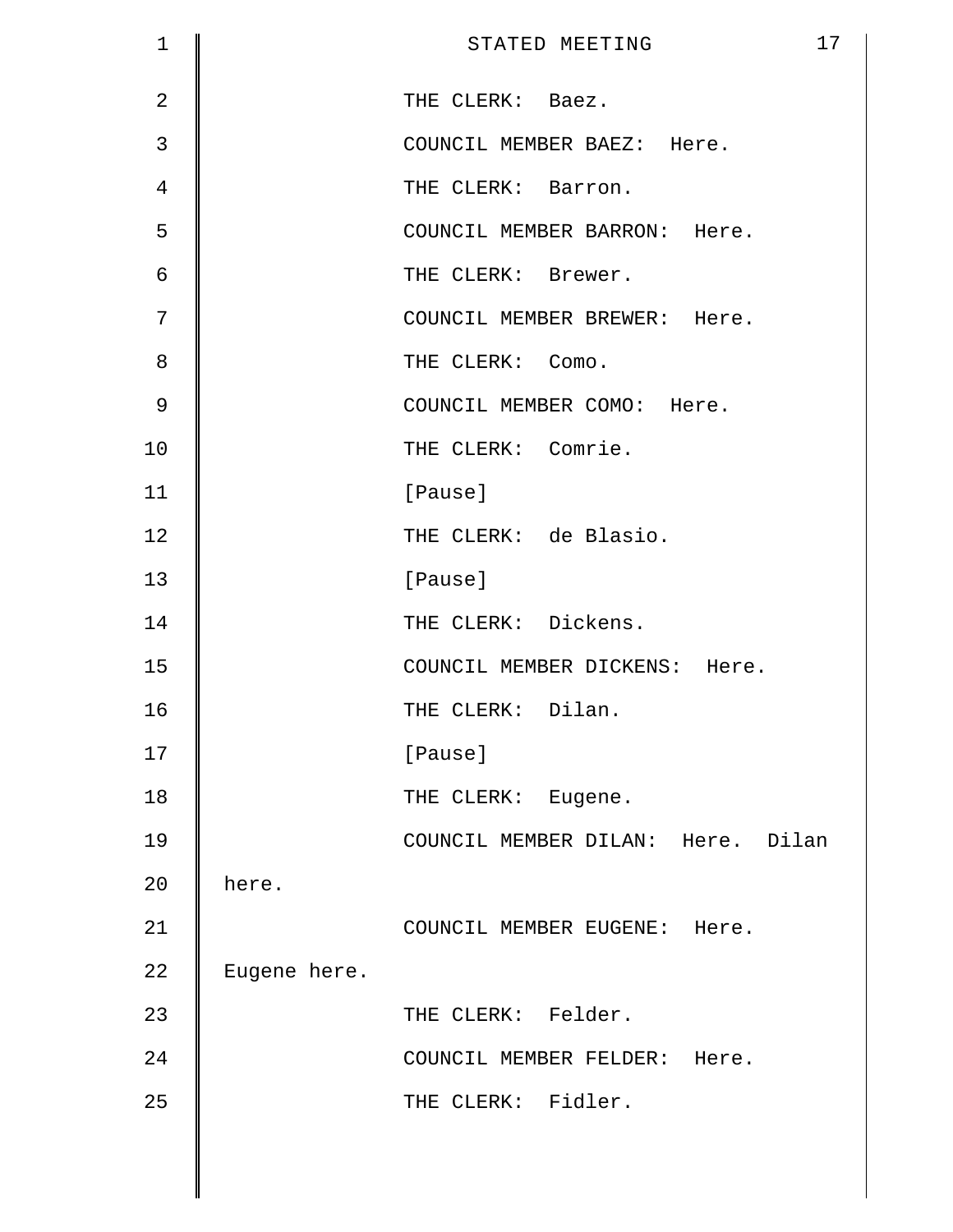| $\mathbf 1$    |              | STATED MEETING                    | 17 |
|----------------|--------------|-----------------------------------|----|
| $\overline{2}$ |              | THE CLERK: Baez.                  |    |
| 3              |              | COUNCIL MEMBER BAEZ: Here.        |    |
| 4              |              | THE CLERK: Barron.                |    |
| 5              |              | COUNCIL MEMBER BARRON: Here.      |    |
| 6              |              | THE CLERK: Brewer.                |    |
| 7              |              | COUNCIL MEMBER BREWER: Here.      |    |
| 8              |              | THE CLERK: Como.                  |    |
| $\mathcal{G}$  |              | COUNCIL MEMBER COMO: Here.        |    |
| 10             |              | THE CLERK: Comrie.                |    |
| 11             |              | [Pause]                           |    |
| 12             |              | THE CLERK: de Blasio.             |    |
| 13             |              | [Pause]                           |    |
| 14             |              | THE CLERK: Dickens.               |    |
| 15             |              | COUNCIL MEMBER DICKENS: Here.     |    |
| 16             |              | THE CLERK: Dilan.                 |    |
| 17             |              | [Pause]                           |    |
| 18             |              | THE CLERK: Eugene.                |    |
| 19             |              | COUNCIL MEMBER DILAN: Here. Dilan |    |
| 20             | here.        |                                   |    |
| 21             |              | COUNCIL MEMBER EUGENE: Here.      |    |
| 22             | Eugene here. |                                   |    |
| 23             |              | THE CLERK: Felder.                |    |
| 24             |              | COUNCIL MEMBER FELDER: Here.      |    |
| 25             |              | THE CLERK: Fidler.                |    |
|                |              |                                   |    |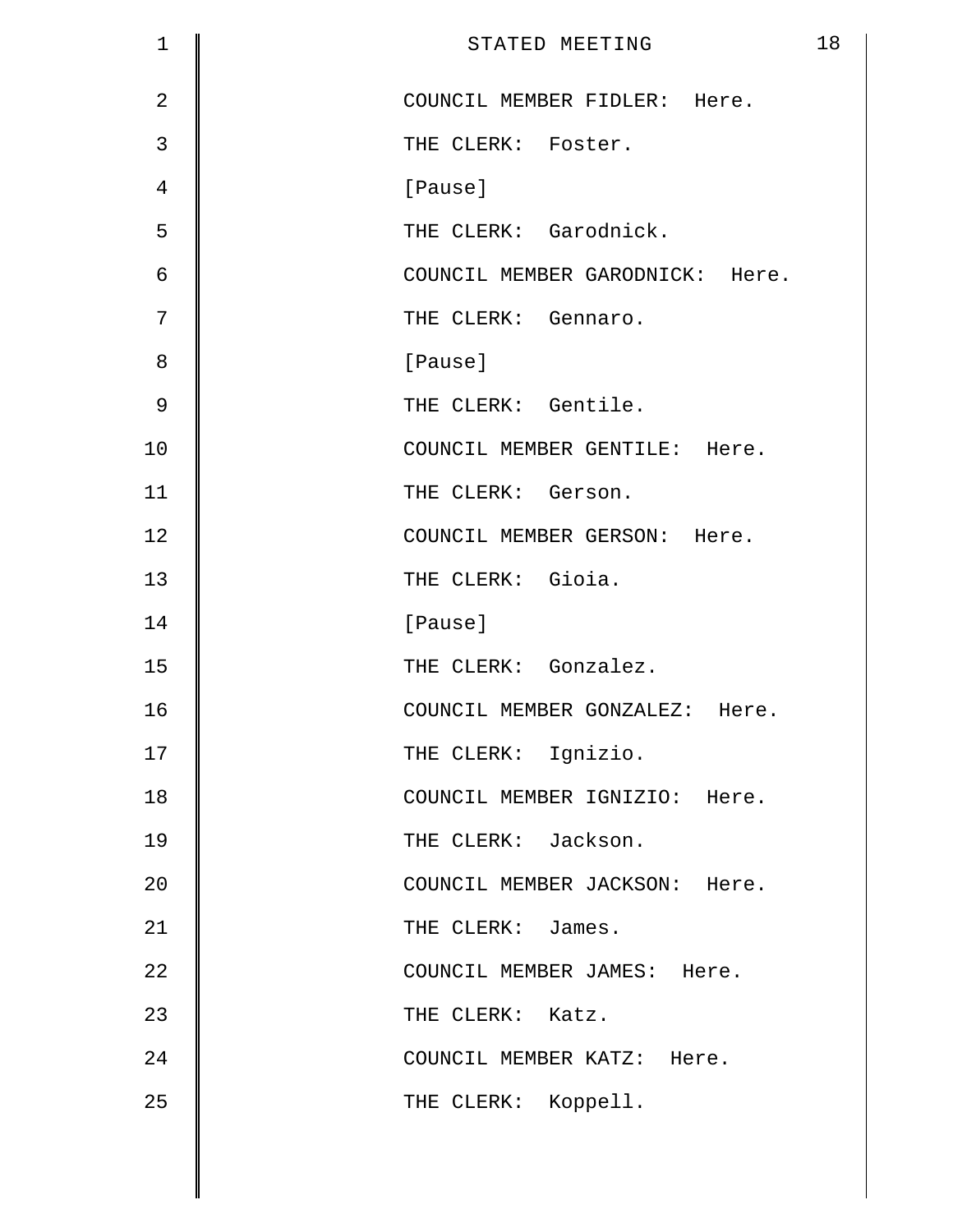| $\mathbf 1$    | 18<br>STATED MEETING            |
|----------------|---------------------------------|
| $\overline{2}$ | COUNCIL MEMBER FIDLER: Here.    |
| 3              | THE CLERK: Foster.              |
| $\overline{4}$ | [Pause]                         |
| 5              | THE CLERK: Garodnick.           |
| 6              | COUNCIL MEMBER GARODNICK: Here. |
| 7              | THE CLERK: Gennaro.             |
| 8              | [Pause]                         |
| $\mathcal{G}$  | THE CLERK: Gentile.             |
| 10             | COUNCIL MEMBER GENTILE: Here.   |
| 11             | THE CLERK: Gerson.              |
| 12             | COUNCIL MEMBER GERSON: Here.    |
| 13             | THE CLERK: Gioia.               |
| 14             | [Pause]                         |
| 15             | THE CLERK: Gonzalez.            |
| 16             | COUNCIL MEMBER GONZALEZ: Here.  |
| 17             | THE CLERK: Ignizio.             |
| 18             | COUNCIL MEMBER IGNIZIO: Here.   |
| 19             | THE CLERK: Jackson.             |
| 20             | COUNCIL MEMBER JACKSON: Here.   |
| 21             | THE CLERK: James.               |
| 22             | COUNCIL MEMBER JAMES: Here.     |
| 23             | THE CLERK: Katz.                |
| 24             | COUNCIL MEMBER KATZ: Here.      |
| 25             | THE CLERK: Koppell.             |

 $\mathbb{I}$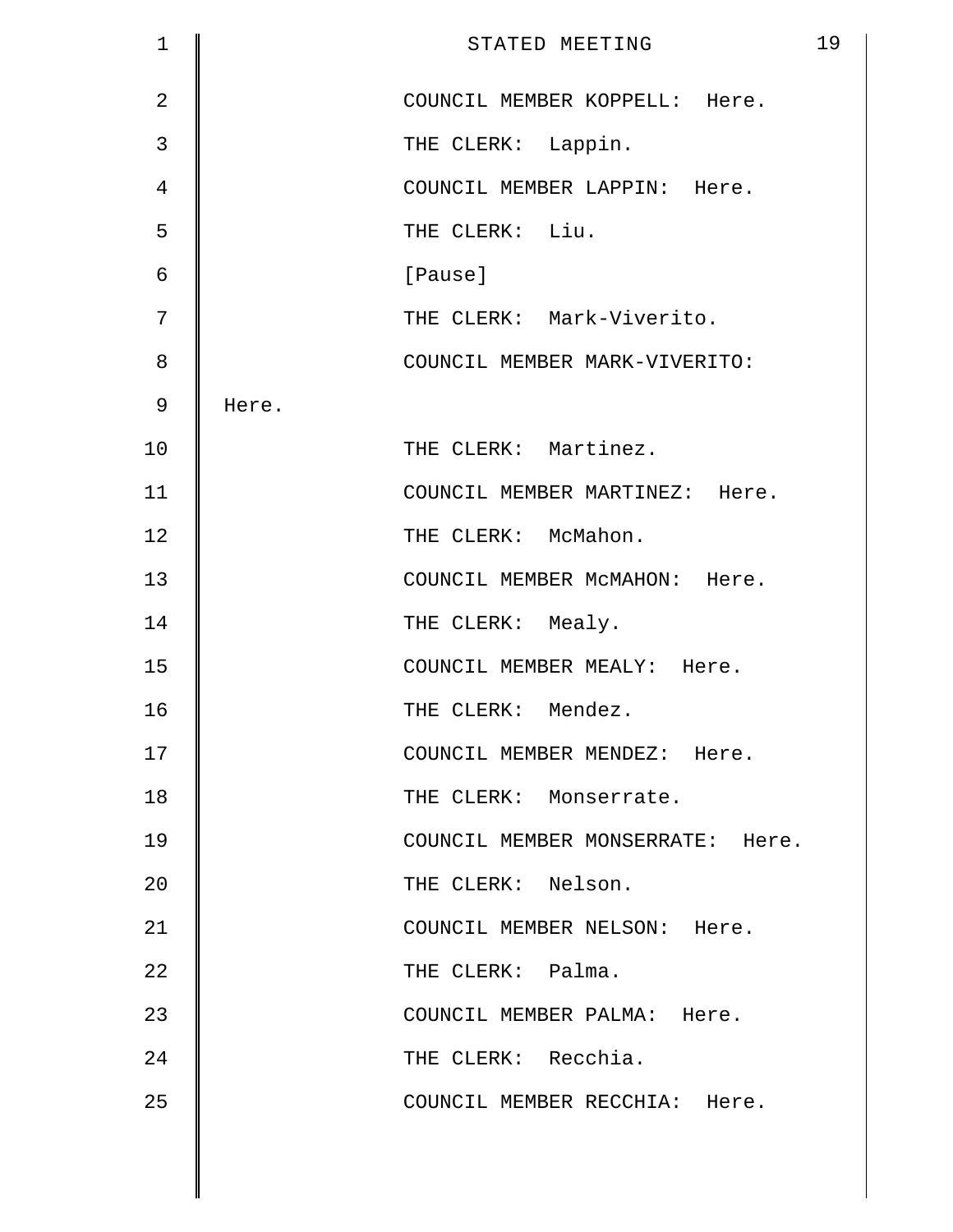| $\mathbf 1$    |       | STATED MEETING                   | 19 |
|----------------|-------|----------------------------------|----|
| $\overline{2}$ |       | COUNCIL MEMBER KOPPELL: Here.    |    |
| 3              |       | THE CLERK: Lappin.               |    |
| 4              |       | COUNCIL MEMBER LAPPIN: Here.     |    |
| 5              |       | THE CLERK: Liu.                  |    |
| 6              |       | [Pause]                          |    |
| 7              |       | THE CLERK: Mark-Viverito.        |    |
| 8              |       | COUNCIL MEMBER MARK-VIVERITO:    |    |
| $\mathsf 9$    | Here. |                                  |    |
| 10             |       | THE CLERK: Martinez.             |    |
| 11             |       | COUNCIL MEMBER MARTINEZ: Here.   |    |
| 12             |       | THE CLERK: McMahon.              |    |
| 13             |       | COUNCIL MEMBER MCMAHON: Here.    |    |
| 14             |       | THE CLERK: Mealy.                |    |
| 15             |       | COUNCIL MEMBER MEALY: Here.      |    |
| 16             |       | THE CLERK: Mendez.               |    |
| 17             |       | COUNCIL MEMBER MENDEZ: Here.     |    |
| 18             |       | THE CLERK: Monserrate.           |    |
| 19             |       | COUNCIL MEMBER MONSERRATE: Here. |    |
| 20             |       | THE CLERK: Nelson.               |    |
| 21             |       | COUNCIL MEMBER NELSON: Here.     |    |
| 22             |       | THE CLERK: Palma.                |    |
| 23             |       | COUNCIL MEMBER PALMA: Here.      |    |
| 24             |       | THE CLERK: Recchia.              |    |
| 25             |       | COUNCIL MEMBER RECCHIA: Here.    |    |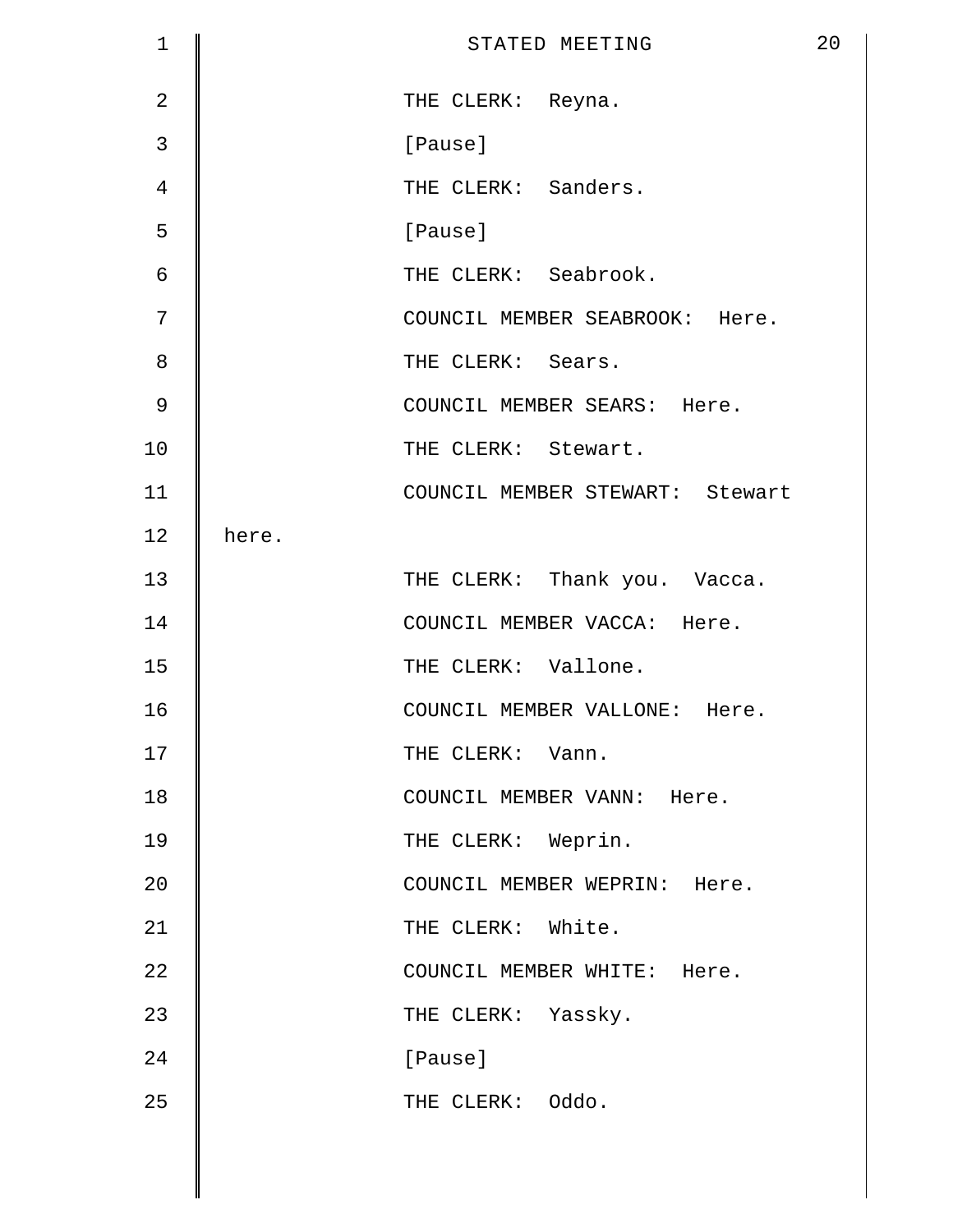| $\mathbf 1$    |       | STATED MEETING                  | 20 |
|----------------|-------|---------------------------------|----|
| $\overline{2}$ |       | THE CLERK: Reyna.               |    |
| $\mathbf{3}$   |       | [Pause]                         |    |
| $\overline{4}$ |       | THE CLERK: Sanders.             |    |
| 5              |       | [Pause]                         |    |
| $\epsilon$     |       | THE CLERK: Seabrook.            |    |
| 7              |       | COUNCIL MEMBER SEABROOK: Here.  |    |
| 8              |       | THE CLERK: Sears.               |    |
| $\mathcal{G}$  |       | COUNCIL MEMBER SEARS: Here.     |    |
| 10             |       | THE CLERK: Stewart.             |    |
| 11             |       | COUNCIL MEMBER STEWART: Stewart |    |
| 12             | here. |                                 |    |
| 13             |       | THE CLERK: Thank you. Vacca.    |    |
| 14             |       | COUNCIL MEMBER VACCA: Here.     |    |
| 15             |       | THE CLERK: Vallone.             |    |
| 16             |       | COUNCIL MEMBER VALLONE: Here.   |    |
| 17             |       | THE CLERK: Vann.                |    |
| 18             |       | COUNCIL MEMBER VANN: Here.      |    |
| 19             |       | THE CLERK: Weprin.              |    |
| 20             |       | COUNCIL MEMBER WEPRIN: Here.    |    |
| 21             |       | THE CLERK: White.               |    |
| 22             |       | COUNCIL MEMBER WHITE: Here.     |    |
| 23             |       | THE CLERK: Yassky.              |    |
| 24             |       | [Pause]                         |    |
| 25             |       | THE CLERK: Oddo.                |    |
|                |       |                                 |    |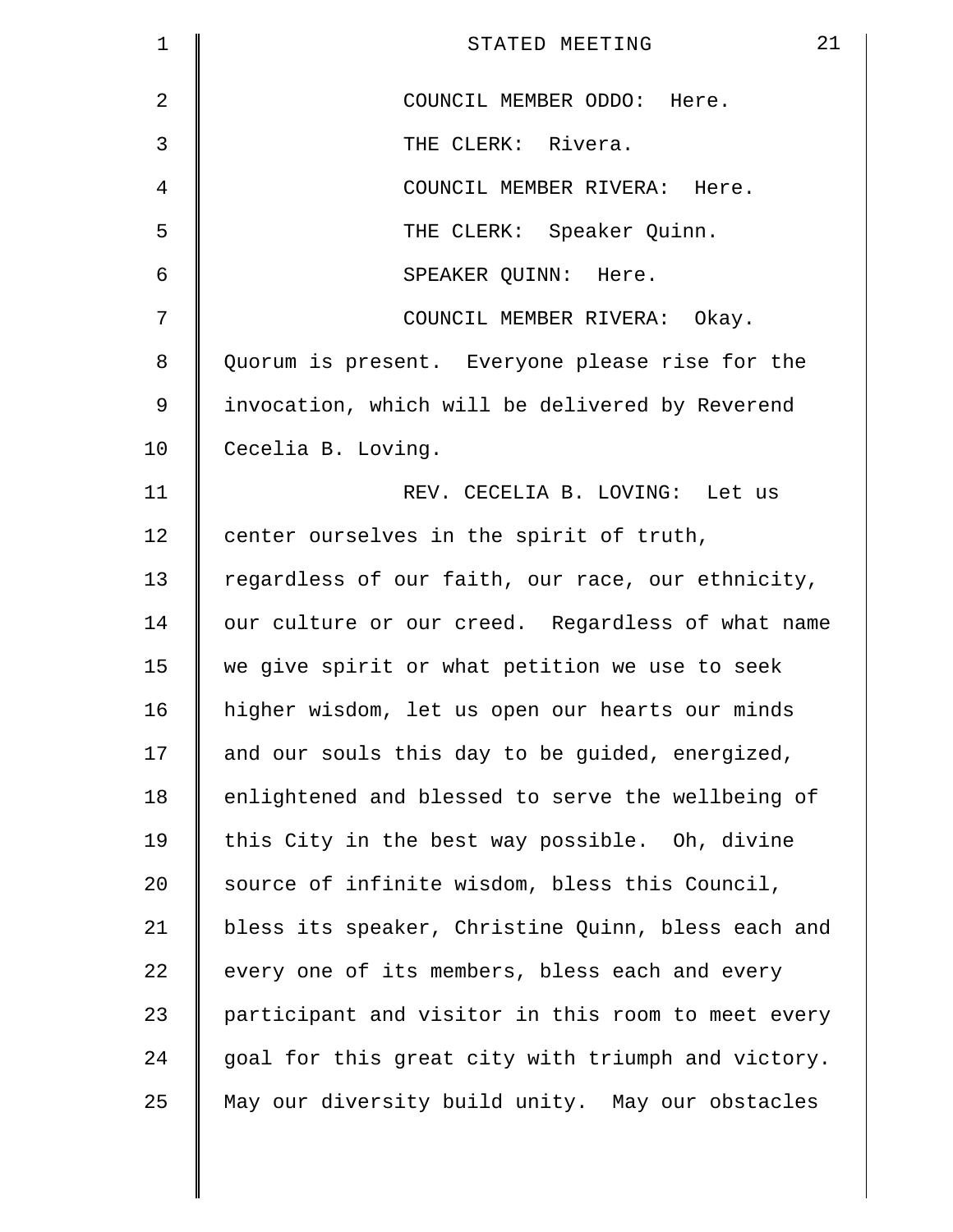| 1  | 21<br>STATED MEETING                               |
|----|----------------------------------------------------|
| 2  | COUNCIL MEMBER ODDO: Here.                         |
| 3  | THE CLERK: Rivera.                                 |
| 4  | COUNCIL MEMBER RIVERA: Here.                       |
| 5  | THE CLERK: Speaker Quinn.                          |
| 6  | SPEAKER QUINN: Here.                               |
| 7  | COUNCIL MEMBER RIVERA: Okay.                       |
| 8  | Quorum is present. Everyone please rise for the    |
| 9  | invocation, which will be delivered by Reverend    |
| 10 | Cecelia B. Loving.                                 |
| 11 | REV. CECELIA B. LOVING: Let us                     |
| 12 | center ourselves in the spirit of truth,           |
| 13 | regardless of our faith, our race, our ethnicity,  |
| 14 | our culture or our creed. Regardless of what name  |
| 15 | we give spirit or what petition we use to seek     |
| 16 | higher wisdom, let us open our hearts our minds    |
| 17 | and our souls this day to be guided, energized,    |
| 18 | enlightened and blessed to serve the wellbeing of  |
| 19 | this City in the best way possible. Oh, divine     |
| 20 | source of infinite wisdom, bless this Council,     |
| 21 | bless its speaker, Christine Quinn, bless each and |
| 22 | every one of its members, bless each and every     |
| 23 | participant and visitor in this room to meet every |
| 24 | goal for this great city with triumph and victory. |
| 25 | May our diversity build unity. May our obstacles   |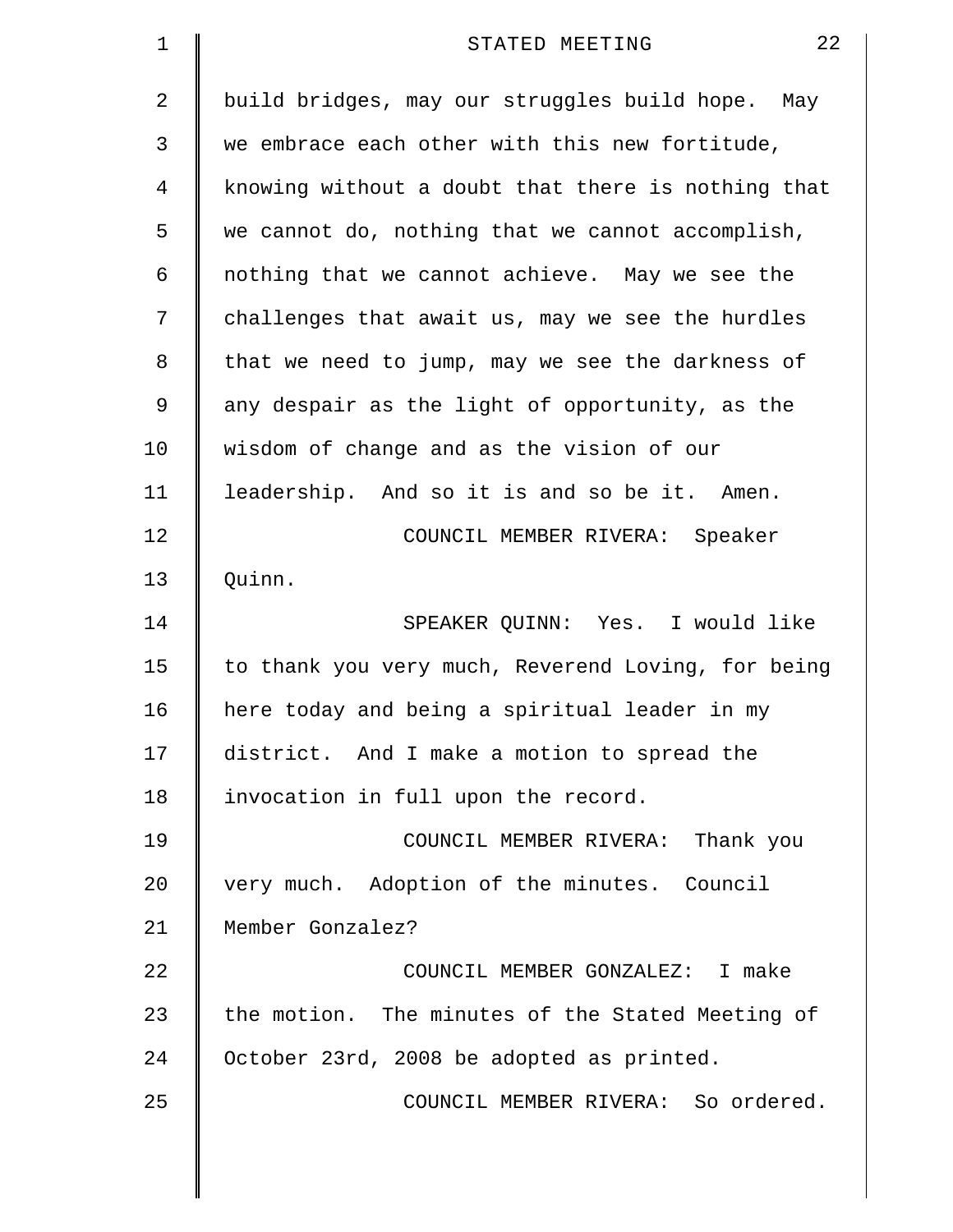| 1  | 22<br>STATED MEETING                               |
|----|----------------------------------------------------|
| 2  | build bridges, may our struggles build hope. May   |
| 3  | we embrace each other with this new fortitude,     |
| 4  | knowing without a doubt that there is nothing that |
| 5  | we cannot do, nothing that we cannot accomplish,   |
| 6  | nothing that we cannot achieve. May we see the     |
| 7  | challenges that await us, may we see the hurdles   |
| 8  | that we need to jump, may we see the darkness of   |
| 9  | any despair as the light of opportunity, as the    |
| 10 | wisdom of change and as the vision of our          |
| 11 | leadership. And so it is and so be it. Amen.       |
| 12 | COUNCIL MEMBER RIVERA: Speaker                     |
| 13 | Quinn.                                             |
| 14 | SPEAKER QUINN: Yes. I would like                   |
| 15 | to thank you very much, Reverend Loving, for being |
| 16 | here today and being a spiritual leader in my      |
| 17 | district. And I make a motion to spread the        |
| 18 | invocation in full upon the record.                |
| 19 | COUNCIL MEMBER RIVERA: Thank you                   |
| 20 | very much. Adoption of the minutes. Council        |
| 21 | Member Gonzalez?                                   |
| 22 | COUNCIL MEMBER GONZALEZ: I make                    |
| 23 | the motion. The minutes of the Stated Meeting of   |
| 24 | October 23rd, 2008 be adopted as printed.          |
| 25 | COUNCIL MEMBER RIVERA: So ordered.                 |
|    |                                                    |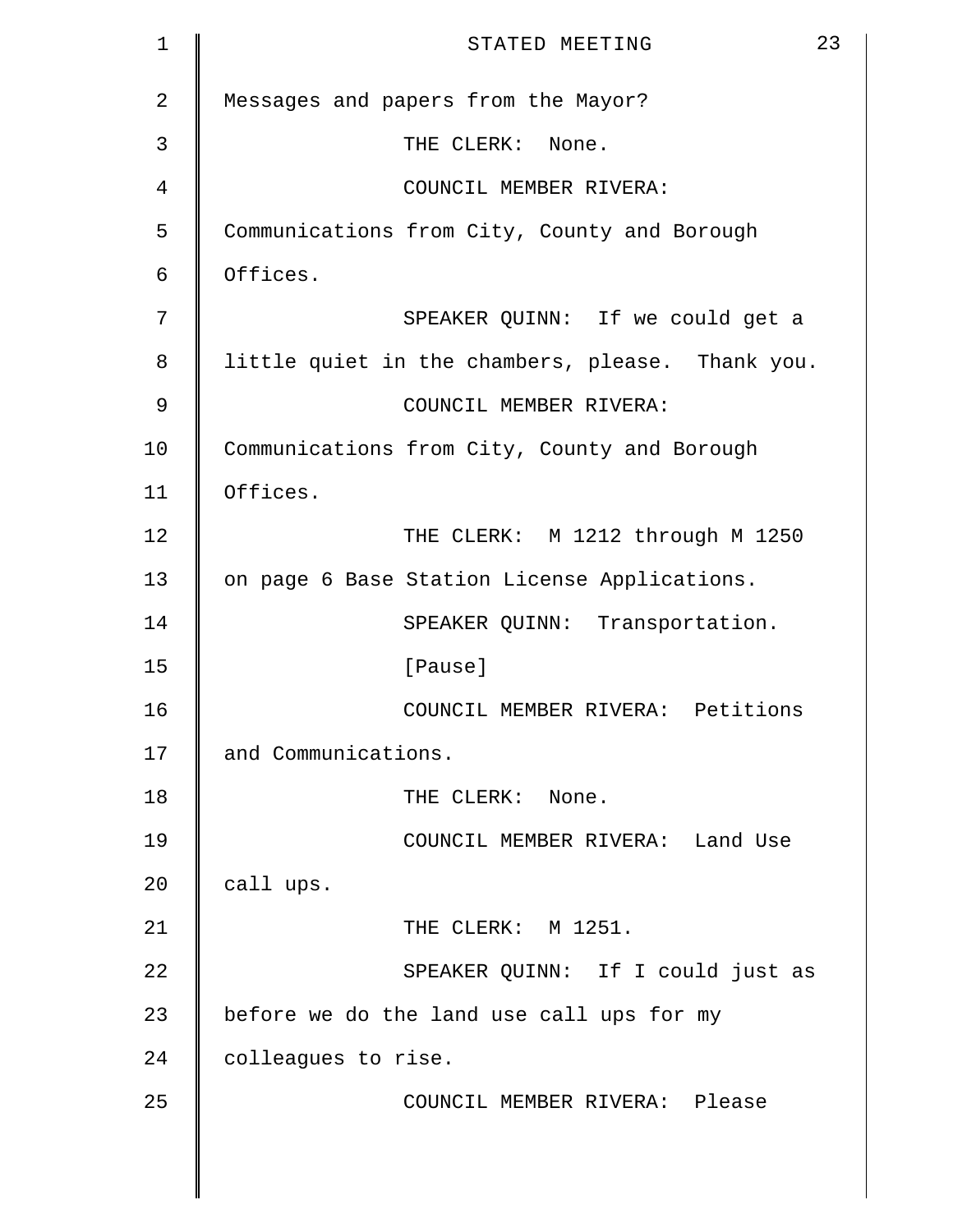| $\mathbf 1$    | 23<br>STATED MEETING                             |
|----------------|--------------------------------------------------|
| $\overline{2}$ | Messages and papers from the Mayor?              |
| 3              | THE CLERK: None.                                 |
| 4              | COUNCIL MEMBER RIVERA:                           |
| 5              | Communications from City, County and Borough     |
| 6              | Offices.                                         |
| 7              | SPEAKER QUINN: If we could get a                 |
| 8              | little quiet in the chambers, please. Thank you. |
| 9              | COUNCIL MEMBER RIVERA:                           |
| 10             | Communications from City, County and Borough     |
| 11             | Offices.                                         |
| 12             | THE CLERK: M 1212 through M 1250                 |
| 13             | on page 6 Base Station License Applications.     |
| 14             | SPEAKER QUINN: Transportation.                   |
| 15             | [Pause]                                          |
| 16             | COUNCIL MEMBER RIVERA: Petitions                 |
| 17             | and Communications.                              |
| 18             | THE CLERK: None.                                 |
| 19             | COUNCIL MEMBER RIVERA: Land Use                  |
| 20             | call ups.                                        |
| 21             | THE CLERK: M 1251.                               |
| 22             | SPEAKER QUINN: If I could just as                |
| 23             | before we do the land use call ups for my        |
| 24             | colleagues to rise.                              |
| 25             | COUNCIL MEMBER RIVERA: Please                    |
|                |                                                  |
|                |                                                  |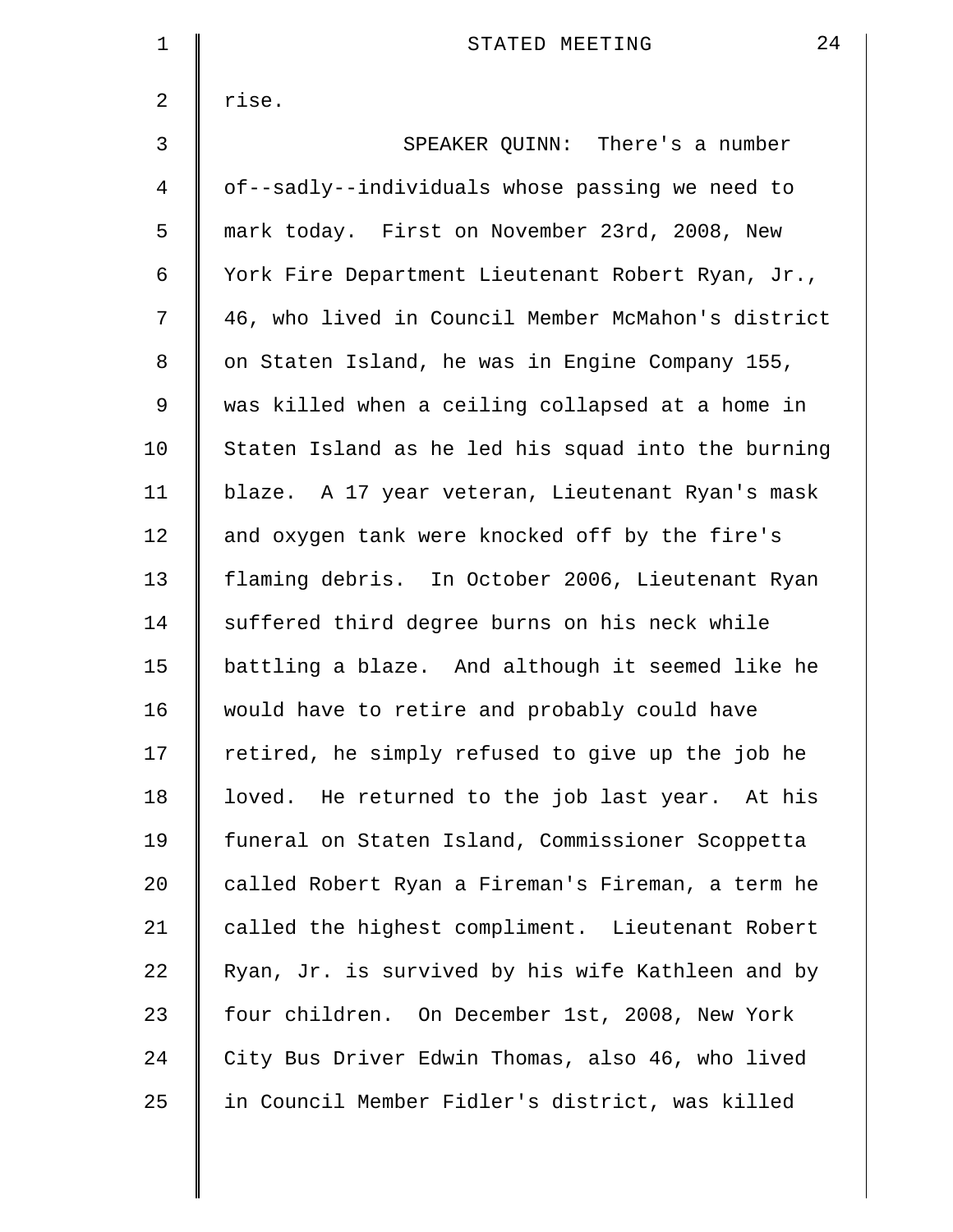| $\mathbf 1$ | 24<br>STATED MEETING                               |
|-------------|----------------------------------------------------|
| 2           | rise.                                              |
| 3           | SPEAKER QUINN: There's a number                    |
| 4           | of--sadly--individuals whose passing we need to    |
| 5           | mark today. First on November 23rd, 2008, New      |
| 6           | York Fire Department Lieutenant Robert Ryan, Jr.,  |
| 7           | 46, who lived in Council Member McMahon's district |
| 8           | on Staten Island, he was in Engine Company 155,    |
| 9           | was killed when a ceiling collapsed at a home in   |
| 10          | Staten Island as he led his squad into the burning |
| 11          | blaze. A 17 year veteran, Lieutenant Ryan's mask   |
| 12          | and oxygen tank were knocked off by the fire's     |
| 13          | flaming debris. In October 2006, Lieutenant Ryan   |
| 14          | suffered third degree burns on his neck while      |
| 15          | battling a blaze. And although it seemed like he   |
| 16          | would have to retire and probably could have       |
| 17          | retired, he simply refused to give up the job he   |
| 18          | loved. He returned to the job last year. At his    |
| 19          | funeral on Staten Island, Commissioner Scoppetta   |
| 20          | called Robert Ryan a Fireman's Fireman, a term he  |
| 21          | called the highest compliment. Lieutenant Robert   |
| 22          | Ryan, Jr. is survived by his wife Kathleen and by  |
| 23          | four children. On December 1st, 2008, New York     |
| 24          | City Bus Driver Edwin Thomas, also 46, who lived   |
| 25          | in Council Member Fidler's district, was killed    |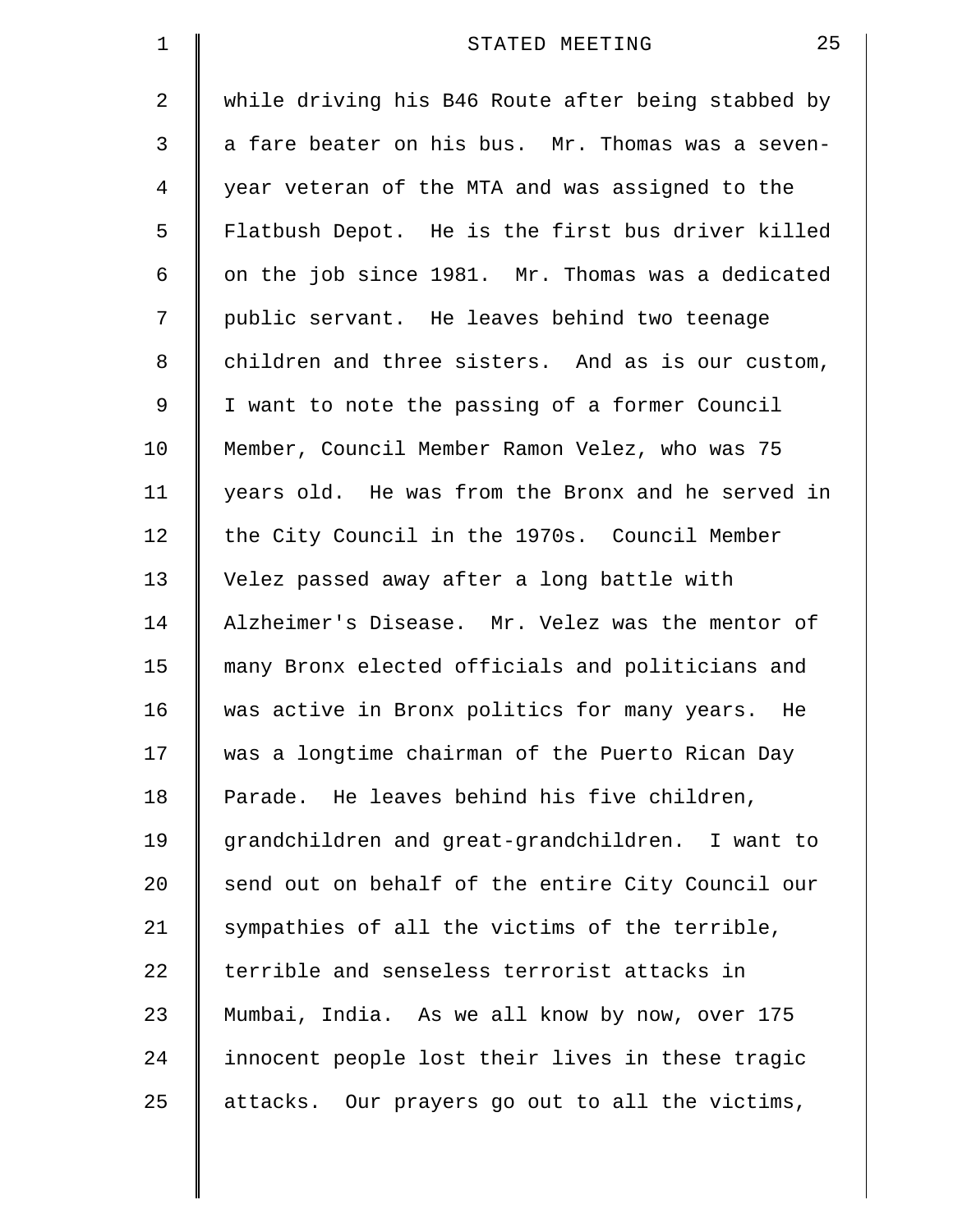| $\mathbf 1$    | 25<br>STATED MEETING                               |
|----------------|----------------------------------------------------|
| 2              | while driving his B46 Route after being stabbed by |
| 3              | a fare beater on his bus. Mr. Thomas was a seven-  |
| $\overline{4}$ | year veteran of the MTA and was assigned to the    |
| 5              | Flatbush Depot. He is the first bus driver killed  |
| 6              | on the job since 1981. Mr. Thomas was a dedicated  |
| 7              | public servant. He leaves behind two teenage       |
| 8              | children and three sisters. And as is our custom,  |
| 9              | I want to note the passing of a former Council     |
| 10             | Member, Council Member Ramon Velez, who was 75     |
| 11             | years old. He was from the Bronx and he served in  |
| 12             | the City Council in the 1970s. Council Member      |
| 13             | Velez passed away after a long battle with         |
| 14             | Alzheimer's Disease. Mr. Velez was the mentor of   |
| 15             | many Bronx elected officials and politicians and   |
| 16             | was active in Bronx politics for many years. He    |
| 17             | was a longtime chairman of the Puerto Rican Day    |
| 18             | Parade. He leaves behind his five children,        |
| 19             | grandchildren and great-grandchildren. I want to   |
| 20             | send out on behalf of the entire City Council our  |
| 21             | sympathies of all the victims of the terrible,     |
| 22             | terrible and senseless terrorist attacks in        |
| 23             | Mumbai, India. As we all know by now, over 175     |
| 24             | innocent people lost their lives in these tragic   |
| 25             | attacks. Our prayers go out to all the victims,    |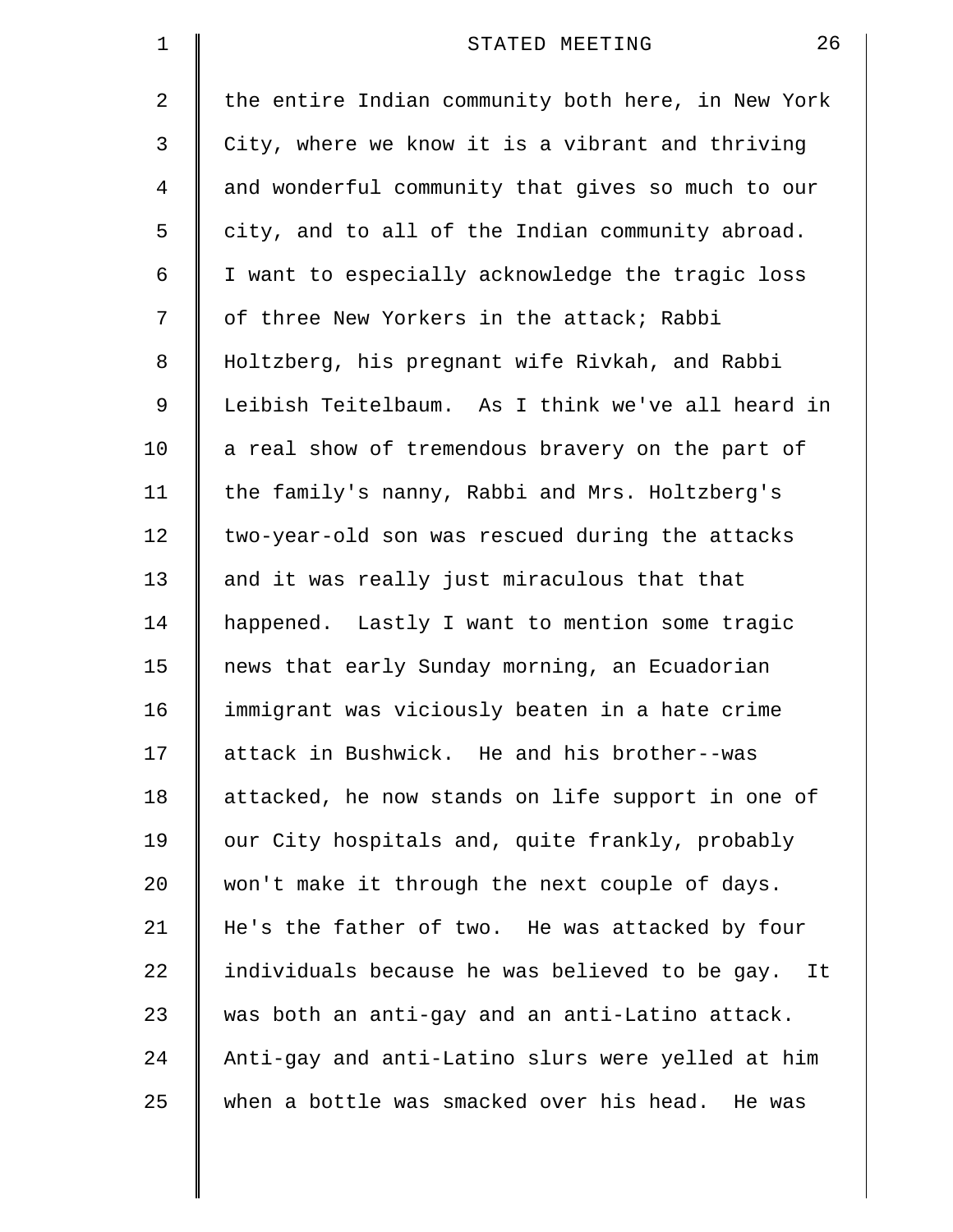| $\mathbf 1$ | 26<br>STATED MEETING                               |
|-------------|----------------------------------------------------|
| 2           | the entire Indian community both here, in New York |
| 3           | City, where we know it is a vibrant and thriving   |
| 4           | and wonderful community that gives so much to our  |
| 5           | city, and to all of the Indian community abroad.   |
| 6           | I want to especially acknowledge the tragic loss   |
| 7           | of three New Yorkers in the attack; Rabbi          |
| 8           | Holtzberg, his pregnant wife Rivkah, and Rabbi     |
| 9           | Leibish Teitelbaum. As I think we've all heard in  |
| 10          | a real show of tremendous bravery on the part of   |
| 11          | the family's nanny, Rabbi and Mrs. Holtzberg's     |
| 12          | two-year-old son was rescued during the attacks    |
| 13          | and it was really just miraculous that that        |
| 14          | happened. Lastly I want to mention some tragic     |
| 15          | news that early Sunday morning, an Ecuadorian      |
| 16          | immigrant was viciously beaten in a hate crime     |
| 17          | attack in Bushwick. He and his brother--was        |
| 18          | attacked, he now stands on life support in one of  |
| 19          | our City hospitals and, quite frankly, probably    |
| 20          | won't make it through the next couple of days.     |
| 21          | He's the father of two. He was attacked by four    |
| 22          | individuals because he was believed to be gay. It  |
| 23          | was both an anti-gay and an anti-Latino attack.    |
| 24          | Anti-gay and anti-Latino slurs were yelled at him  |
| 25          | when a bottle was smacked over his head. He was    |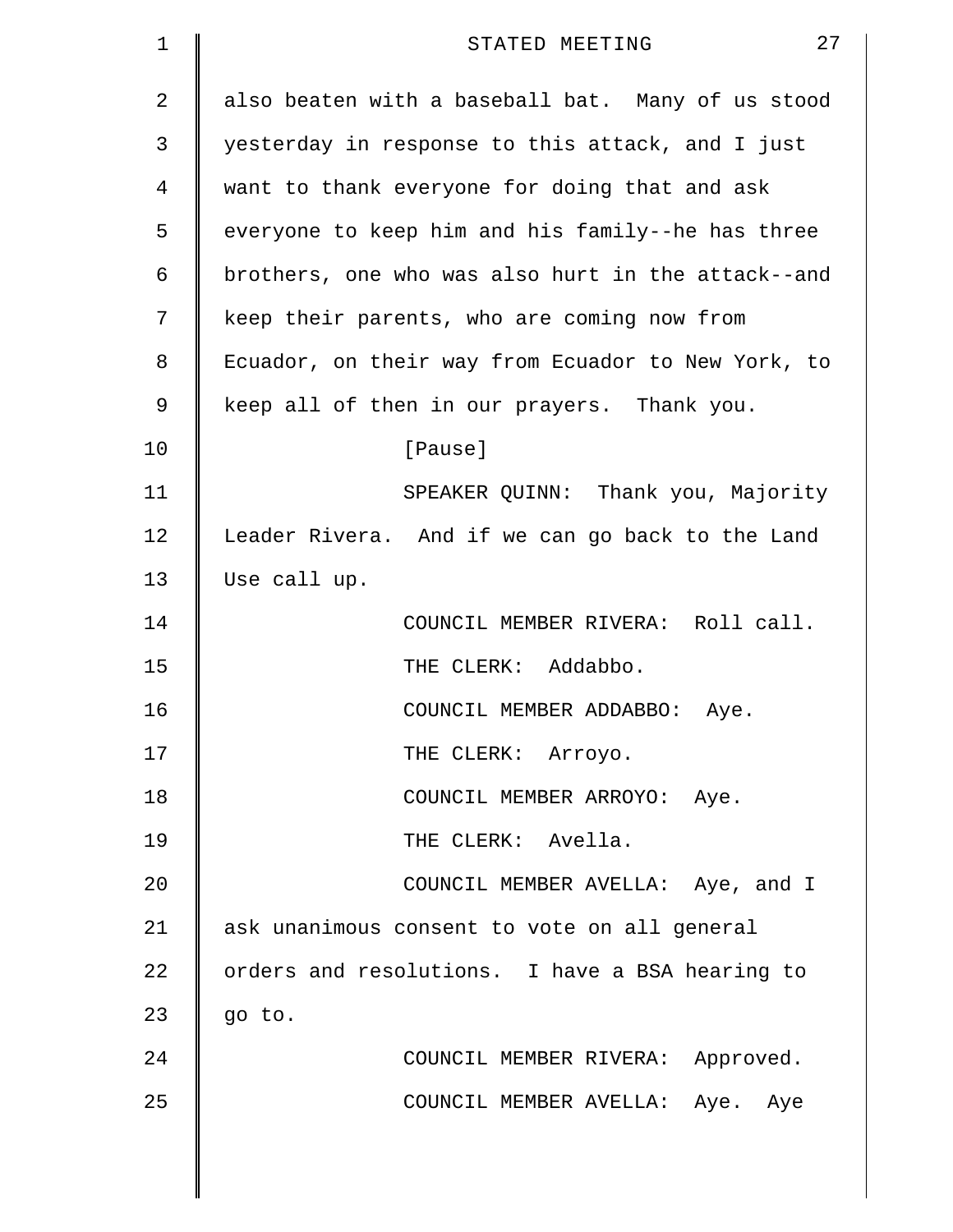| 1              | 27<br>STATED MEETING                               |
|----------------|----------------------------------------------------|
| $\overline{a}$ | also beaten with a baseball bat. Many of us stood  |
| 3              | yesterday in response to this attack, and I just   |
| 4              | want to thank everyone for doing that and ask      |
| 5              | everyone to keep him and his family--he has three  |
| 6              | brothers, one who was also hurt in the attack--and |
| 7              | keep their parents, who are coming now from        |
| 8              | Ecuador, on their way from Ecuador to New York, to |
| 9              | keep all of then in our prayers. Thank you.        |
| 10             | [Pause]                                            |
| 11             | SPEAKER QUINN: Thank you, Majority                 |
| 12             | Leader Rivera. And if we can go back to the Land   |
| 13             | Use call up.                                       |
| 14             | COUNCIL MEMBER RIVERA: Roll call.                  |
| 15             | THE CLERK: Addabbo.                                |
| 16             | COUNCIL MEMBER ADDABBO:<br>Aye.                    |
| 17             | THE CLERK: Arroyo.                                 |
| 18             | COUNCIL MEMBER ARROYO: Aye.                        |
| 19             | THE CLERK: Avella.                                 |
| 20             | COUNCIL MEMBER AVELLA: Aye, and I                  |
| 21             | ask unanimous consent to vote on all general       |
| 22             | orders and resolutions. I have a BSA hearing to    |
| 23             | go to.                                             |
| 24             | COUNCIL MEMBER RIVERA: Approved.                   |
| 25             | COUNCIL MEMBER AVELLA: Aye. Aye                    |
|                |                                                    |
|                |                                                    |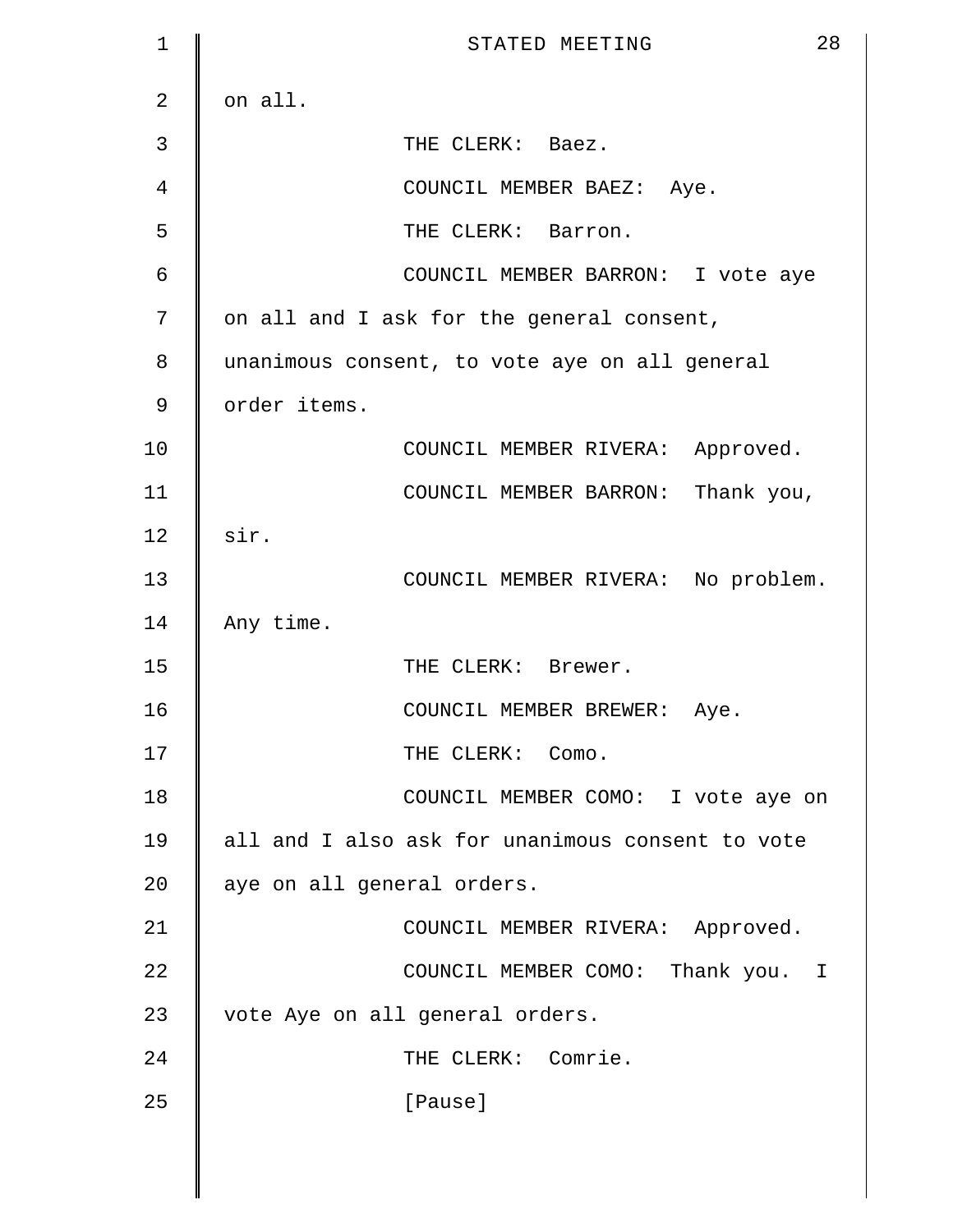| $\mathbf 1$    | 28<br>STATED MEETING                             |
|----------------|--------------------------------------------------|
| $\overline{2}$ | on all.                                          |
| 3              | THE CLERK: Baez.                                 |
| 4              | COUNCIL MEMBER BAEZ: Aye.                        |
| 5              | THE CLERK: Barron.                               |
| 6              | COUNCIL MEMBER BARRON: I vote aye                |
| 7              | on all and I ask for the general consent,        |
| 8              | unanimous consent, to vote aye on all general    |
| $\mathcal{G}$  | order items.                                     |
| 10             | COUNCIL MEMBER RIVERA: Approved.                 |
| 11             | COUNCIL MEMBER BARRON: Thank you,                |
| 12             | sir.                                             |
| 13             | COUNCIL MEMBER RIVERA: No problem.               |
| 14             | Any time.                                        |
| 15             | THE CLERK: Brewer.                               |
| 16             | COUNCIL MEMBER BREWER: Aye.                      |
| 17             | THE CLERK: Como.                                 |
| 18             | COUNCIL MEMBER COMO: I vote aye on               |
| 19             | all and I also ask for unanimous consent to vote |
| 20             | aye on all general orders.                       |
| 21             | COUNCIL MEMBER RIVERA: Approved.                 |
| 22             | COUNCIL MEMBER COMO: Thank you. I                |
| 23             | vote Aye on all general orders.                  |
| 24             | THE CLERK: Comrie.                               |
| 25             | [Pause]                                          |
|                |                                                  |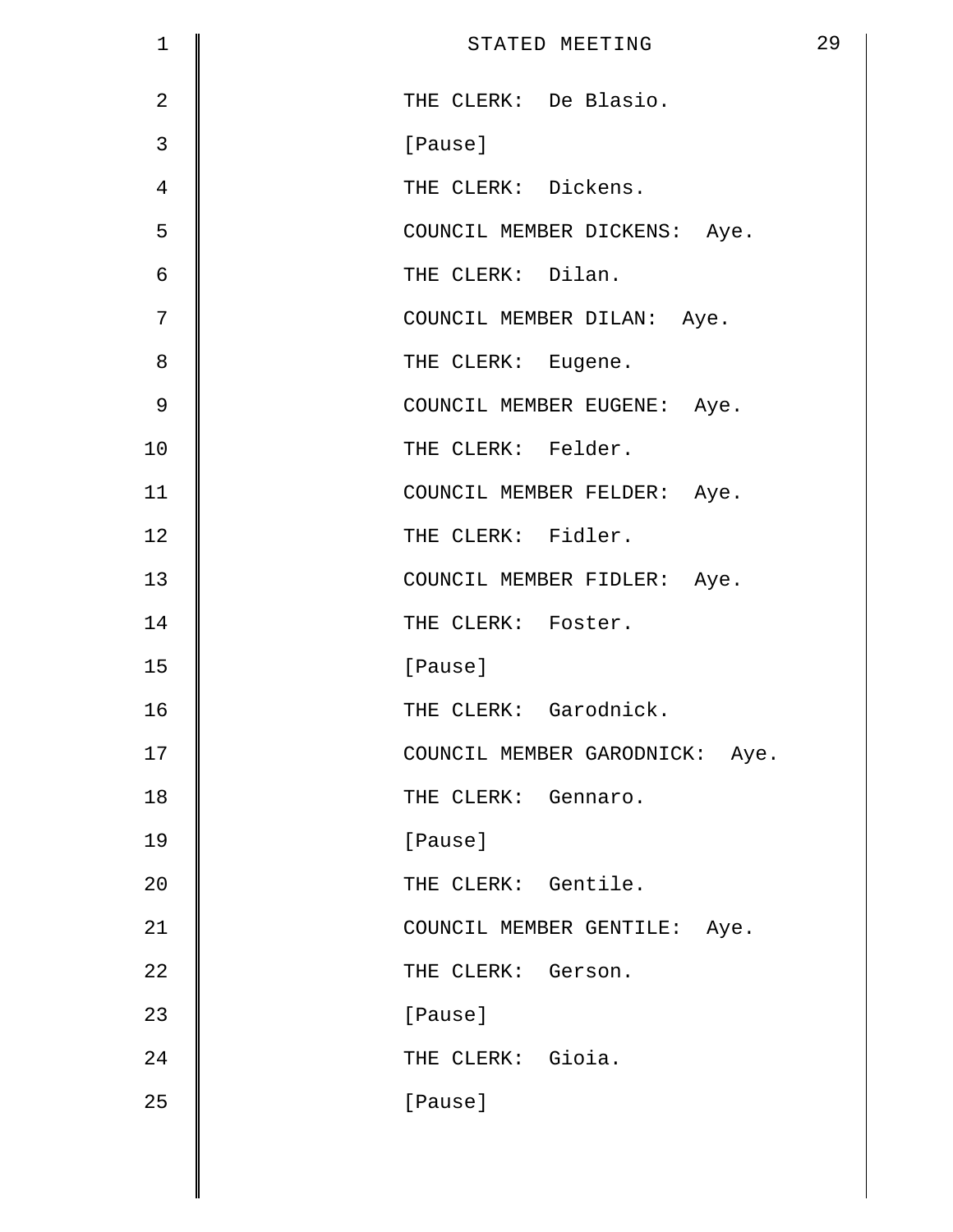| $\mathbf 1$    | 29<br>STATED MEETING           |
|----------------|--------------------------------|
| $\overline{2}$ | THE CLERK: De Blasio.          |
| 3              | [Pause]                        |
| 4              | THE CLERK: Dickens.            |
| 5              | COUNCIL MEMBER DICKENS: Aye.   |
| 6              | THE CLERK: Dilan.              |
| 7              | COUNCIL MEMBER DILAN: Aye.     |
| 8              | THE CLERK: Eugene.             |
| $\mathsf 9$    | COUNCIL MEMBER EUGENE: Aye.    |
| 10             | THE CLERK: Felder.             |
| 11             | COUNCIL MEMBER FELDER: Aye.    |
| 12             | THE CLERK: Fidler.             |
| 13             | COUNCIL MEMBER FIDLER: Aye.    |
| 14             | THE CLERK: Foster.             |
| 15             | [Pause]                        |
| 16             | THE CLERK: Garodnick.          |
| 17             | COUNCIL MEMBER GARODNICK: Aye. |
| 18             | THE CLERK: Gennaro.            |
| 19             | [Pause]                        |
| 20             | THE CLERK: Gentile.            |
| 21             | COUNCIL MEMBER GENTILE: Aye.   |
| 22             | THE CLERK: Gerson.             |
| 23             | [Pause]                        |
| 24             | THE CLERK: Gioia.              |
| 25             | [Pause]                        |
|                |                                |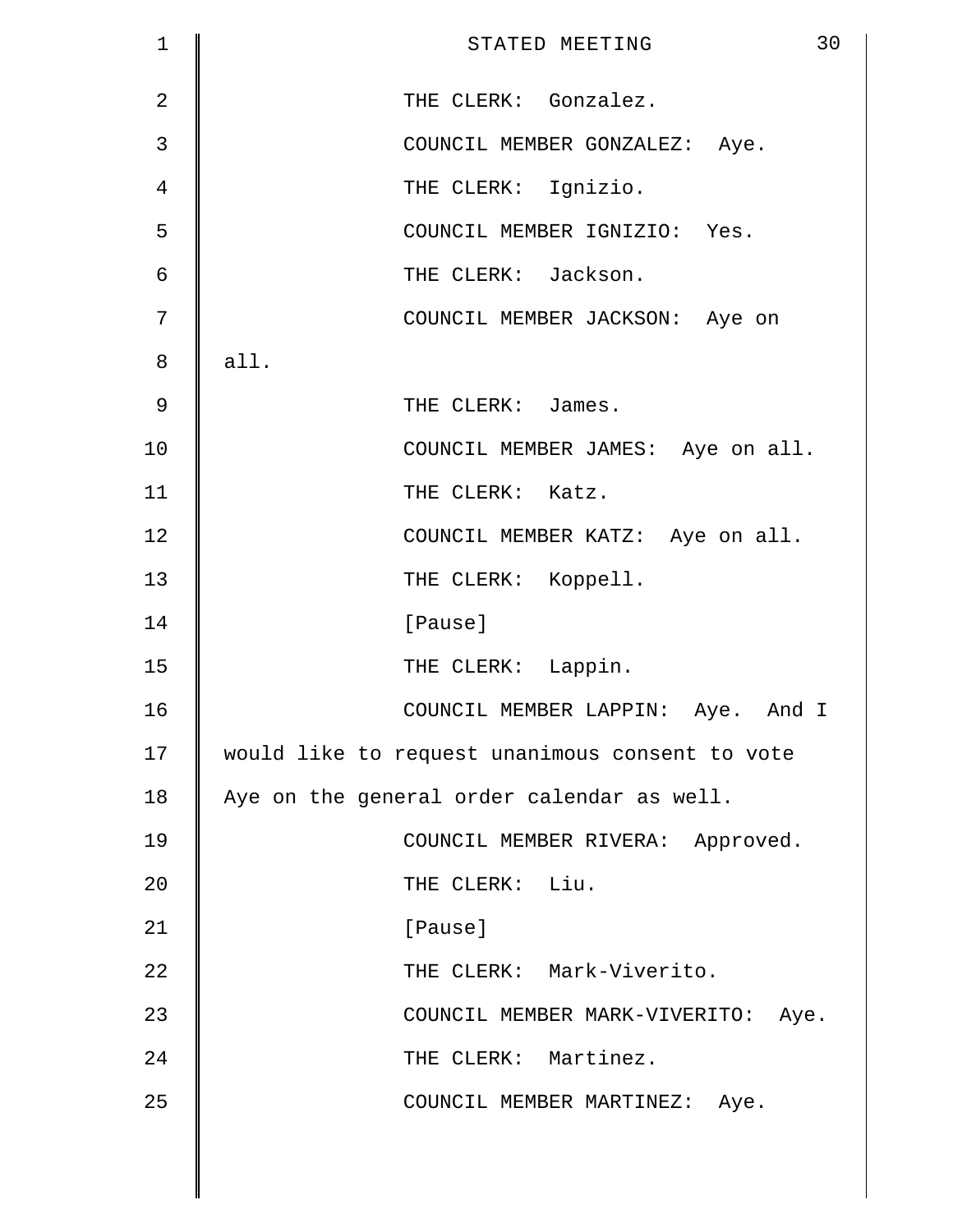| $\mathbf 1$    | 30<br>STATED MEETING                            |
|----------------|-------------------------------------------------|
| $\overline{2}$ | THE CLERK: Gonzalez.                            |
| $\mathfrak{Z}$ | COUNCIL MEMBER GONZALEZ: Aye.                   |
| 4              | THE CLERK: Ignizio.                             |
| 5              | COUNCIL MEMBER IGNIZIO: Yes.                    |
| 6              | THE CLERK: Jackson.                             |
| 7              | COUNCIL MEMBER JACKSON: Aye on                  |
| 8              | all.                                            |
| $\mathsf 9$    | THE CLERK: James.                               |
| 10             | COUNCIL MEMBER JAMES: Aye on all.               |
| 11             | THE CLERK: Katz.                                |
| 12             | COUNCIL MEMBER KATZ: Aye on all.                |
| 13             | THE CLERK: Koppell.                             |
| 14             | [Pause]                                         |
| 15             | THE CLERK: Lappin.                              |
| 16             | COUNCIL MEMBER LAPPIN: Aye. And I               |
| 17             | would like to request unanimous consent to vote |
| 18             | Aye on the general order calendar as well.      |
| 19             | COUNCIL MEMBER RIVERA: Approved.                |
| 20             | THE CLERK: Liu.                                 |
| 21             | [Pause]                                         |
| 22             | THE CLERK: Mark-Viverito.                       |
| 23             | COUNCIL MEMBER MARK-VIVERITO: Aye.              |
| 24             | THE CLERK: Martinez.                            |
| 25             | COUNCIL MEMBER MARTINEZ: Aye.                   |
|                |                                                 |
|                |                                                 |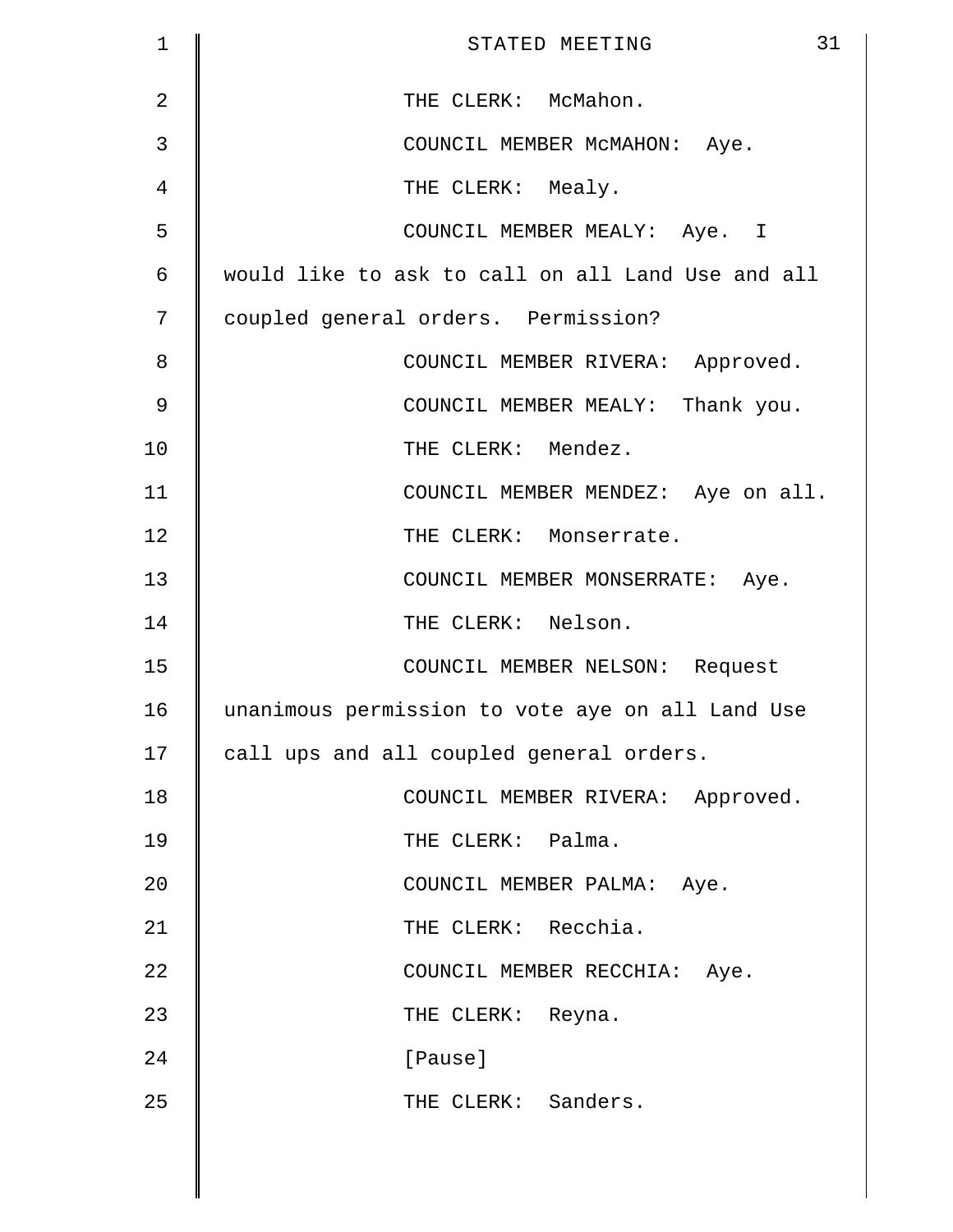| $\mathbf 1$   | 31<br>STATED MEETING                              |
|---------------|---------------------------------------------------|
| 2             | THE CLERK: McMahon.                               |
| 3             | COUNCIL MEMBER MCMAHON: Aye.                      |
| 4             | THE CLERK: Mealy.                                 |
| 5             | COUNCIL MEMBER MEALY: Aye. I                      |
| 6             | would like to ask to call on all Land Use and all |
| 7             | coupled general orders. Permission?               |
| 8             | COUNCIL MEMBER RIVERA: Approved.                  |
| $\mathcal{G}$ | COUNCIL MEMBER MEALY: Thank you.                  |
| 10            | THE CLERK: Mendez.                                |
| 11            | COUNCIL MEMBER MENDEZ: Aye on all.                |
| 12            | THE CLERK: Monserrate.                            |
| 13            | COUNCIL MEMBER MONSERRATE: Aye.                   |
| 14            | THE CLERK: Nelson.                                |
| 15            | COUNCIL MEMBER NELSON: Request                    |
| 16            | unanimous permission to vote aye on all Land Use  |
| 17            | call ups and all coupled general orders.          |
| 18            | COUNCIL MEMBER RIVERA: Approved.                  |
| 19            | THE CLERK: Palma.                                 |
| 20            | COUNCIL MEMBER PALMA: Aye.                        |
| 21            | THE CLERK: Recchia.                               |
| 22            | COUNCIL MEMBER RECCHIA: Aye.                      |
| 23            | THE CLERK: Reyna.                                 |
| 24            | [Pause]                                           |
| 25            | THE CLERK: Sanders.                               |
|               |                                                   |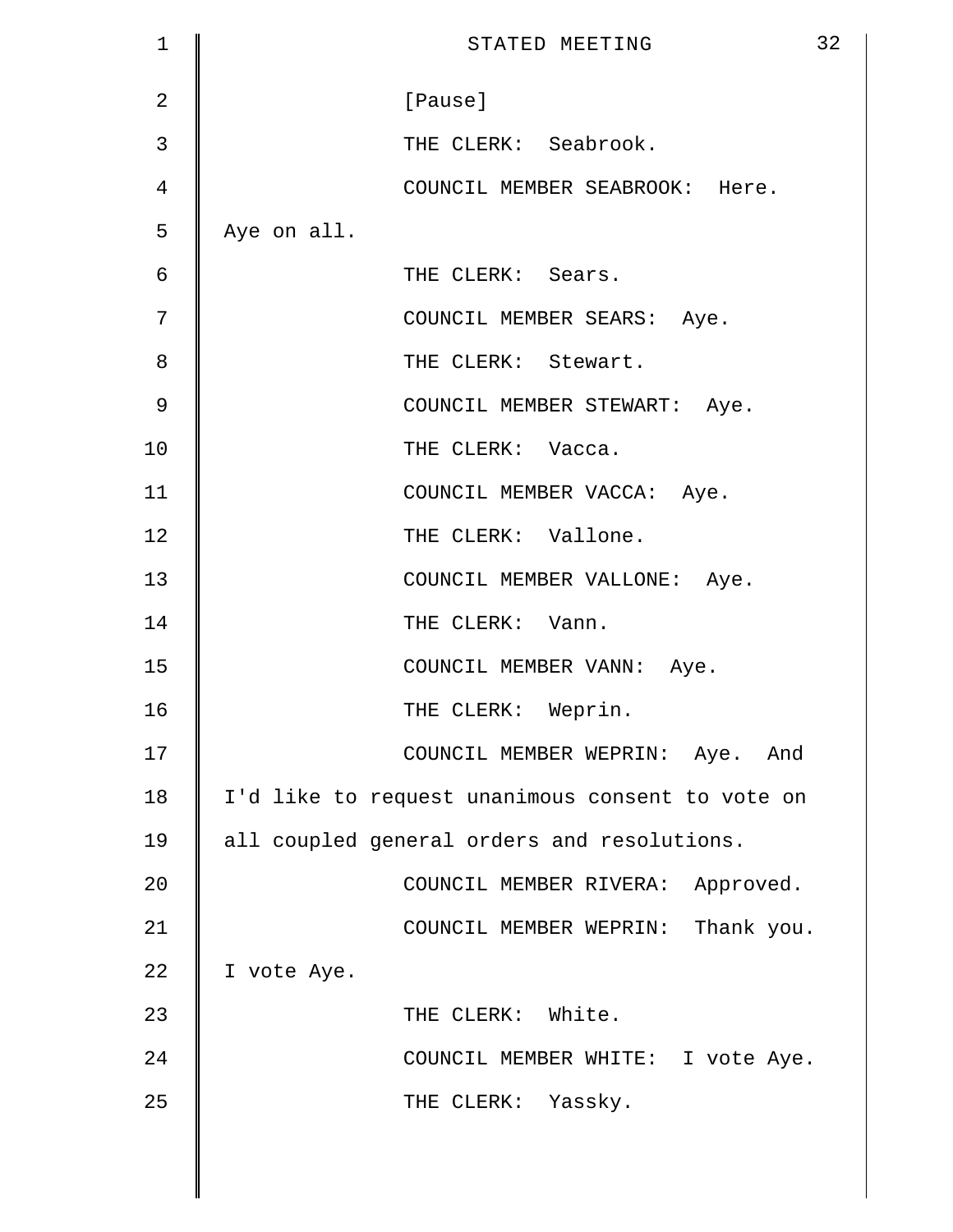| $\mathbf 1$    | 32<br>STATED MEETING                             |
|----------------|--------------------------------------------------|
| $\overline{2}$ | [Pause]                                          |
| 3              | THE CLERK: Seabrook.                             |
| 4              | COUNCIL MEMBER SEABROOK: Here.                   |
| 5              | Aye on all.                                      |
| 6              | THE CLERK: Sears.                                |
| 7              | COUNCIL MEMBER SEARS: Aye.                       |
| 8              | THE CLERK: Stewart.                              |
| 9              | COUNCIL MEMBER STEWART: Aye.                     |
| 10             | THE CLERK: Vacca.                                |
| 11             | COUNCIL MEMBER VACCA: Aye.                       |
| 12             | THE CLERK: Vallone.                              |
| 13             | COUNCIL MEMBER VALLONE: Aye.                     |
| 14             | THE CLERK: Vann.                                 |
| 15             | COUNCIL MEMBER VANN: Aye.                        |
| 16             | THE CLERK: Weprin.                               |
| 17             | COUNCIL MEMBER WEPRIN: Aye. And                  |
| 18             | I'd like to request unanimous consent to vote on |
| 19             | all coupled general orders and resolutions.      |
| 20             | COUNCIL MEMBER RIVERA: Approved.                 |
| 21             | COUNCIL MEMBER WEPRIN: Thank you.                |
| 22             | I vote Aye.                                      |
| 23             | THE CLERK: White.                                |
| 24             | COUNCIL MEMBER WHITE: I vote Aye.                |
| 25             | THE CLERK: Yassky.                               |
|                |                                                  |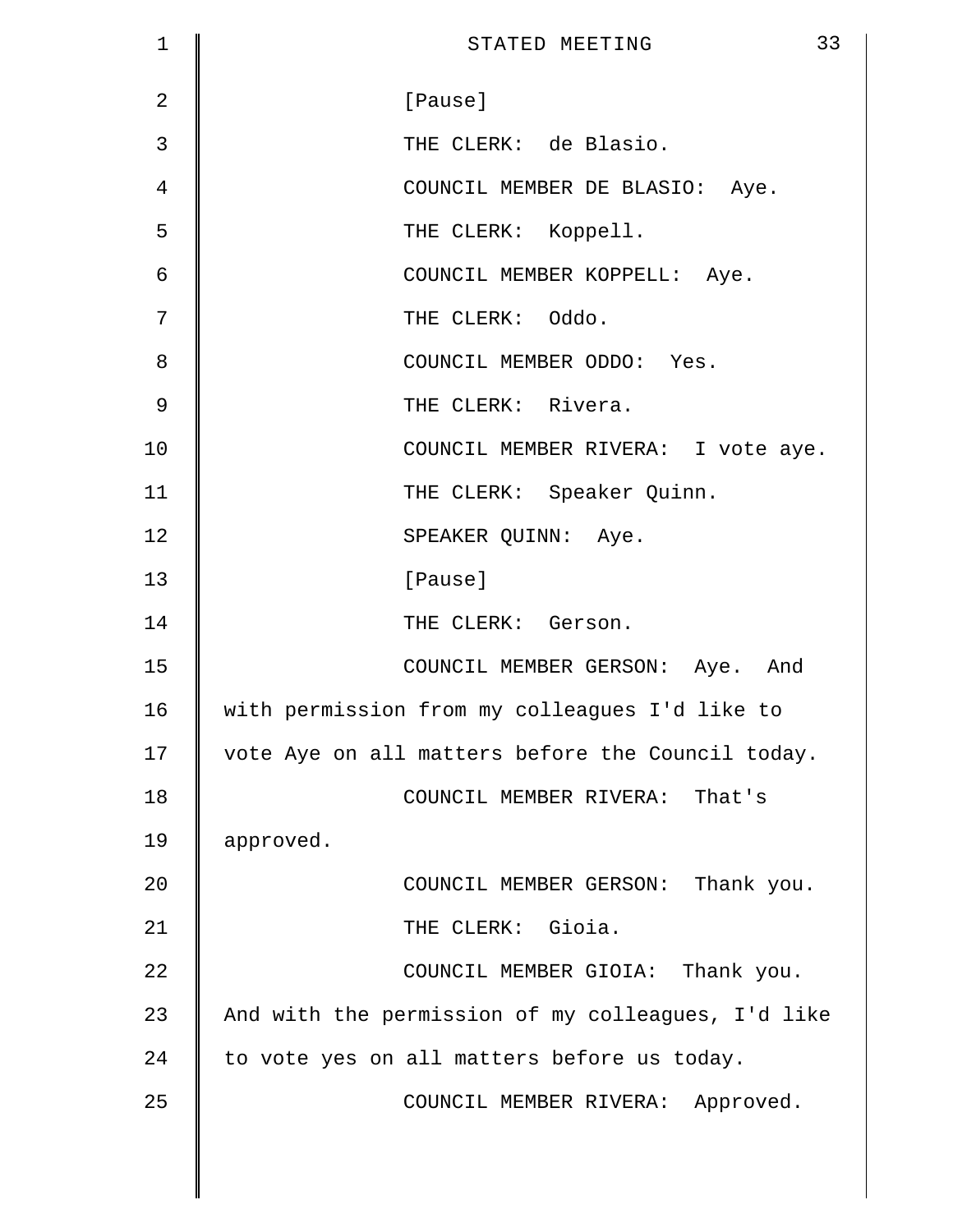| $\mathbf 1$    | 33<br>STATED MEETING                               |
|----------------|----------------------------------------------------|
| $\overline{2}$ | [Pause]                                            |
| 3              | THE CLERK: de Blasio.                              |
| 4              | COUNCIL MEMBER DE BLASIO: Aye.                     |
| 5              | THE CLERK: Koppell.                                |
| 6              | COUNCIL MEMBER KOPPELL: Aye.                       |
| 7              | THE CLERK: Oddo.                                   |
| 8              | COUNCIL MEMBER ODDO: Yes.                          |
| $\mathcal{G}$  | THE CLERK: Rivera.                                 |
| 10             | COUNCIL MEMBER RIVERA: I vote aye.                 |
| 11             | THE CLERK: Speaker Quinn.                          |
| 12             | SPEAKER QUINN: Aye.                                |
| 13             | [Pause]                                            |
| 14             | THE CLERK: Gerson.                                 |
| 15             | COUNCIL MEMBER GERSON: Aye. And                    |
| 16             | with permission from my colleagues I'd like to     |
| 17             | vote Aye on all matters before the Council today.  |
| 18             | COUNCIL MEMBER RIVERA: That's                      |
| 19             | approved.                                          |
| 20             | COUNCIL MEMBER GERSON: Thank you.                  |
| 21             | THE CLERK: Gioia.                                  |
| 22             | COUNCIL MEMBER GIOIA: Thank you.                   |
| 23             | And with the permission of my colleagues, I'd like |
| 24             | to vote yes on all matters before us today.        |
| 25             | COUNCIL MEMBER RIVERA: Approved.                   |
|                |                                                    |
|                |                                                    |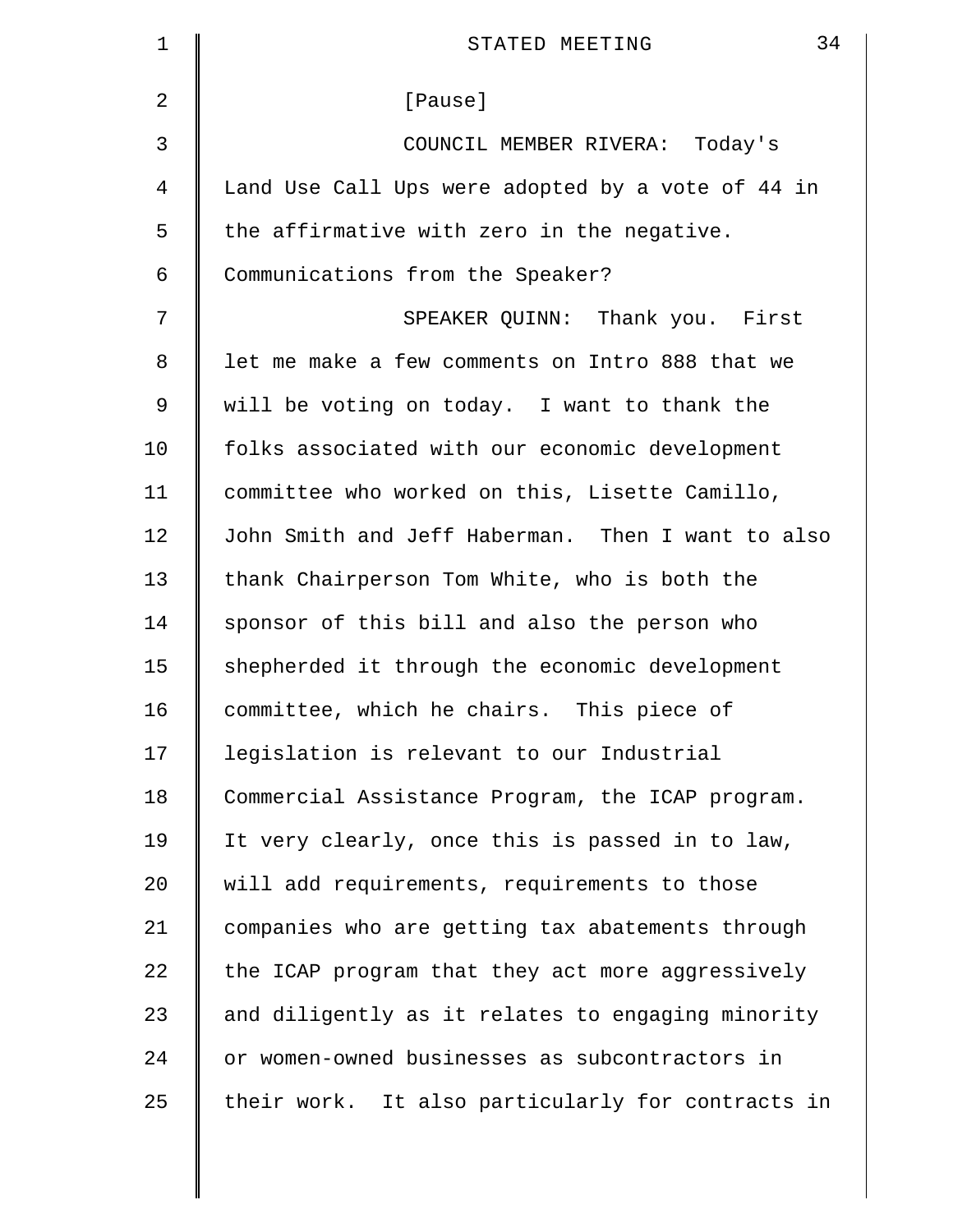| 1              | 34<br>STATED MEETING                              |
|----------------|---------------------------------------------------|
| $\overline{2}$ | [Pause]                                           |
| 3              | COUNCIL MEMBER RIVERA: Today's                    |
| 4              | Land Use Call Ups were adopted by a vote of 44 in |
| 5              | the affirmative with zero in the negative.        |
| 6              | Communications from the Speaker?                  |
| 7              | SPEAKER QUINN: Thank you. First                   |
| 8              | let me make a few comments on Intro 888 that we   |
| 9              | will be voting on today. I want to thank the      |
| 10             | folks associated with our economic development    |
| 11             | committee who worked on this, Lisette Camillo,    |
| 12             | John Smith and Jeff Haberman. Then I want to also |
| 13             | thank Chairperson Tom White, who is both the      |
| 14             | sponsor of this bill and also the person who      |
| 15             | shepherded it through the economic development    |
| 16             | committee, which he chairs. This piece of         |
| 17             | legislation is relevant to our Industrial         |
| 18             | Commercial Assistance Program, the ICAP program.  |
| 19             | It very clearly, once this is passed in to law,   |
| 20             | will add requirements, requirements to those      |
| 21             | companies who are getting tax abatements through  |
| 22             | the ICAP program that they act more aggressively  |
| 23             | and diligently as it relates to engaging minority |
| 24             | or women-owned businesses as subcontractors in    |
| 25             | their work. It also particularly for contracts in |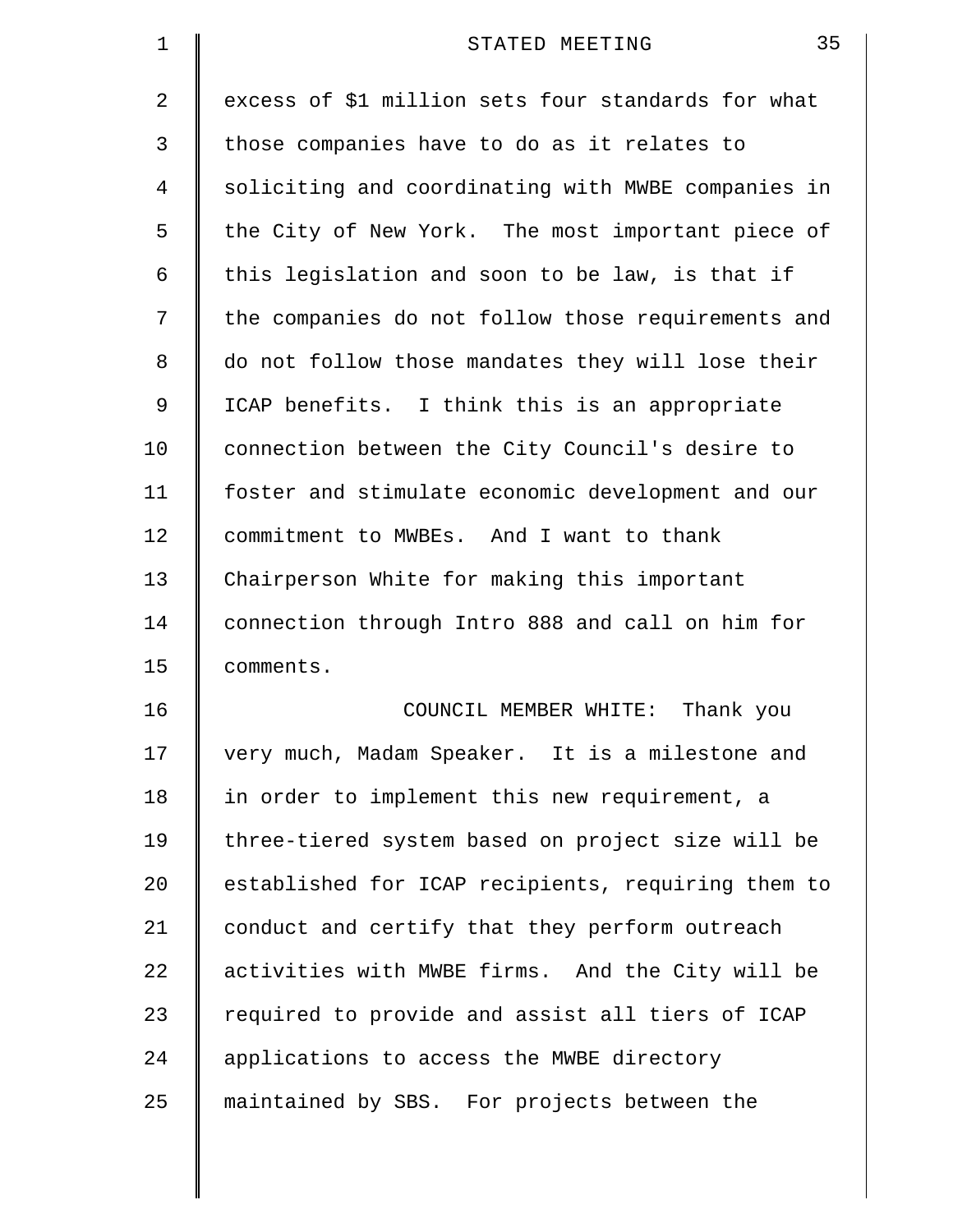| $\mathbf 1$ | 35<br>STATED MEETING                               |
|-------------|----------------------------------------------------|
| 2           | excess of \$1 million sets four standards for what |
| 3           | those companies have to do as it relates to        |
| 4           | soliciting and coordinating with MWBE companies in |
| 5           | the City of New York. The most important piece of  |
| 6           | this legislation and soon to be law, is that if    |
| 7           | the companies do not follow those requirements and |
| 8           | do not follow those mandates they will lose their  |
| 9           | ICAP benefits. I think this is an appropriate      |
| 10          | connection between the City Council's desire to    |
| 11          | foster and stimulate economic development and our  |
| 12          | commitment to MWBEs. And I want to thank           |
| 13          | Chairperson White for making this important        |
| 14          | connection through Intro 888 and call on him for   |
| 15          | comments.                                          |
| 16          | Thank you<br>COUNCIL MEMBER WHITE:                 |
| 17          | very much, Madam Speaker. It is a milestone and    |
| 18          | in order to implement this new requirement, a      |
| 19          | three-tiered system based on project size will be  |
| 20          | established for ICAP recipients, requiring them to |
| 21          | conduct and certify that they perform outreach     |
| 22          | activities with MWBE firms. And the City will be   |
| 23          | required to provide and assist all tiers of ICAP   |
| 24          | applications to access the MWBE directory          |
| 25          | maintained by SBS. For projects between the        |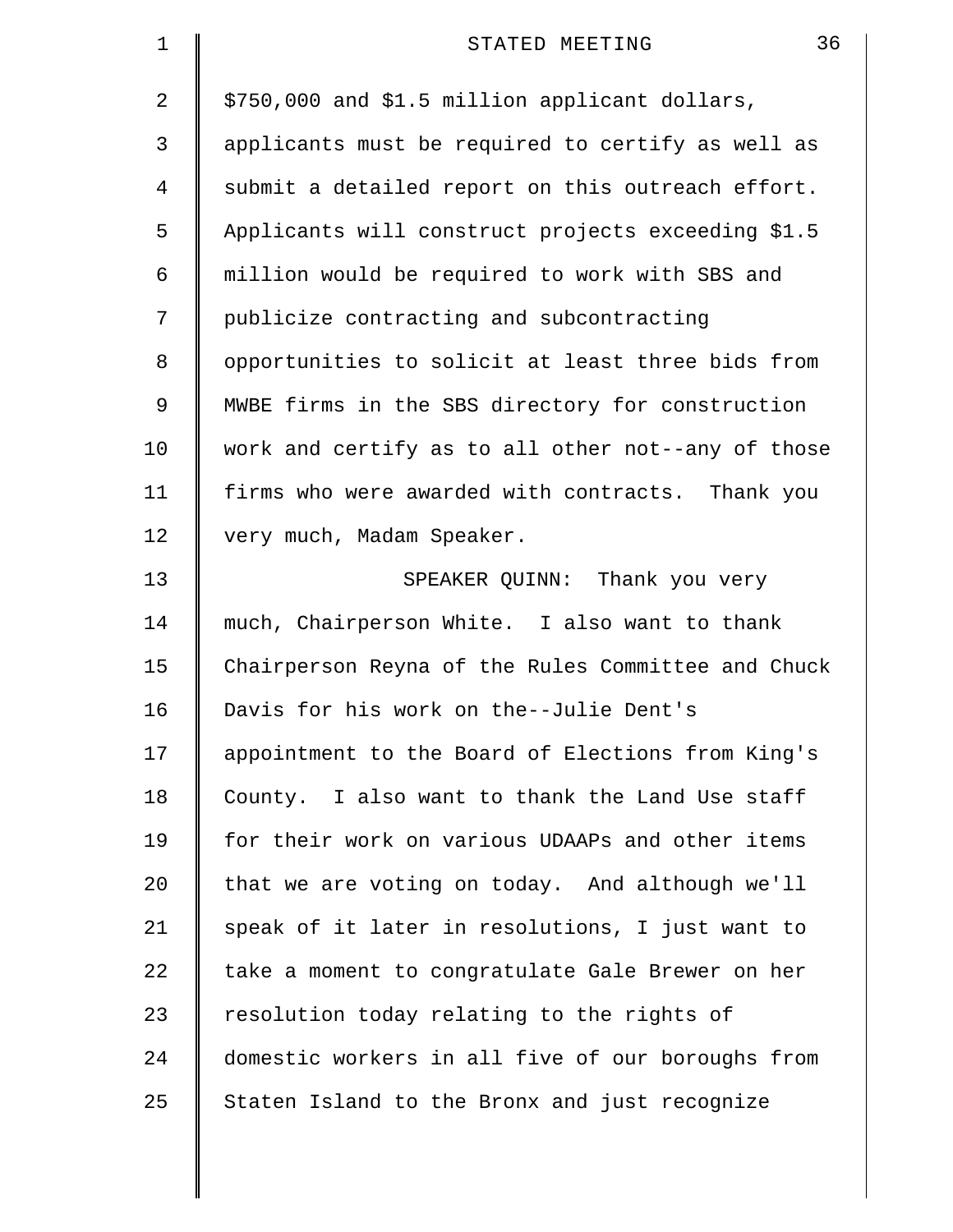| $\mathbf 1$ | 36<br>STATED MEETING                               |
|-------------|----------------------------------------------------|
| 2           | \$750,000 and \$1.5 million applicant dollars,     |
| 3           | applicants must be required to certify as well as  |
| 4           | submit a detailed report on this outreach effort.  |
| 5           | Applicants will construct projects exceeding \$1.5 |
| 6           | million would be required to work with SBS and     |
| 7           | publicize contracting and subcontracting           |
| 8           | opportunities to solicit at least three bids from  |
| 9           | MWBE firms in the SBS directory for construction   |
| 10          | work and certify as to all other not--any of those |
| 11          | firms who were awarded with contracts. Thank you   |
| 12          | very much, Madam Speaker.                          |
| 13          | SPEAKER QUINN: Thank you very                      |
| 14          | much, Chairperson White. I also want to thank      |
| 15          | Chairperson Reyna of the Rules Committee and Chuck |
| 16          | Davis for his work on the--Julie Dent's            |
| 17          | appointment to the Board of Elections from King's  |
| 18          | County. I also want to thank the Land Use staff    |
| 19          | for their work on various UDAAPs and other items   |
| 20          | that we are voting on today. And although we'll    |
| 21          | speak of it later in resolutions, I just want to   |
| 22          | take a moment to congratulate Gale Brewer on her   |
| 23          | resolution today relating to the rights of         |
| 24          | domestic workers in all five of our boroughs from  |
| 25          | Staten Island to the Bronx and just recognize      |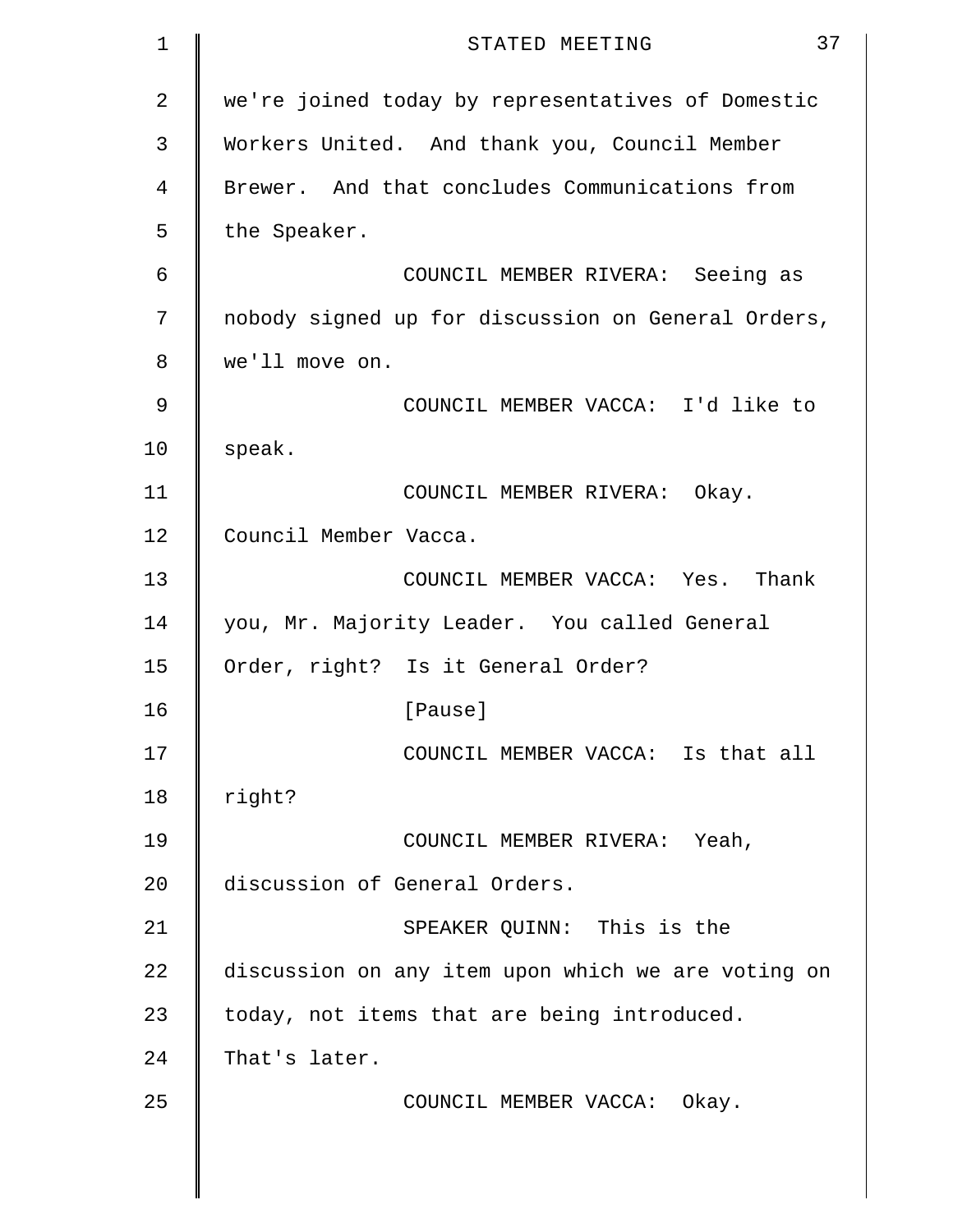| $\mathbf 1$ | 37<br>STATED MEETING                               |
|-------------|----------------------------------------------------|
| 2           | we're joined today by representatives of Domestic  |
| 3           | Workers United. And thank you, Council Member      |
| 4           | Brewer. And that concludes Communications from     |
| 5           | the Speaker.                                       |
| 6           | COUNCIL MEMBER RIVERA: Seeing as                   |
| 7           | nobody signed up for discussion on General Orders, |
| 8           | we'll move on.                                     |
| 9           | COUNCIL MEMBER VACCA: I'd like to                  |
| 10          | speak.                                             |
| 11          | COUNCIL MEMBER RIVERA: Okay.                       |
| 12          | Council Member Vacca.                              |
| 13          | COUNCIL MEMBER VACCA: Yes. Thank                   |
| 14          | you, Mr. Majority Leader. You called General       |
| 15          | Order, right? Is it General Order?                 |
| 16          | [Pause]                                            |
| 17          | COUNCIL MEMBER VACCA: Is that all                  |
| 18          | right?                                             |
| 19          | COUNCIL MEMBER RIVERA: Yeah,                       |
| 20          | discussion of General Orders.                      |
| 21          | SPEAKER QUINN: This is the                         |
| 22          | discussion on any item upon which we are voting on |
| 23          | today, not items that are being introduced.        |
| 24          | That's later.                                      |
| 25          | COUNCIL MEMBER VACCA: Okay.                        |
|             |                                                    |
|             |                                                    |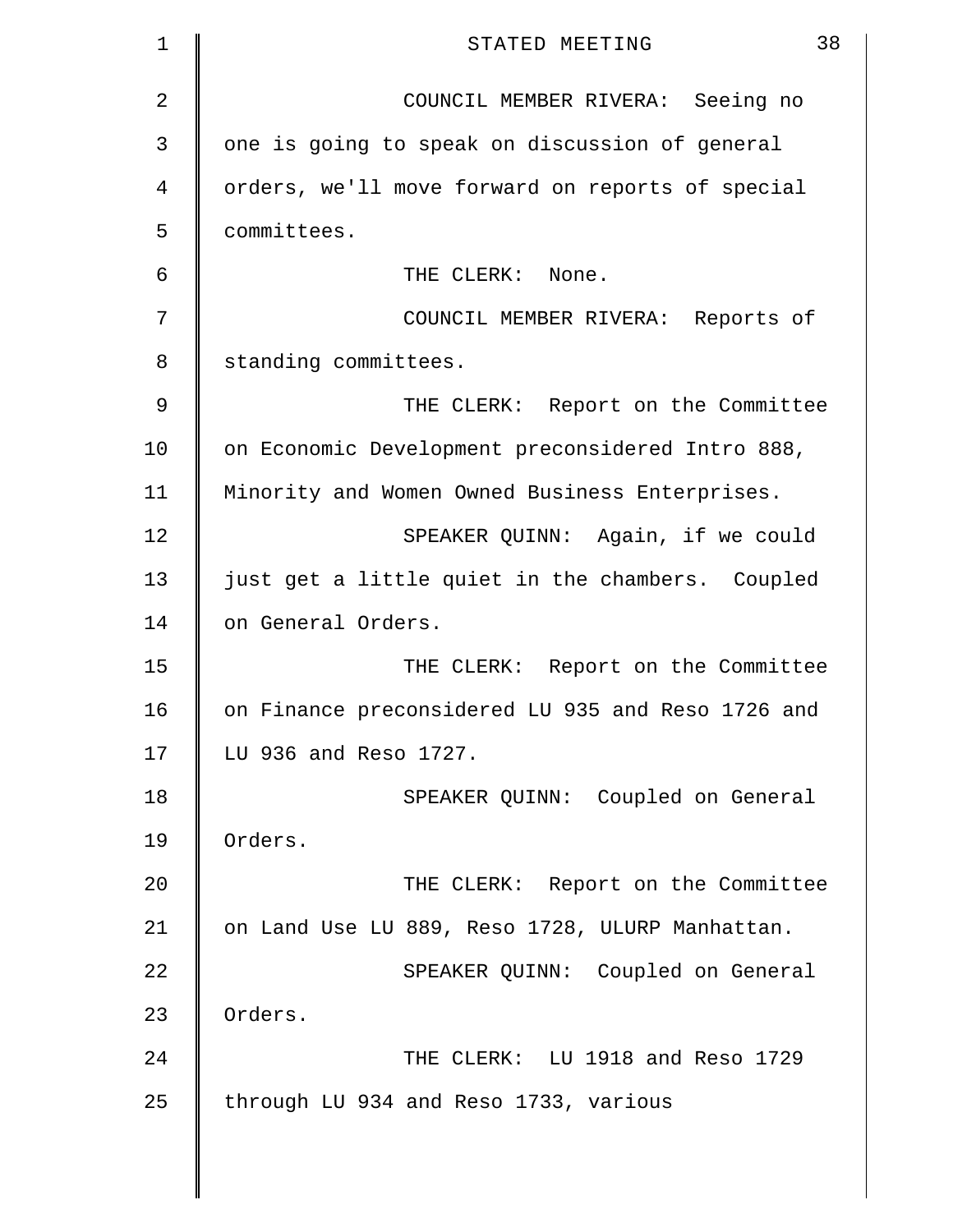| 1  | 38<br>STATED MEETING                              |
|----|---------------------------------------------------|
| 2  | COUNCIL MEMBER RIVERA: Seeing no                  |
| 3  | one is going to speak on discussion of general    |
| 4  | orders, we'll move forward on reports of special  |
| 5  | committees.                                       |
| 6  | THE CLERK: None.                                  |
| 7  | COUNCIL MEMBER RIVERA: Reports of                 |
| 8  | standing committees.                              |
| 9  | THE CLERK: Report on the Committee                |
| 10 | on Economic Development preconsidered Intro 888,  |
| 11 | Minority and Women Owned Business Enterprises.    |
| 12 | SPEAKER QUINN: Again, if we could                 |
| 13 | just get a little quiet in the chambers. Coupled  |
| 14 | on General Orders.                                |
| 15 | THE CLERK: Report on the Committee                |
| 16 | on Finance preconsidered LU 935 and Reso 1726 and |
| 17 | LU 936 and Reso 1727.                             |
| 18 | SPEAKER QUINN: Coupled on General                 |
| 19 | Orders.                                           |
| 20 | THE CLERK: Report on the Committee                |
| 21 | on Land Use LU 889, Reso 1728, ULURP Manhattan.   |
| 22 | SPEAKER QUINN: Coupled on General                 |
| 23 | Orders.                                           |
| 24 | THE CLERK: LU 1918 and Reso 1729                  |
| 25 | through LU 934 and Reso 1733, various             |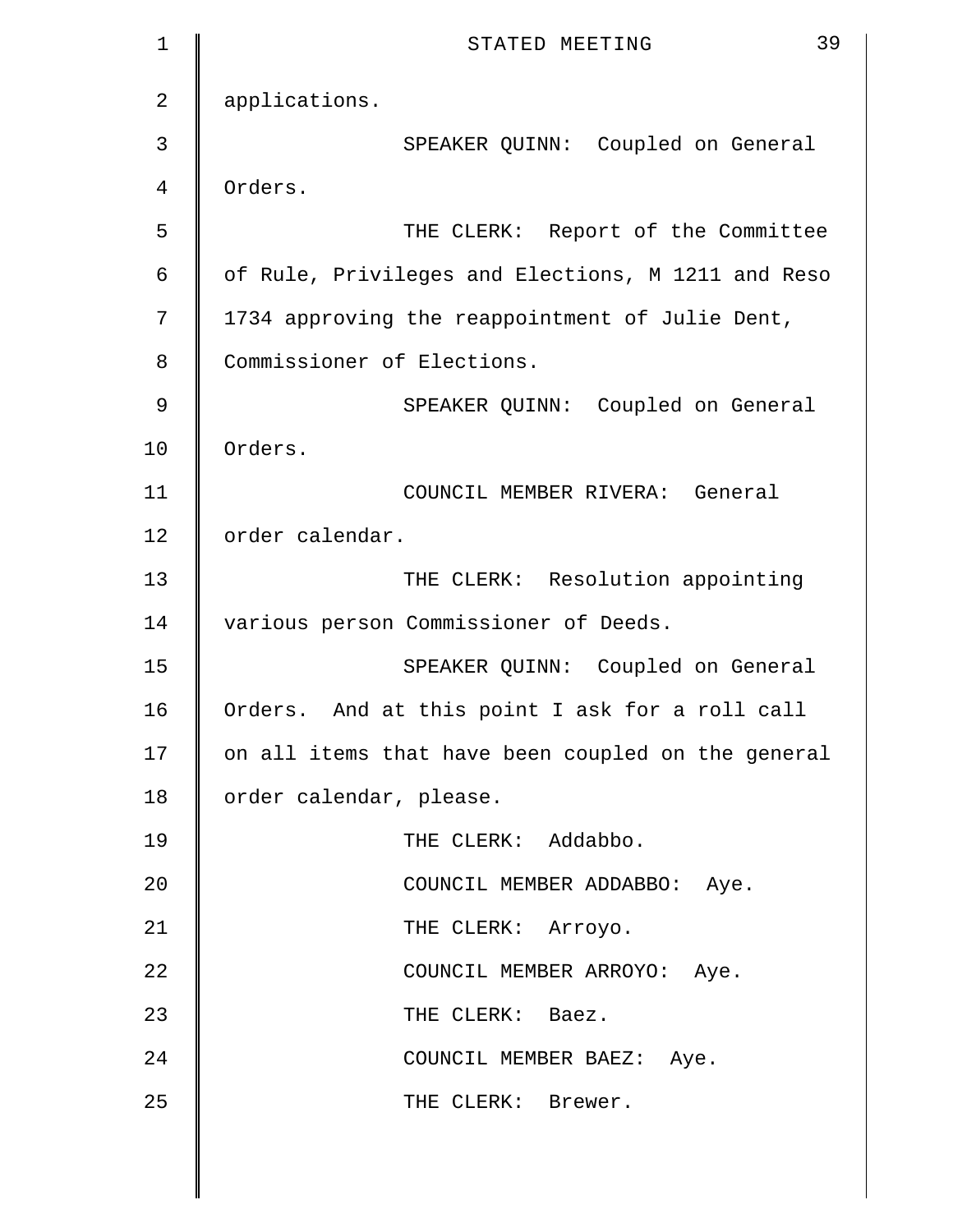| 1              | 39<br>STATED MEETING                               |
|----------------|----------------------------------------------------|
| $\overline{2}$ | applications.                                      |
| 3              | SPEAKER QUINN: Coupled on General                  |
| 4              | Orders.                                            |
| 5              | THE CLERK: Report of the Committee                 |
| 6              | of Rule, Privileges and Elections, M 1211 and Reso |
| 7              | 1734 approving the reappointment of Julie Dent,    |
| 8              | Commissioner of Elections.                         |
| 9              | SPEAKER QUINN: Coupled on General                  |
| 10             | Orders.                                            |
| 11             | COUNCIL MEMBER RIVERA: General                     |
| 12             | order calendar.                                    |
| 13             | THE CLERK: Resolution appointing                   |
| 14             | various person Commissioner of Deeds.              |
| 15             | SPEAKER QUINN: Coupled on General                  |
| 16             | Orders. And at this point I ask for a roll call    |
| 17             | on all items that have been coupled on the general |
| 18             | order calendar, please.                            |
| 19             | THE CLERK: Addabbo.                                |
| 20             | COUNCIL MEMBER ADDABBO: Aye.                       |
| 21             | THE CLERK: Arroyo.                                 |
| 22             | COUNCIL MEMBER ARROYO: Aye.                        |
| 23             | THE CLERK: Baez.                                   |
| 24             | COUNCIL MEMBER BAEZ: Aye.                          |
| 25             | THE CLERK: Brewer.                                 |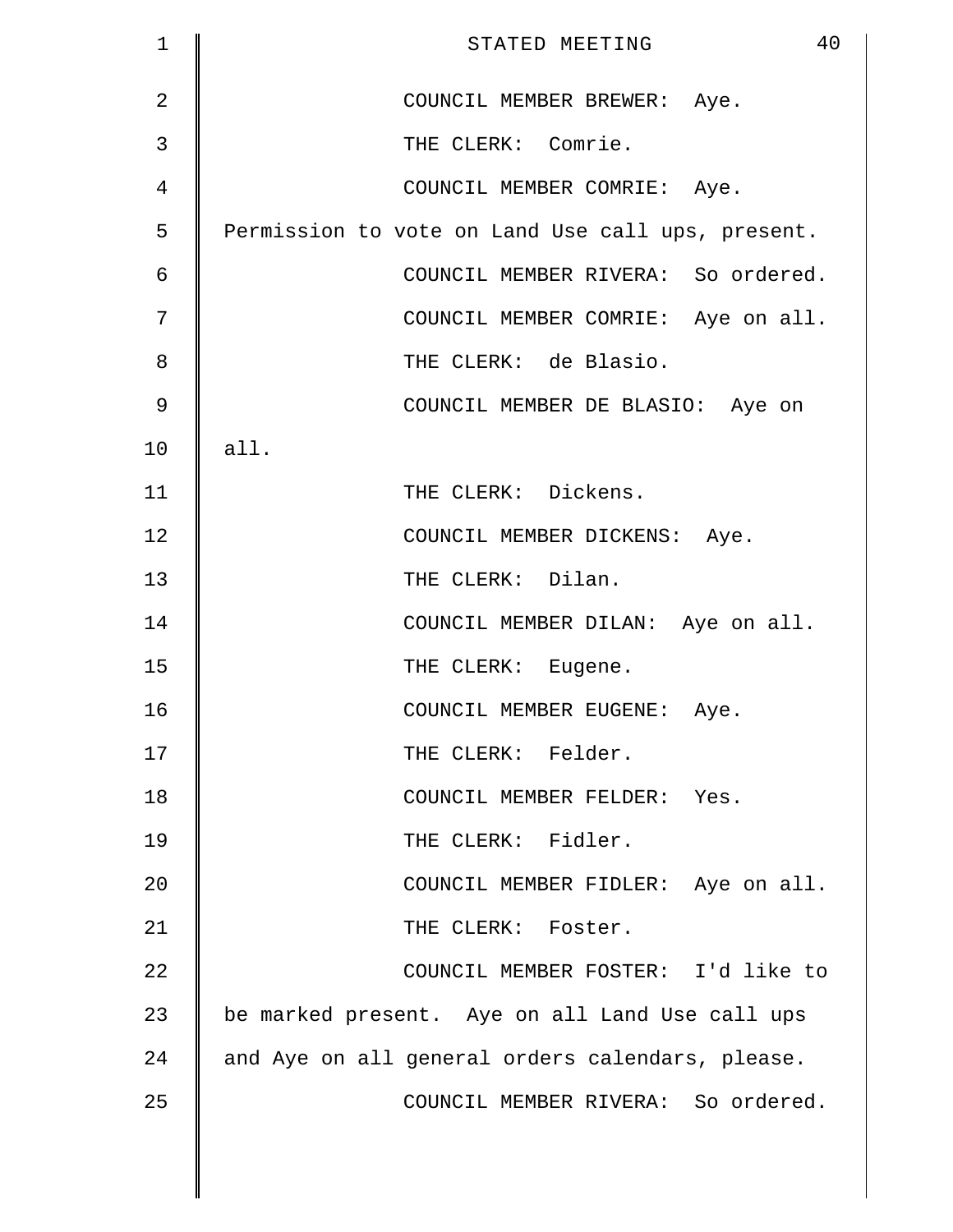| $\mathbf 1$    | 40<br>STATED MEETING                              |
|----------------|---------------------------------------------------|
| $\overline{2}$ | COUNCIL MEMBER BREWER: Aye.                       |
| 3              | THE CLERK: Comrie.                                |
| 4              | COUNCIL MEMBER COMRIE: Aye.                       |
| 5              | Permission to vote on Land Use call ups, present. |
| 6              | COUNCIL MEMBER RIVERA: So ordered.                |
| 7              | COUNCIL MEMBER COMRIE: Aye on all.                |
| 8              | THE CLERK: de Blasio.                             |
| $\mathcal{G}$  | COUNCIL MEMBER DE BLASIO: Aye on                  |
| 10             | all.                                              |
| 11             | THE CLERK: Dickens.                               |
| 12             | COUNCIL MEMBER DICKENS: Aye.                      |
| 13             | THE CLERK: Dilan.                                 |
| 14             | COUNCIL MEMBER DILAN: Aye on all.                 |
| 15             | THE CLERK: Eugene.                                |
| 16             | COUNCIL MEMBER EUGENE: Aye.                       |
| 17             | THE CLERK: Felder.                                |
| 18             | COUNCIL MEMBER FELDER: Yes.                       |
| 19             | THE CLERK: Fidler.                                |
| 20             | COUNCIL MEMBER FIDLER: Aye on all.                |
| 21             | THE CLERK: Foster.                                |
| 22             | COUNCIL MEMBER FOSTER: I'd like to                |
| 23             | be marked present. Aye on all Land Use call ups   |
| 24             | and Aye on all general orders calendars, please.  |
| 25             | COUNCIL MEMBER RIVERA: So ordered.                |
|                |                                                   |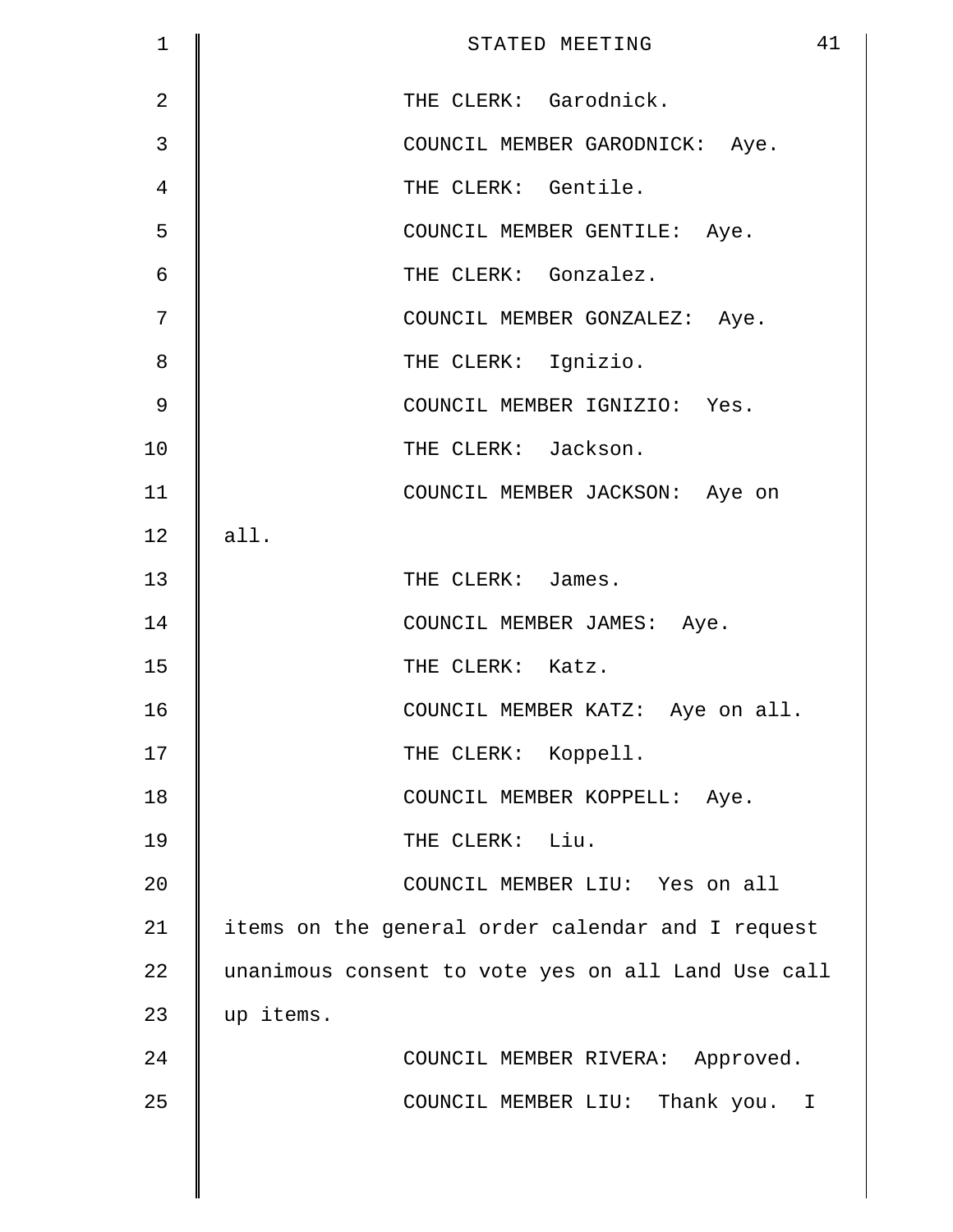| 1              | 41<br>STATED MEETING                               |
|----------------|----------------------------------------------------|
| $\overline{2}$ | THE CLERK: Garodnick.                              |
| 3              | COUNCIL MEMBER GARODNICK: Aye.                     |
| 4              | THE CLERK: Gentile.                                |
| 5              | COUNCIL MEMBER GENTILE: Aye.                       |
| $\epsilon$     | THE CLERK: Gonzalez.                               |
| 7              | COUNCIL MEMBER GONZALEZ: Aye.                      |
| 8              | THE CLERK: Ignizio.                                |
| 9              | COUNCIL MEMBER IGNIZIO: Yes.                       |
| 10             | THE CLERK: Jackson.                                |
| 11             | COUNCIL MEMBER JACKSON: Aye on                     |
| 12             | all.                                               |
| 13             | THE CLERK: James.                                  |
| 14             | COUNCIL MEMBER JAMES: Aye.                         |
| 15             | THE CLERK: Katz.                                   |
| 16             | COUNCIL MEMBER KATZ: Aye on all.                   |
| 17             | THE CLERK: Koppell.                                |
| 18             | COUNCIL MEMBER KOPPELL: Aye.                       |
| 19             | THE CLERK: Liu.                                    |
| 20             | COUNCIL MEMBER LIU: Yes on all                     |
| 21             | items on the general order calendar and I request  |
| 22             | unanimous consent to vote yes on all Land Use call |
| 23             | up items.                                          |
| 24             | COUNCIL MEMBER RIVERA: Approved.                   |
| 25             | COUNCIL MEMBER LIU: Thank you. I                   |
|                |                                                    |
|                |                                                    |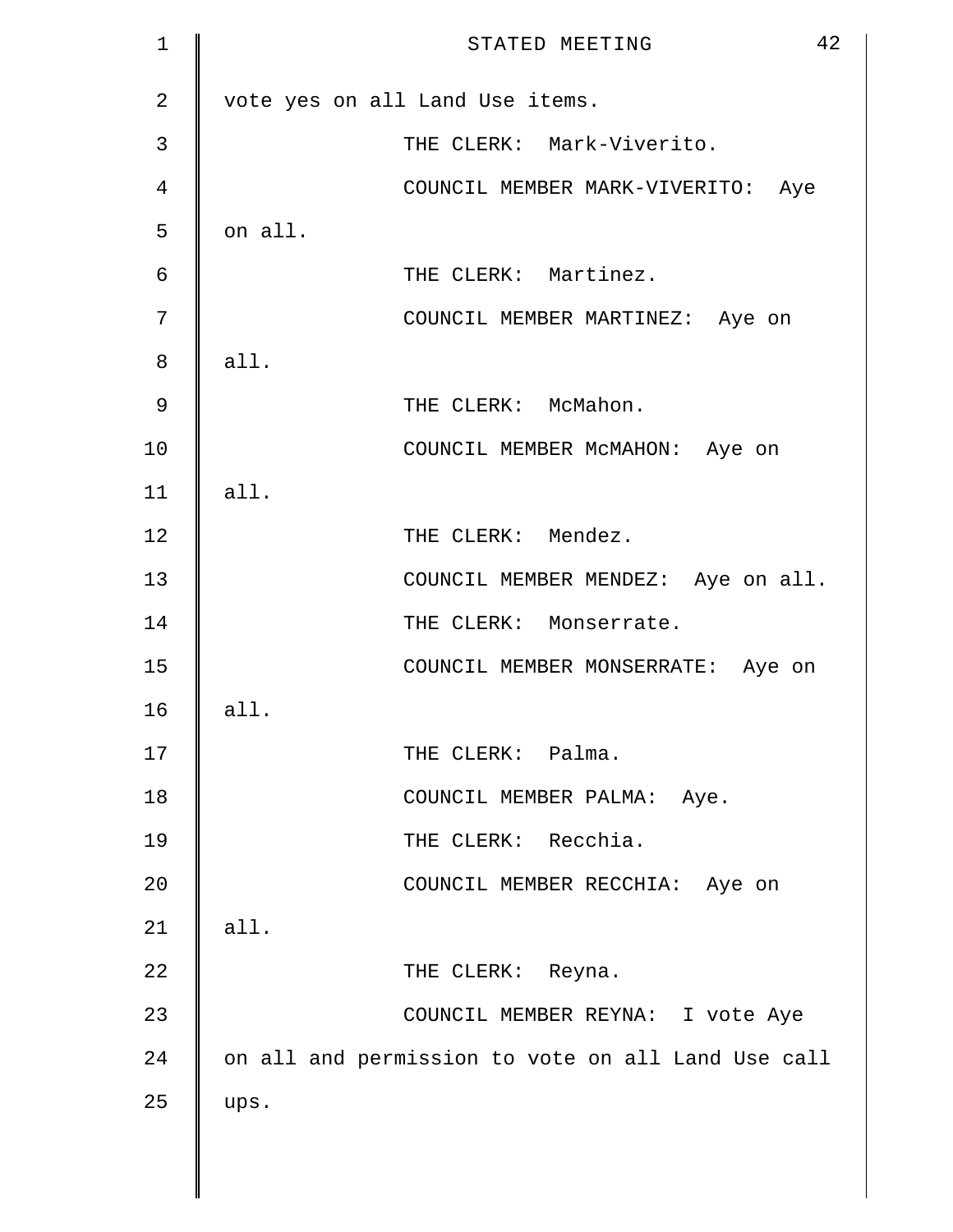| $\mathbf 1$ | 42<br>STATED MEETING                               |
|-------------|----------------------------------------------------|
| 2           | vote yes on all Land Use items.                    |
| 3           | THE CLERK: Mark-Viverito.                          |
| 4           | COUNCIL MEMBER MARK-VIVERITO: Aye                  |
| 5           | on all.                                            |
| 6           | THE CLERK: Martinez.                               |
| 7           | COUNCIL MEMBER MARTINEZ: Aye on                    |
| 8           | all.                                               |
| 9           | THE CLERK: McMahon.                                |
| 10          | COUNCIL MEMBER McMAHON: Aye on                     |
| 11          | all.                                               |
| 12          | THE CLERK: Mendez.                                 |
| 13          | COUNCIL MEMBER MENDEZ: Aye on all.                 |
| 14          | THE CLERK: Monserrate.                             |
| 15          | COUNCIL MEMBER MONSERRATE: Aye on                  |
| 16          | all.                                               |
| 17          | THE CLERK: Palma.                                  |
| 18          | COUNCIL MEMBER PALMA: Aye.                         |
| 19          | THE CLERK: Recchia.                                |
| 20          | COUNCIL MEMBER RECCHIA: Aye on                     |
| 21          | all.                                               |
| 22          | THE CLERK: Reyna.                                  |
| 23          | COUNCIL MEMBER REYNA: I vote Aye                   |
| 24          | on all and permission to vote on all Land Use call |
| 25          | ups.                                               |
|             |                                                    |
|             |                                                    |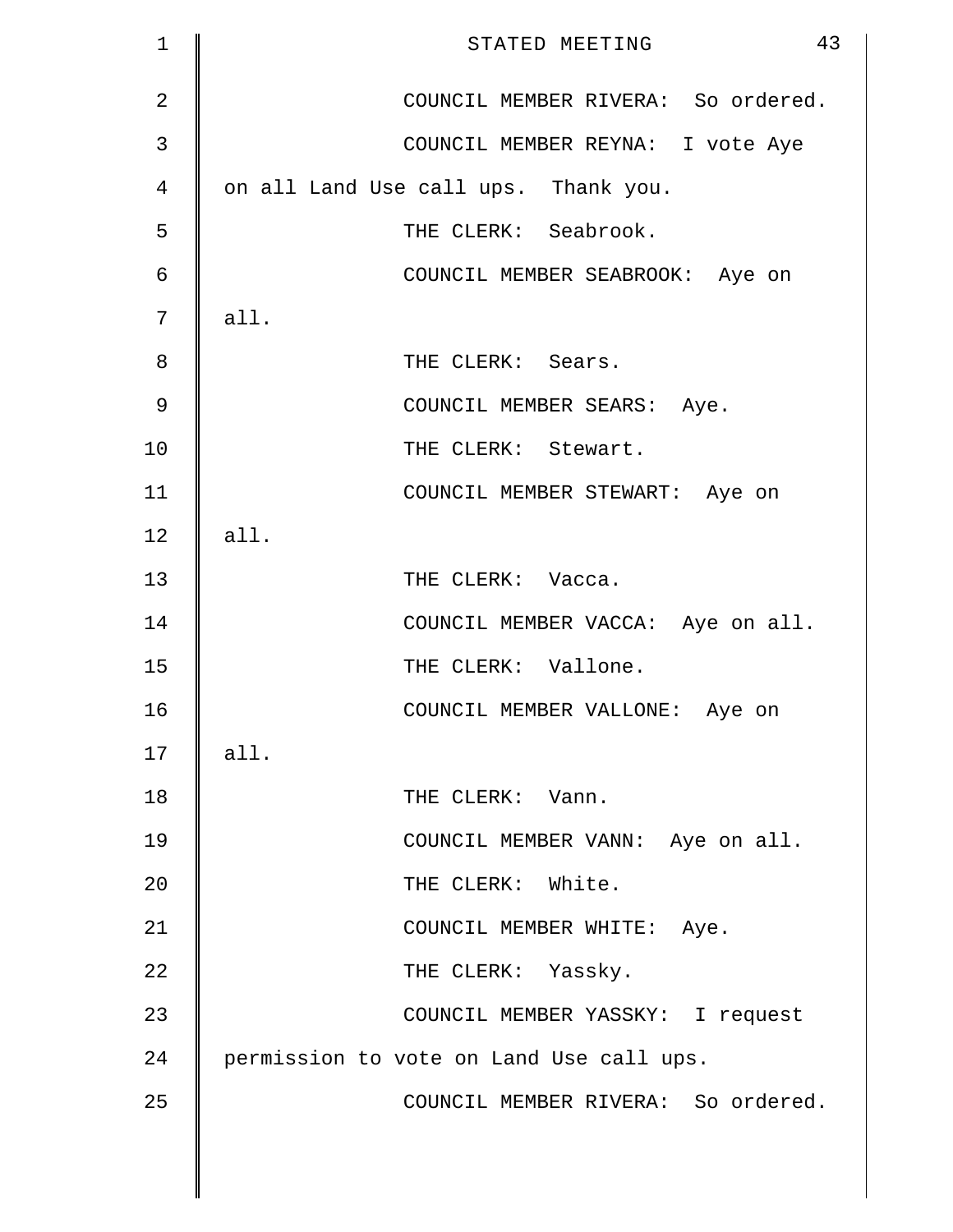| $\mathbf 1$    | 43<br>STATED MEETING                     |
|----------------|------------------------------------------|
| $\overline{2}$ | COUNCIL MEMBER RIVERA: So ordered.       |
| 3              | COUNCIL MEMBER REYNA: I vote Aye         |
| 4              | on all Land Use call ups. Thank you.     |
| 5              | THE CLERK: Seabrook.                     |
| $\epsilon$     | COUNCIL MEMBER SEABROOK: Aye on          |
| 7              | all.                                     |
| 8              | THE CLERK: Sears.                        |
| $\mathcal{G}$  | COUNCIL MEMBER SEARS: Aye.               |
| 10             | THE CLERK: Stewart.                      |
| 11             | COUNCIL MEMBER STEWART: Aye on           |
| 12             | all.                                     |
| 13             | THE CLERK: Vacca.                        |
| 14             | COUNCIL MEMBER VACCA: Aye on all.        |
| 15             | THE CLERK: Vallone.                      |
| 16             | COUNCIL MEMBER VALLONE: Aye on           |
| 17             | all.                                     |
| 18             | THE CLERK: Vann.                         |
| 19             | COUNCIL MEMBER VANN: Aye on all.         |
| 20             | THE CLERK: White.                        |
| 21             | COUNCIL MEMBER WHITE: Aye.               |
| 22             | THE CLERK: Yassky.                       |
| 23             | COUNCIL MEMBER YASSKY: I request         |
| 24             | permission to vote on Land Use call ups. |
| 25             | COUNCIL MEMBER RIVERA: So ordered.       |
|                |                                          |
|                |                                          |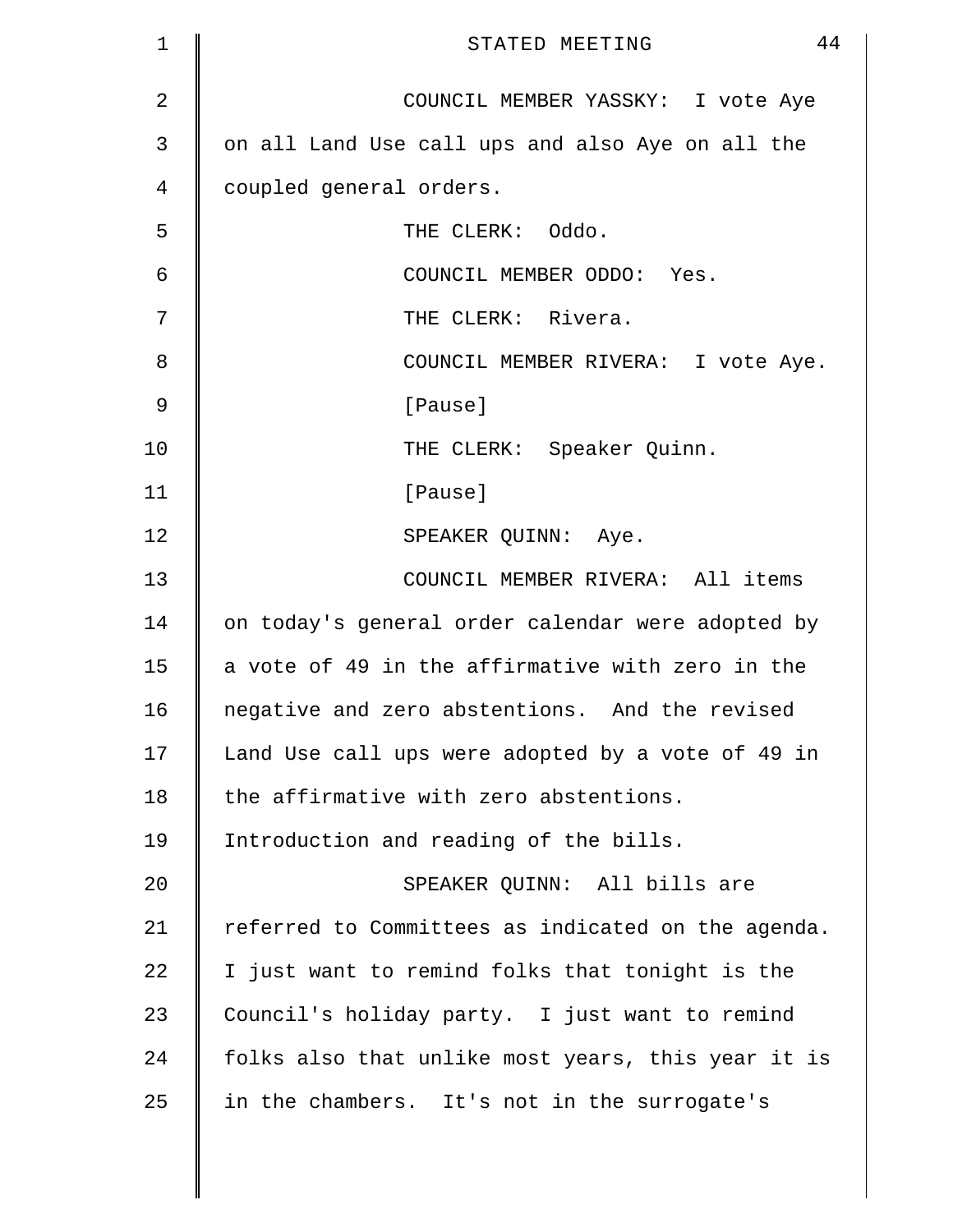| $\mathbf 1$   | 44<br>STATED MEETING                               |
|---------------|----------------------------------------------------|
| 2             | COUNCIL MEMBER YASSKY: I vote Aye                  |
| 3             | on all Land Use call ups and also Aye on all the   |
| 4             | coupled general orders.                            |
| 5             | THE CLERK: Oddo.                                   |
| 6             | COUNCIL MEMBER ODDO: Yes.                          |
| 7             | THE CLERK: Rivera.                                 |
| 8             | COUNCIL MEMBER RIVERA: I vote Aye.                 |
| $\mathcal{G}$ | [Pause]                                            |
| 10            | THE CLERK: Speaker Quinn.                          |
| 11            | [Pause]                                            |
| 12            | SPEAKER QUINN: Aye.                                |
| 13            | COUNCIL MEMBER RIVERA: All items                   |
| 14            | on today's general order calendar were adopted by  |
| 15            | a vote of 49 in the affirmative with zero in the   |
| 16            | negative and zero abstentions. And the revised     |
| 17            | Land Use call ups were adopted by a vote of 49 in  |
| 18            | the affirmative with zero abstentions.             |
| 19            | Introduction and reading of the bills.             |
| 20            | SPEAKER QUINN: All bills are                       |
| 21            | referred to Committees as indicated on the agenda. |
| 22            | I just want to remind folks that tonight is the    |
| 23            | Council's holiday party. I just want to remind     |
| 24            | folks also that unlike most years, this year it is |
| 25            | in the chambers. It's not in the surrogate's       |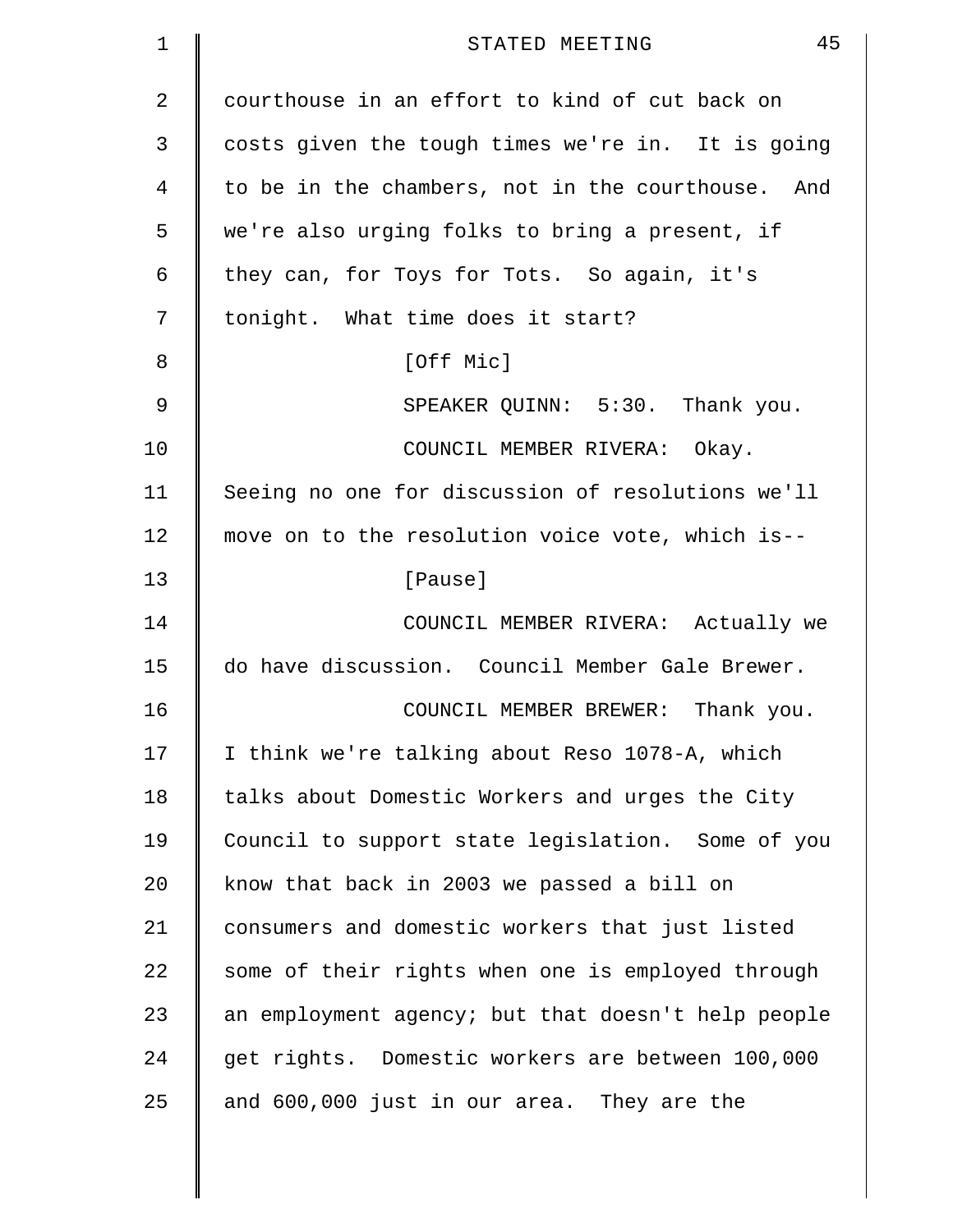| 1             | 45<br>STATED MEETING                               |
|---------------|----------------------------------------------------|
| 2             | courthouse in an effort to kind of cut back on     |
| 3             | costs given the tough times we're in. It is going  |
| 4             | to be in the chambers, not in the courthouse. And  |
| 5             | we're also urging folks to bring a present, if     |
| 6             | they can, for Toys for Tots. So again, it's        |
| 7             | tonight. What time does it start?                  |
| 8             | [Off Mic]                                          |
| $\mathcal{G}$ | SPEAKER QUINN: 5:30. Thank you.                    |
| 10            | COUNCIL MEMBER RIVERA: Okay.                       |
| 11            | Seeing no one for discussion of resolutions we'll  |
| 12            | move on to the resolution voice vote, which is--   |
| 13            | [Pause]                                            |
| 14            | COUNCIL MEMBER RIVERA: Actually we                 |
| 15            | do have discussion. Council Member Gale Brewer.    |
| 16            | Thank you.<br>COUNCIL MEMBER BREWER:               |
| 17            | I think we're talking about Reso 1078-A, which     |
| 18            | talks about Domestic Workers and urges the City    |
| 19            | Council to support state legislation. Some of you  |
| 20            | know that back in 2003 we passed a bill on         |
| 21            | consumers and domestic workers that just listed    |
| 22            | some of their rights when one is employed through  |
| 23            | an employment agency; but that doesn't help people |
| 24            | get rights. Domestic workers are between 100,000   |
| 25            | and 600,000 just in our area. They are the         |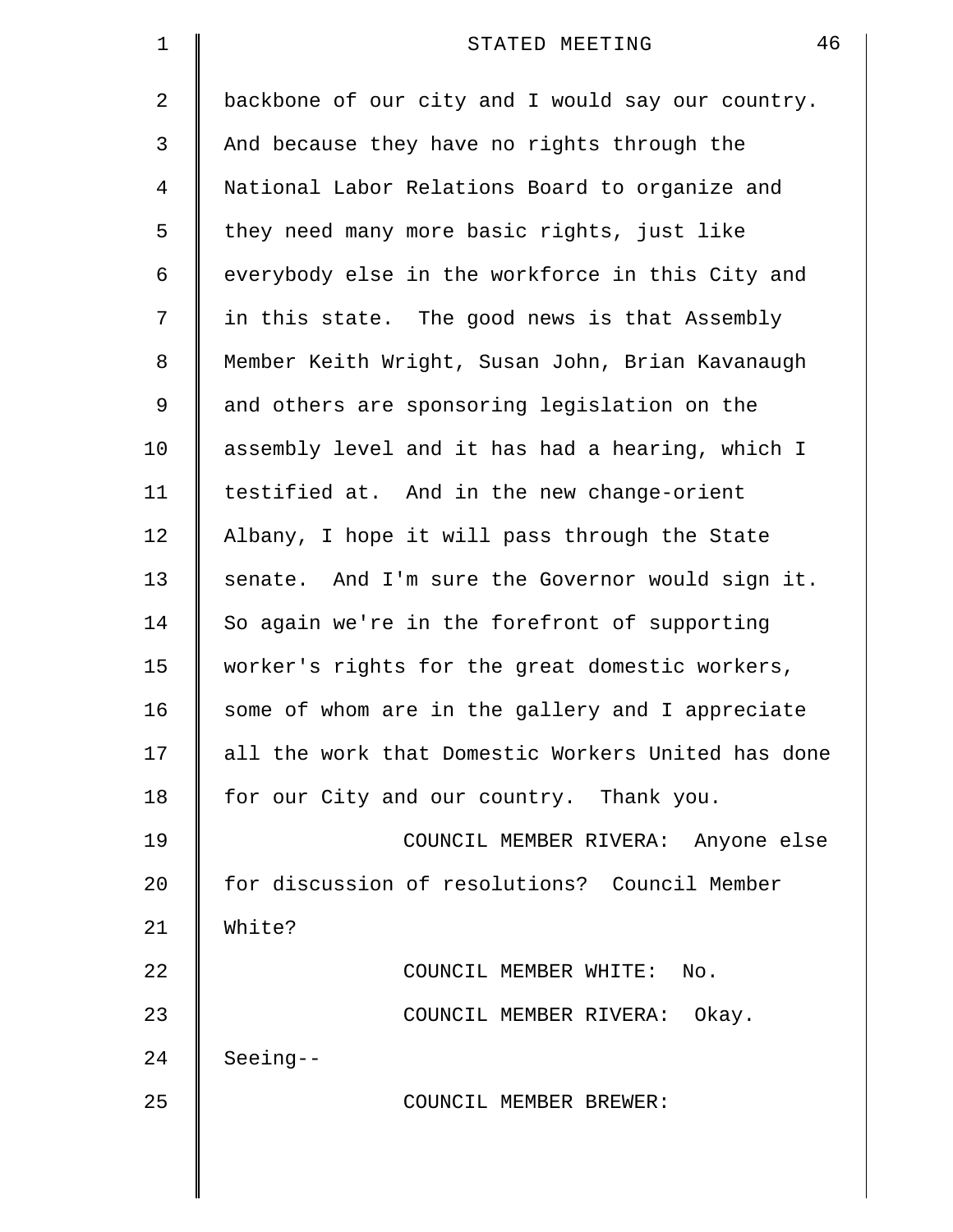| 1              | 46<br>STATED MEETING                               |
|----------------|----------------------------------------------------|
| $\overline{2}$ | backbone of our city and I would say our country.  |
| 3              | And because they have no rights through the        |
| 4              | National Labor Relations Board to organize and     |
| 5              | they need many more basic rights, just like        |
| 6              | everybody else in the workforce in this City and   |
| 7              | in this state. The good news is that Assembly      |
| 8              | Member Keith Wright, Susan John, Brian Kavanaugh   |
| 9              | and others are sponsoring legislation on the       |
| 10             | assembly level and it has had a hearing, which I   |
| 11             | testified at. And in the new change-orient         |
| 12             | Albany, I hope it will pass through the State      |
| 13             | senate. And I'm sure the Governor would sign it.   |
| 14             | So again we're in the forefront of supporting      |
| 15             | worker's rights for the great domestic workers,    |
| 16             | some of whom are in the gallery and I appreciate   |
| 17             | all the work that Domestic Workers United has done |
| 18             | for our City and our country. Thank you.           |
| 19             | COUNCIL MEMBER RIVERA: Anyone else                 |
| 20             | for discussion of resolutions? Council Member      |
| 21             | White?                                             |
| 22             | COUNCIL MEMBER WHITE: No.                          |
| 23             | COUNCIL MEMBER RIVERA: Okay.                       |
| 24             | $Seeing--$                                         |
| 25             | COUNCIL MEMBER BREWER:                             |
|                |                                                    |
|                |                                                    |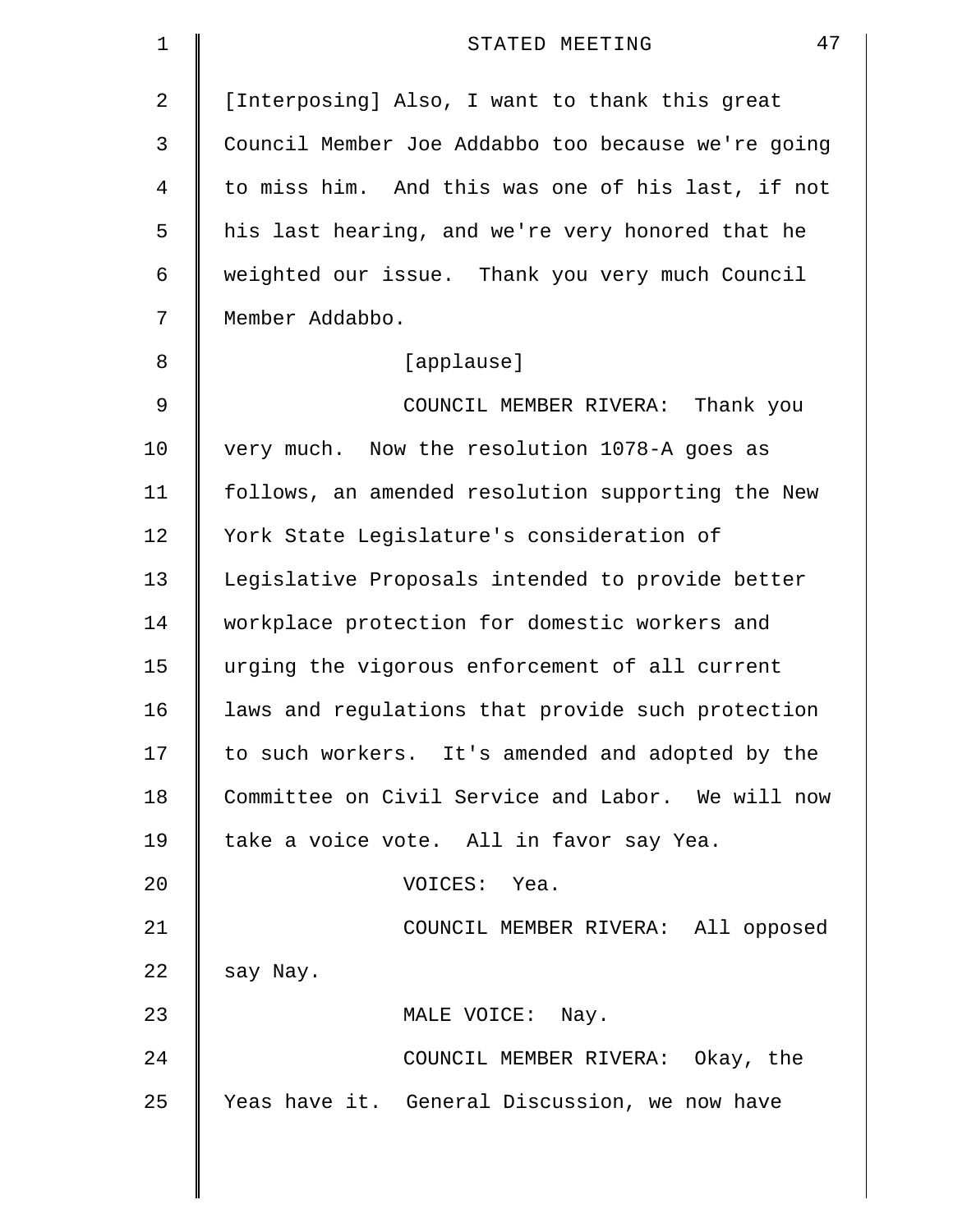| $\mathbf 1$ | 47<br>STATED MEETING                               |
|-------------|----------------------------------------------------|
| 2           | [Interposing] Also, I want to thank this great     |
| 3           | Council Member Joe Addabbo too because we're going |
| 4           | to miss him. And this was one of his last, if not  |
| 5           | his last hearing, and we're very honored that he   |
| 6           | weighted our issue. Thank you very much Council    |
| 7           | Member Addabbo.                                    |
| 8           | [applause]                                         |
| 9           | COUNCIL MEMBER RIVERA: Thank you                   |
| 10          | very much. Now the resolution 1078-A goes as       |
| 11          | follows, an amended resolution supporting the New  |
| 12          | York State Legislature's consideration of          |
| 13          | Legislative Proposals intended to provide better   |
| 14          | workplace protection for domestic workers and      |
| 15          | urging the vigorous enforcement of all current     |
| 16          | laws and regulations that provide such protection  |
| 17          | to such workers. It's amended and adopted by the   |
| 18          | Committee on Civil Service and Labor. We will now  |
| 19          | take a voice vote. All in favor say Yea.           |
| 20          | VOICES: Yea.                                       |
| 21          | COUNCIL MEMBER RIVERA: All opposed                 |
| 22          | say Nay.                                           |
| 23          | MALE VOICE: Nay.                                   |
| 24          | COUNCIL MEMBER RIVERA: Okay, the                   |
| 25          | Yeas have it. General Discussion, we now have      |
|             |                                                    |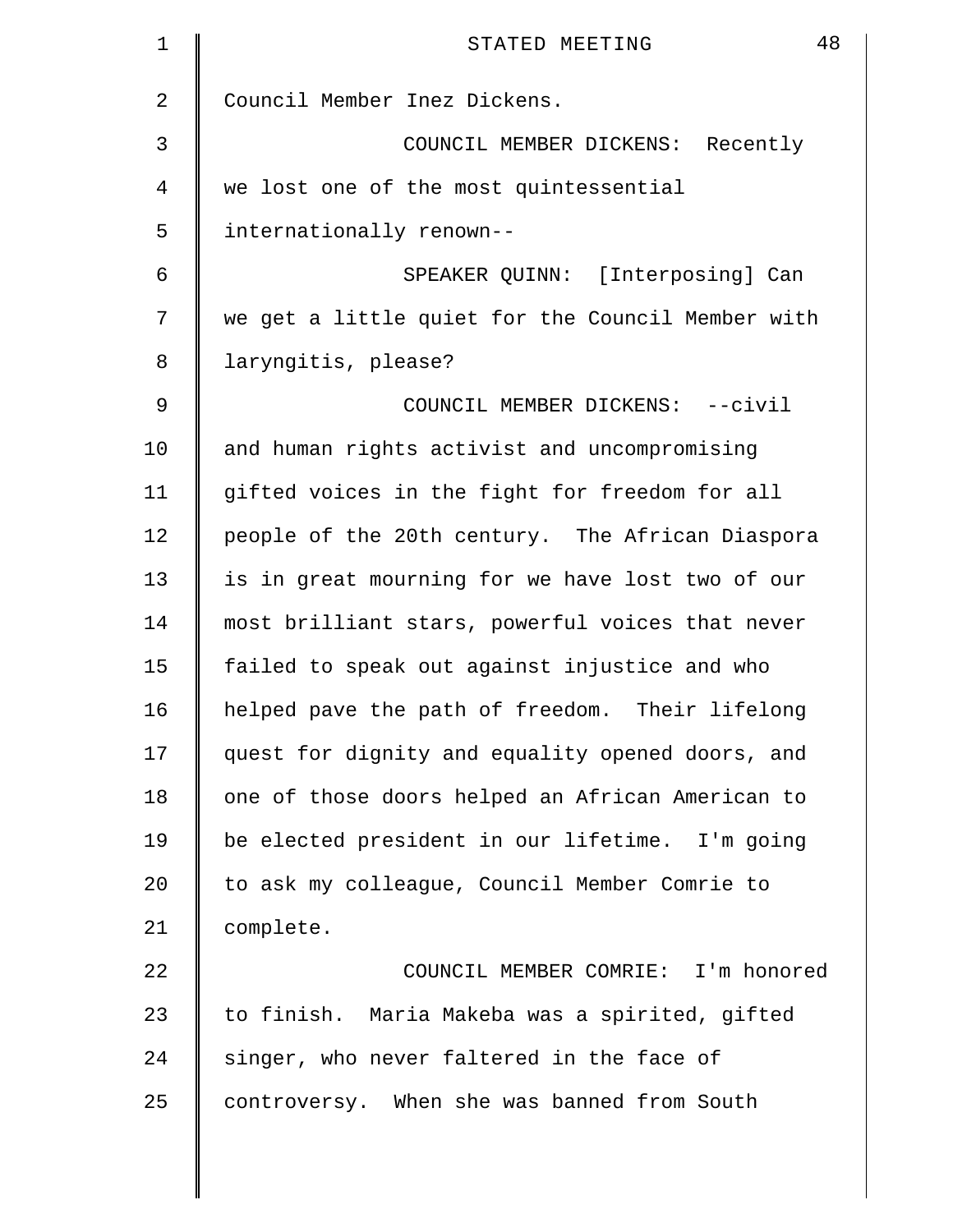| $\mathbf 1$ | 48<br>STATED MEETING                              |
|-------------|---------------------------------------------------|
| 2           | Council Member Inez Dickens.                      |
| 3           | COUNCIL MEMBER DICKENS: Recently                  |
| 4           | we lost one of the most quintessential            |
| 5           | internationally renown--                          |
| 6           | SPEAKER QUINN: [Interposing] Can                  |
| 7           | we get a little quiet for the Council Member with |
| 8           | laryngitis, please?                               |
| $\mathsf 9$ | COUNCIL MEMBER DICKENS: -- civil                  |
| 10          | and human rights activist and uncompromising      |
| 11          | gifted voices in the fight for freedom for all    |
| 12          | people of the 20th century. The African Diaspora  |
| 13          | is in great mourning for we have lost two of our  |
| 14          | most brilliant stars, powerful voices that never  |
| 15          | failed to speak out against injustice and who     |
| 16          | helped pave the path of freedom. Their lifelong   |
| 17          | quest for dignity and equality opened doors, and  |
| 18          | one of those doors helped an African American to  |
| 19          | be elected president in our lifetime. I'm going   |
| 20          | to ask my colleague, Council Member Comrie to     |
| 21          | complete.                                         |
| 22          | COUNCIL MEMBER COMRIE: I'm honored                |
| 23          | to finish. Maria Makeba was a spirited, gifted    |
| 24          | singer, who never faltered in the face of         |
| 25          | controversy. When she was banned from South       |
|             |                                                   |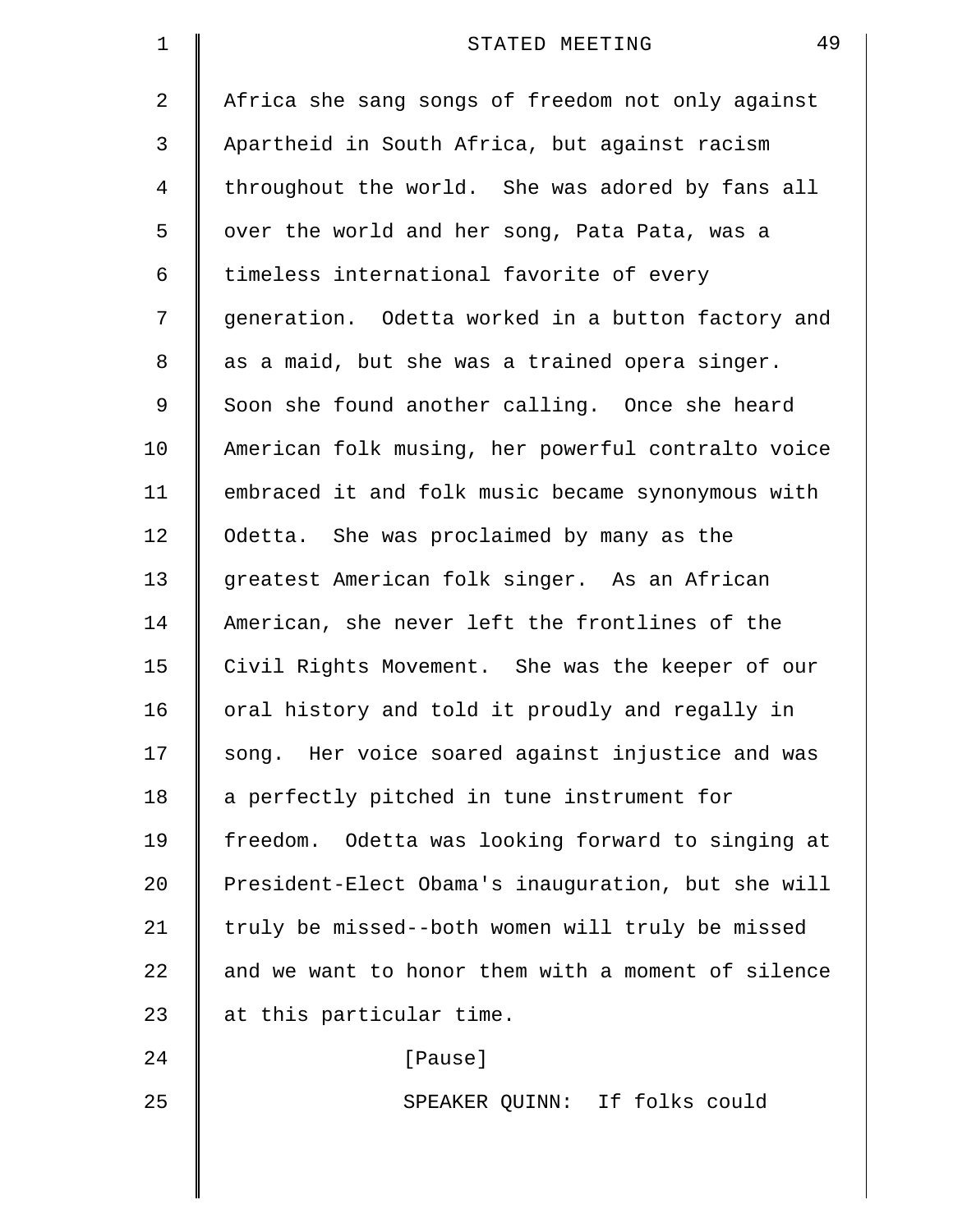| $\mathbf 1$    | 49<br>STATED MEETING                               |
|----------------|----------------------------------------------------|
| $\overline{2}$ | Africa she sang songs of freedom not only against  |
| 3              | Apartheid in South Africa, but against racism      |
| 4              | throughout the world. She was adored by fans all   |
| 5              | over the world and her song, Pata Pata, was a      |
| 6              | timeless international favorite of every           |
| 7              | generation. Odetta worked in a button factory and  |
| 8              | as a maid, but she was a trained opera singer.     |
| 9              | Soon she found another calling. Once she heard     |
| 10             | American folk musing, her powerful contralto voice |
| 11             | embraced it and folk music became synonymous with  |
| 12             | Odetta. She was proclaimed by many as the          |
| 13             | greatest American folk singer. As an African       |
| 14             | American, she never left the frontlines of the     |
| 15             | Civil Rights Movement. She was the keeper of our   |
| 16             | oral history and told it proudly and regally in    |
| 17             | song. Her voice soared against injustice and was   |
| 18             | a perfectly pitched in tune instrument for         |
| 19             | freedom. Odetta was looking forward to singing at  |
| 20             | President-Elect Obama's inauguration, but she will |
| 21             | truly be missed--both women will truly be missed   |
| 22             | and we want to honor them with a moment of silence |
| 23             | at this particular time.                           |
| 24             | [Pause]                                            |
| 25             | SPEAKER QUINN: If folks could                      |
|                |                                                    |
|                |                                                    |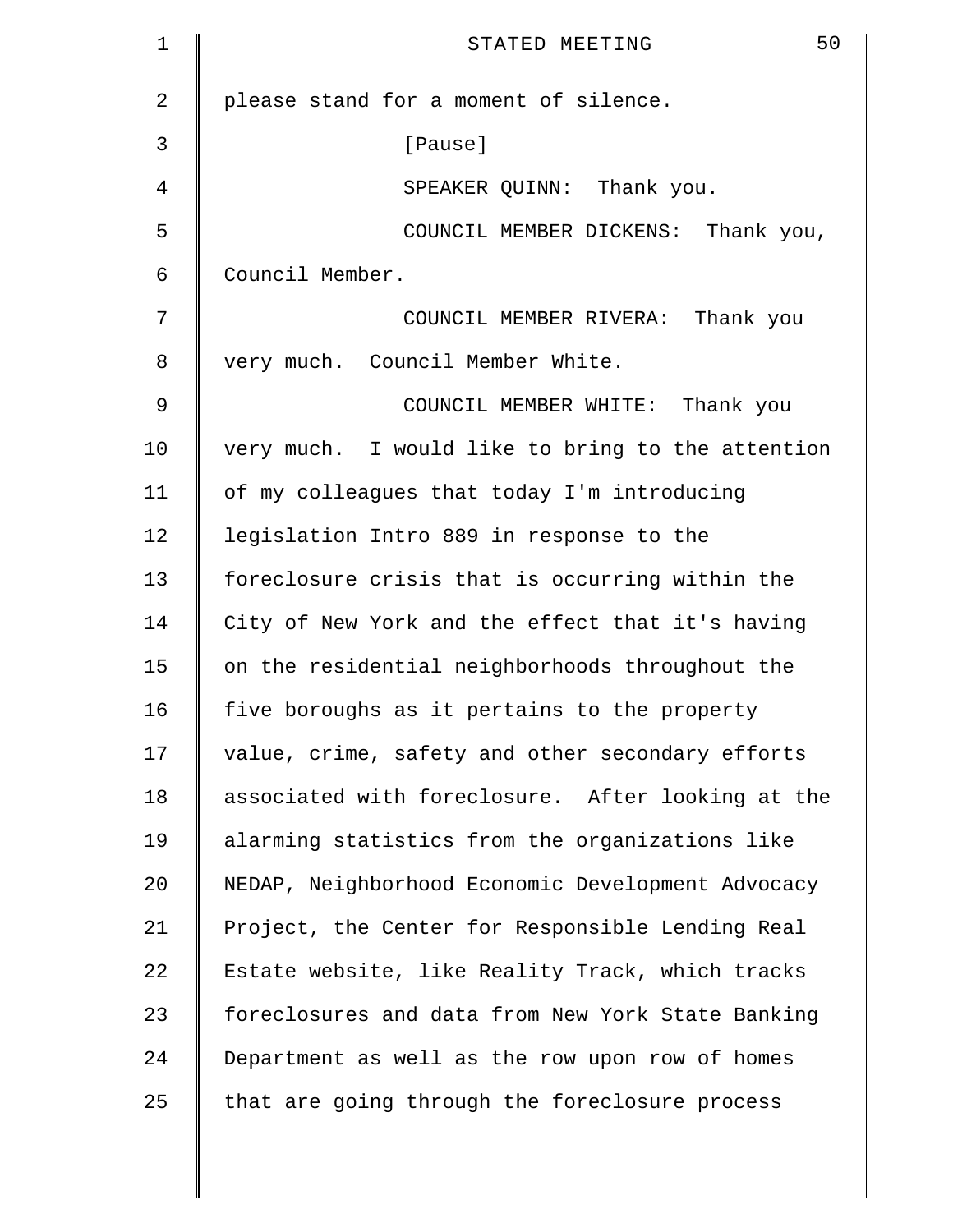| $\mathbf 1$    | 50<br>STATED MEETING                              |
|----------------|---------------------------------------------------|
| $\overline{2}$ | please stand for a moment of silence.             |
| 3              | [Pause]                                           |
| 4              | SPEAKER QUINN: Thank you.                         |
| 5              | COUNCIL MEMBER DICKENS:<br>Thank you,             |
| 6              | Council Member.                                   |
| 7              | COUNCIL MEMBER RIVERA: Thank you                  |
| 8              | very much. Council Member White.                  |
| 9              | COUNCIL MEMBER WHITE: Thank you                   |
| 10             | very much. I would like to bring to the attention |
| 11             | of my colleagues that today I'm introducing       |
| 12             | legislation Intro 889 in response to the          |
| 13             | foreclosure crisis that is occurring within the   |
| 14             | City of New York and the effect that it's having  |
| 15             | on the residential neighborhoods throughout the   |
| 16             | five boroughs as it pertains to the property      |
| 17             | value, crime, safety and other secondary efforts  |
| 18             | associated with foreclosure. After looking at the |
| 19             | alarming statistics from the organizations like   |
| 20             | NEDAP, Neighborhood Economic Development Advocacy |
| 21             | Project, the Center for Responsible Lending Real  |
| 22             | Estate website, like Reality Track, which tracks  |
| 23             | foreclosures and data from New York State Banking |
| 24             | Department as well as the row upon row of homes   |
| 25             | that are going through the foreclosure process    |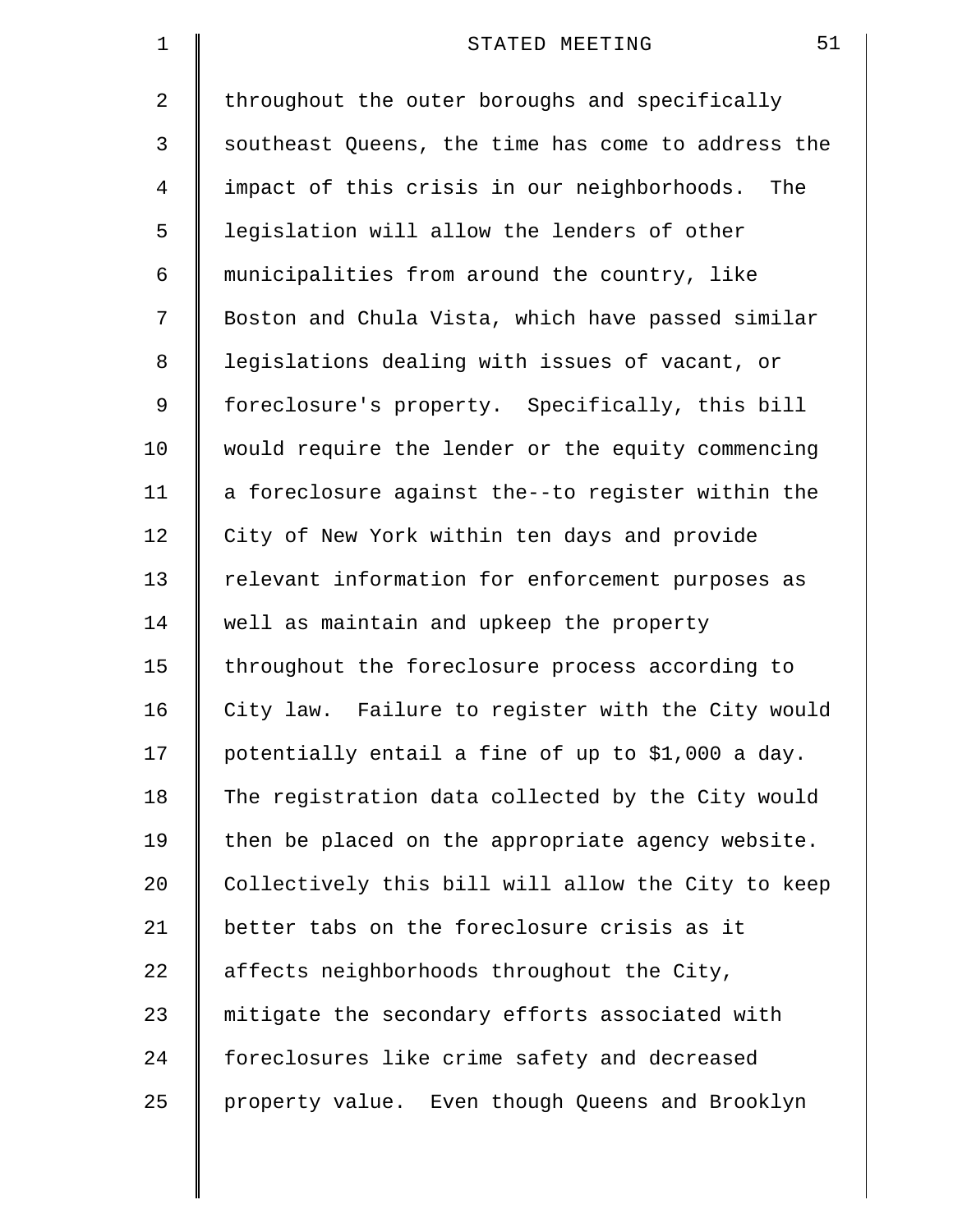| $\mathbf 1$    | 51<br>STATED MEETING                               |
|----------------|----------------------------------------------------|
| 2              | throughout the outer boroughs and specifically     |
| 3              | southeast Queens, the time has come to address the |
| $\overline{4}$ | impact of this crisis in our neighborhoods.<br>The |
| 5              | legislation will allow the lenders of other        |
| 6              | municipalities from around the country, like       |
| 7              | Boston and Chula Vista, which have passed similar  |
| 8              | legislations dealing with issues of vacant, or     |
| 9              | foreclosure's property. Specifically, this bill    |
| 10             | would require the lender or the equity commencing  |
| 11             | a foreclosure against the--to register within the  |
| 12             | City of New York within ten days and provide       |
| 13             | relevant information for enforcement purposes as   |
| 14             | well as maintain and upkeep the property           |
| 15             | throughout the foreclosure process according to    |
| 16             | City law. Failure to register with the City would  |
| 17             | potentially entail a fine of up to \$1,000 a day.  |
| 18             | The registration data collected by the City would  |
| 19             | then be placed on the appropriate agency website.  |
| 20             | Collectively this bill will allow the City to keep |
| 21             | better tabs on the foreclosure crisis as it        |
| 22             | affects neighborhoods throughout the City,         |
| 23             | mitigate the secondary efforts associated with     |
| 24             | foreclosures like crime safety and decreased       |
| 25             | property value. Even though Queens and Brooklyn    |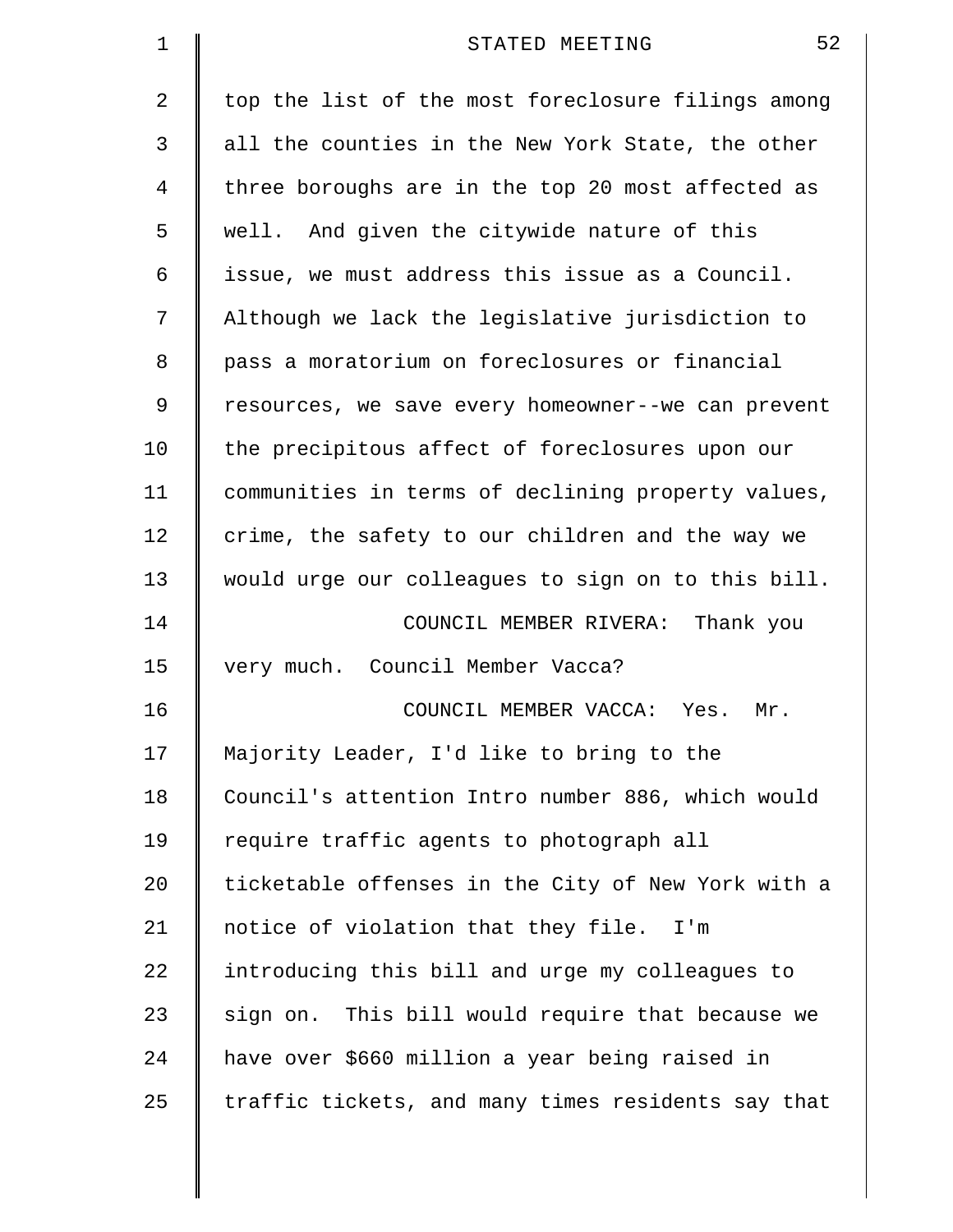| $\mathbf 1$    | 52<br>STATED MEETING                               |
|----------------|----------------------------------------------------|
| 2              | top the list of the most foreclosure filings among |
| 3              | all the counties in the New York State, the other  |
| $\overline{4}$ | three boroughs are in the top 20 most affected as  |
| 5              | well. And given the citywide nature of this        |
| 6              | issue, we must address this issue as a Council.    |
| 7              | Although we lack the legislative jurisdiction to   |
| 8              | pass a moratorium on foreclosures or financial     |
| 9              | resources, we save every homeowner--we can prevent |
| 10             | the precipitous affect of foreclosures upon our    |
| 11             | communities in terms of declining property values, |
| 12             | crime, the safety to our children and the way we   |
| 13             | would urge our colleagues to sign on to this bill. |
| 14             | COUNCIL MEMBER RIVERA: Thank you                   |
| 15             | very much. Council Member Vacca?                   |
| 16             | COUNCIL MEMBER VACCA: Yes.<br>Mr.                  |
| 17             | Majority Leader, I'd like to bring to the          |
| 18             | Council's attention Intro number 886, which would  |
| 19             | require traffic agents to photograph all           |
| 20             | ticketable offenses in the City of New York with a |
| 21             | notice of violation that they file. I'm            |
| 22             | introducing this bill and urge my colleagues to    |
| 23             | sign on. This bill would require that because we   |
| 24             | have over \$660 million a year being raised in     |
| 25             | traffic tickets, and many times residents say that |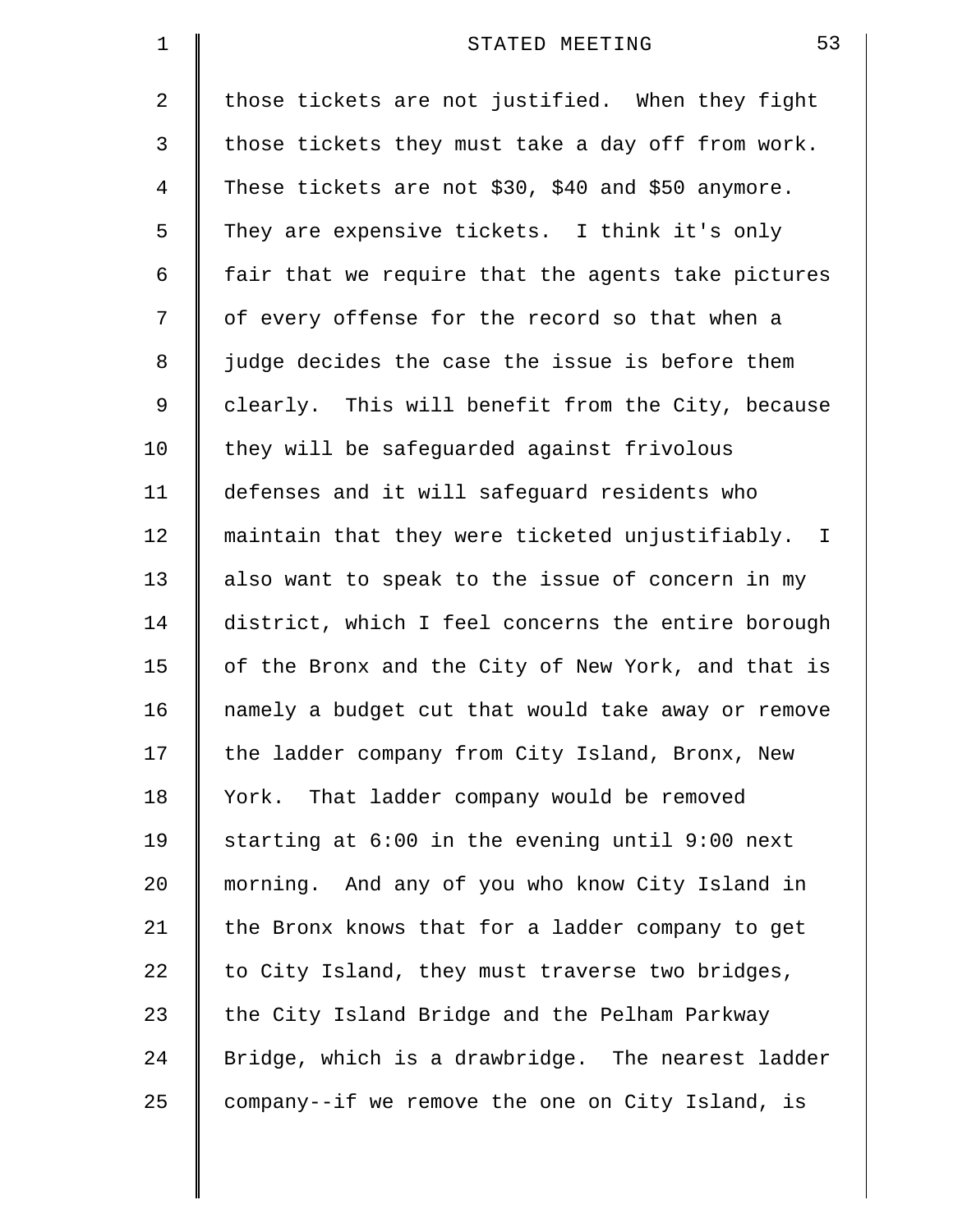| 1  | 53<br>STATED MEETING                               |
|----|----------------------------------------------------|
| 2  | those tickets are not justified. When they fight   |
| 3  | those tickets they must take a day off from work.  |
| 4  | These tickets are not \$30, \$40 and \$50 anymore. |
| 5  | They are expensive tickets. I think it's only      |
| 6  | fair that we require that the agents take pictures |
| 7  | of every offense for the record so that when a     |
| 8  | judge decides the case the issue is before them    |
| 9  | clearly. This will benefit from the City, because  |
| 10 | they will be safeguarded against frivolous         |
| 11 | defenses and it will safeguard residents who       |
| 12 | maintain that they were ticketed unjustifiably. I  |
| 13 | also want to speak to the issue of concern in my   |
| 14 | district, which I feel concerns the entire borough |
| 15 | of the Bronx and the City of New York, and that is |
| 16 | namely a budget cut that would take away or remove |
| 17 | the ladder company from City Island, Bronx, New    |
| 18 | York. That ladder company would be removed         |
| 19 | starting at 6:00 in the evening until 9:00 next    |
| 20 | morning. And any of you who know City Island in    |
| 21 | the Bronx knows that for a ladder company to get   |
| 22 | to City Island, they must traverse two bridges,    |
| 23 | the City Island Bridge and the Pelham Parkway      |
| 24 | Bridge, which is a drawbridge. The nearest ladder  |
| 25 | company--if we remove the one on City Island, is   |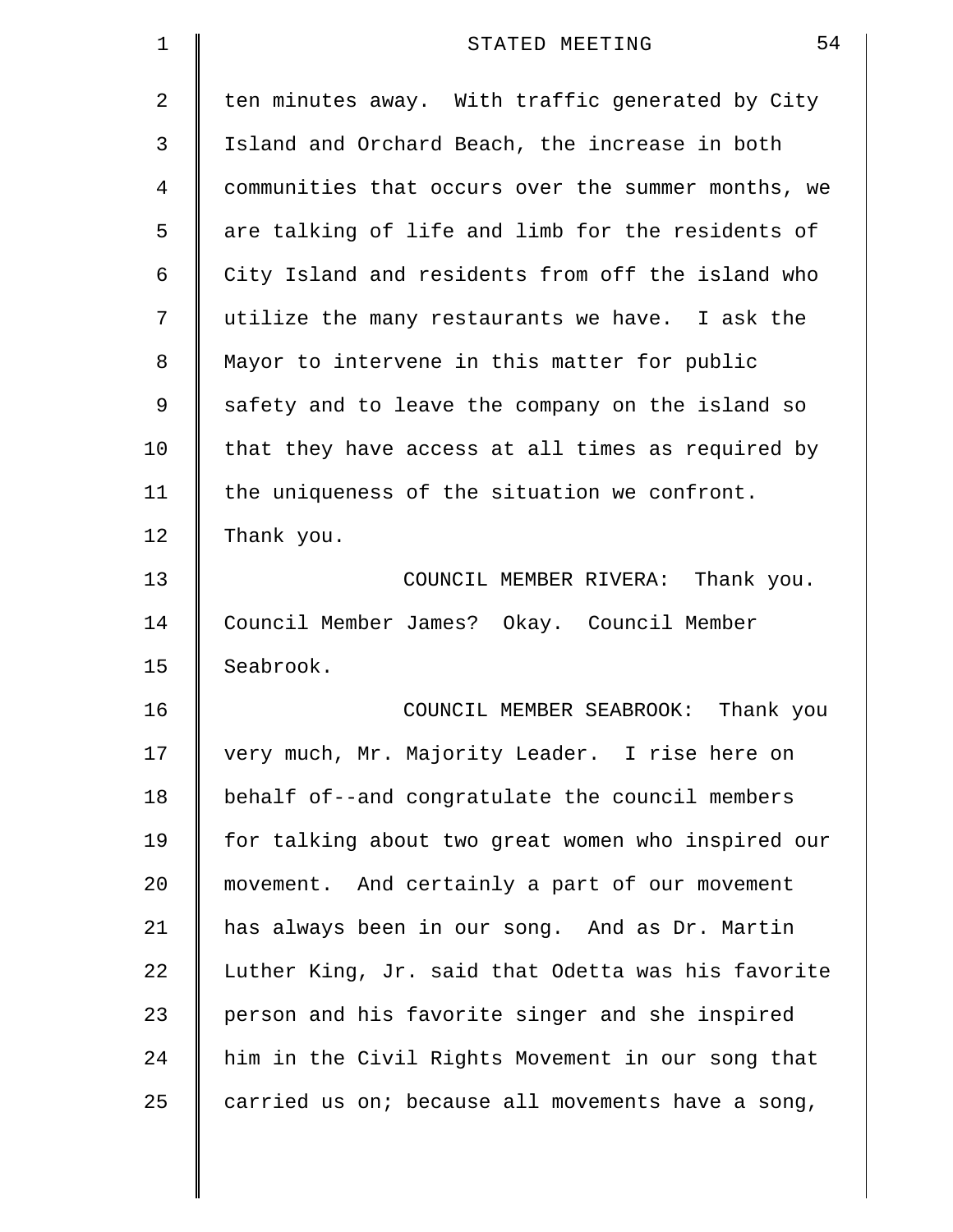| 1  | 54<br>STATED MEETING                               |
|----|----------------------------------------------------|
| 2  | ten minutes away. With traffic generated by City   |
| 3  | Island and Orchard Beach, the increase in both     |
| 4  | communities that occurs over the summer months, we |
| 5  | are talking of life and limb for the residents of  |
| 6  | City Island and residents from off the island who  |
| 7  | utilize the many restaurants we have. I ask the    |
| 8  | Mayor to intervene in this matter for public       |
| 9  | safety and to leave the company on the island so   |
| 10 | that they have access at all times as required by  |
| 11 | the uniqueness of the situation we confront.       |
| 12 | Thank you.                                         |
| 13 | COUNCIL MEMBER RIVERA: Thank you.                  |
| 14 | Council Member James? Okay. Council Member         |
| 15 | Seabrook.                                          |
| 16 | COUNCIL MEMBER SEABROOK:<br>Thank you              |
| 17 | very much, Mr. Majority Leader. I rise here on     |
| 18 | behalf of--and congratulate the council members    |
| 19 | for talking about two great women who inspired our |
| 20 | movement. And certainly a part of our movement     |
| 21 | has always been in our song. And as Dr. Martin     |
| 22 | Luther King, Jr. said that Odetta was his favorite |
| 23 | person and his favorite singer and she inspired    |
| 24 | him in the Civil Rights Movement in our song that  |
| 25 | carried us on; because all movements have a song,  |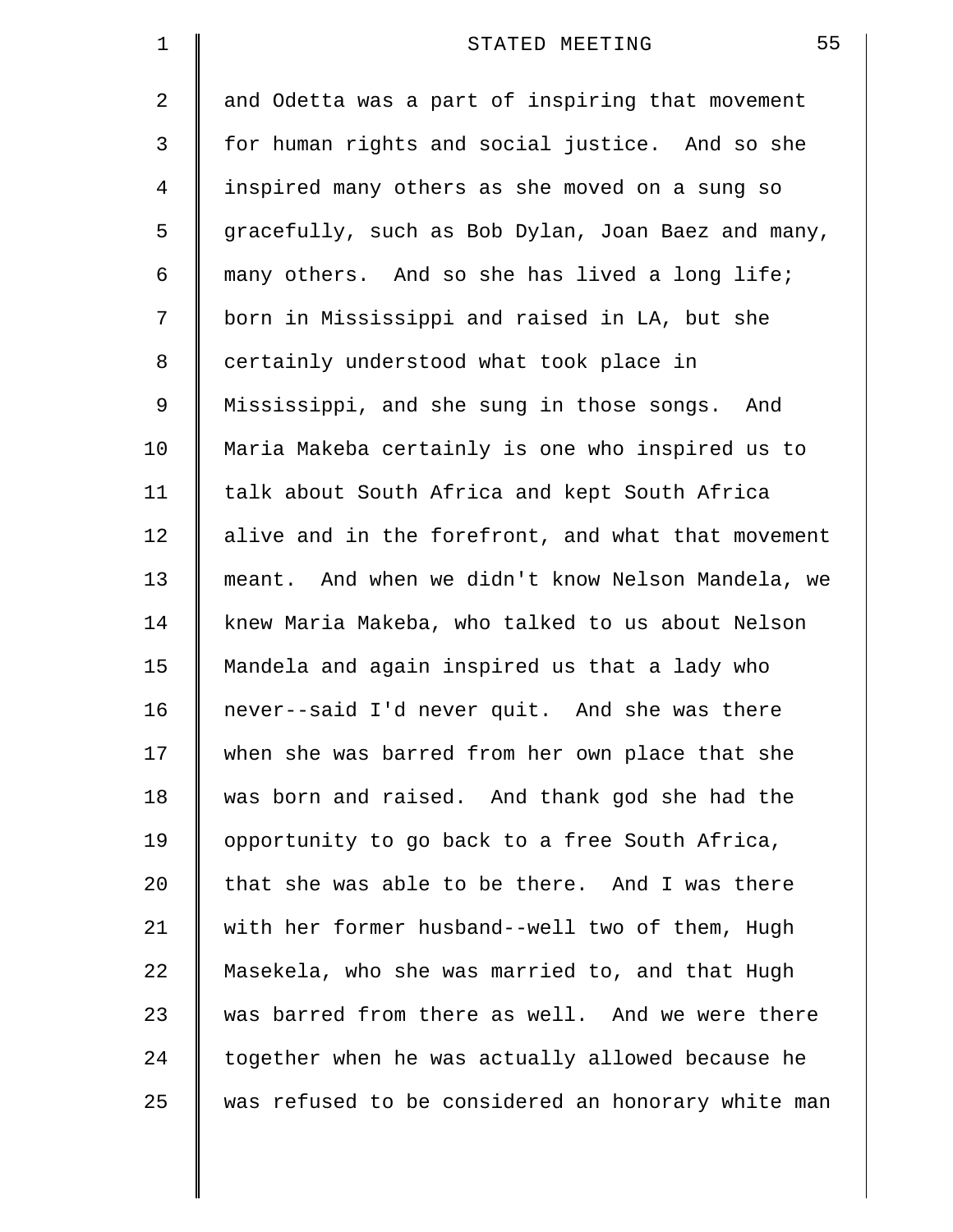| $\mathbf 1$    | 55<br>STATED MEETING                               |
|----------------|----------------------------------------------------|
| 2              | and Odetta was a part of inspiring that movement   |
| 3              | for human rights and social justice. And so she    |
| $\overline{4}$ | inspired many others as she moved on a sung so     |
| 5              | gracefully, such as Bob Dylan, Joan Baez and many, |
| 6              | many others. And so she has lived a long life;     |
| 7              | born in Mississippi and raised in LA, but she      |
| 8              | certainly understood what took place in            |
| 9              | Mississippi, and she sung in those songs. And      |
| 10             | Maria Makeba certainly is one who inspired us to   |
| 11             | talk about South Africa and kept South Africa      |
| 12             | alive and in the forefront, and what that movement |
| 13             | meant. And when we didn't know Nelson Mandela, we  |
| 14             | knew Maria Makeba, who talked to us about Nelson   |
| 15             | Mandela and again inspired us that a lady who      |
| 16             | never--said I'd never quit. And she was there      |
| 17             | when she was barred from her own place that she    |
| 18             | was born and raised. And thank god she had the     |
| 19             | opportunity to go back to a free South Africa,     |
| 20             | that she was able to be there. And I was there     |
| 21             | with her former husband--well two of them, Hugh    |
| 22             | Masekela, who she was married to, and that Hugh    |
| 23             | was barred from there as well. And we were there   |
| 24             | together when he was actually allowed because he   |
| 25             | was refused to be considered an honorary white man |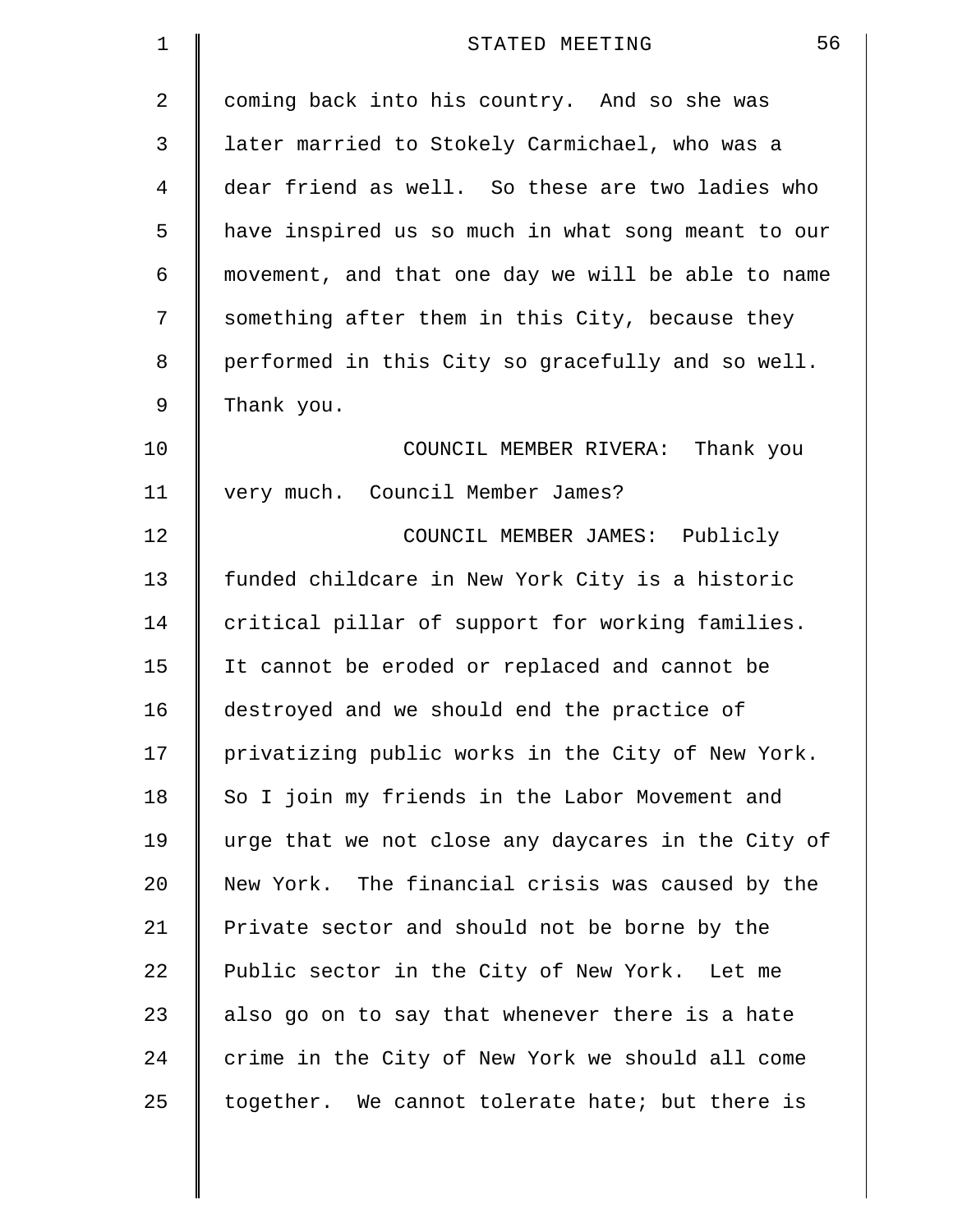| 1  | 56<br>STATED MEETING                               |
|----|----------------------------------------------------|
| 2  | coming back into his country. And so she was       |
| 3  | later married to Stokely Carmichael, who was a     |
| 4  | dear friend as well. So these are two ladies who   |
| 5  | have inspired us so much in what song meant to our |
| 6  | movement, and that one day we will be able to name |
| 7  | something after them in this City, because they    |
| 8  | performed in this City so gracefully and so well.  |
| 9  | Thank you.                                         |
| 10 | COUNCIL MEMBER RIVERA: Thank you                   |
| 11 | very much. Council Member James?                   |
| 12 | COUNCIL MEMBER JAMES: Publicly                     |
| 13 | funded childcare in New York City is a historic    |
| 14 | critical pillar of support for working families.   |
| 15 | It cannot be eroded or replaced and cannot be      |
| 16 | destroyed and we should end the practice of        |
| 17 | privatizing public works in the City of New York.  |
| 18 | So I join my friends in the Labor Movement and     |
| 19 | urge that we not close any daycares in the City of |
| 20 | New York. The financial crisis was caused by the   |
| 21 | Private sector and should not be borne by the      |
| 22 | Public sector in the City of New York. Let me      |
| 23 | also go on to say that whenever there is a hate    |
| 24 | crime in the City of New York we should all come   |
| 25 | together. We cannot tolerate hate; but there is    |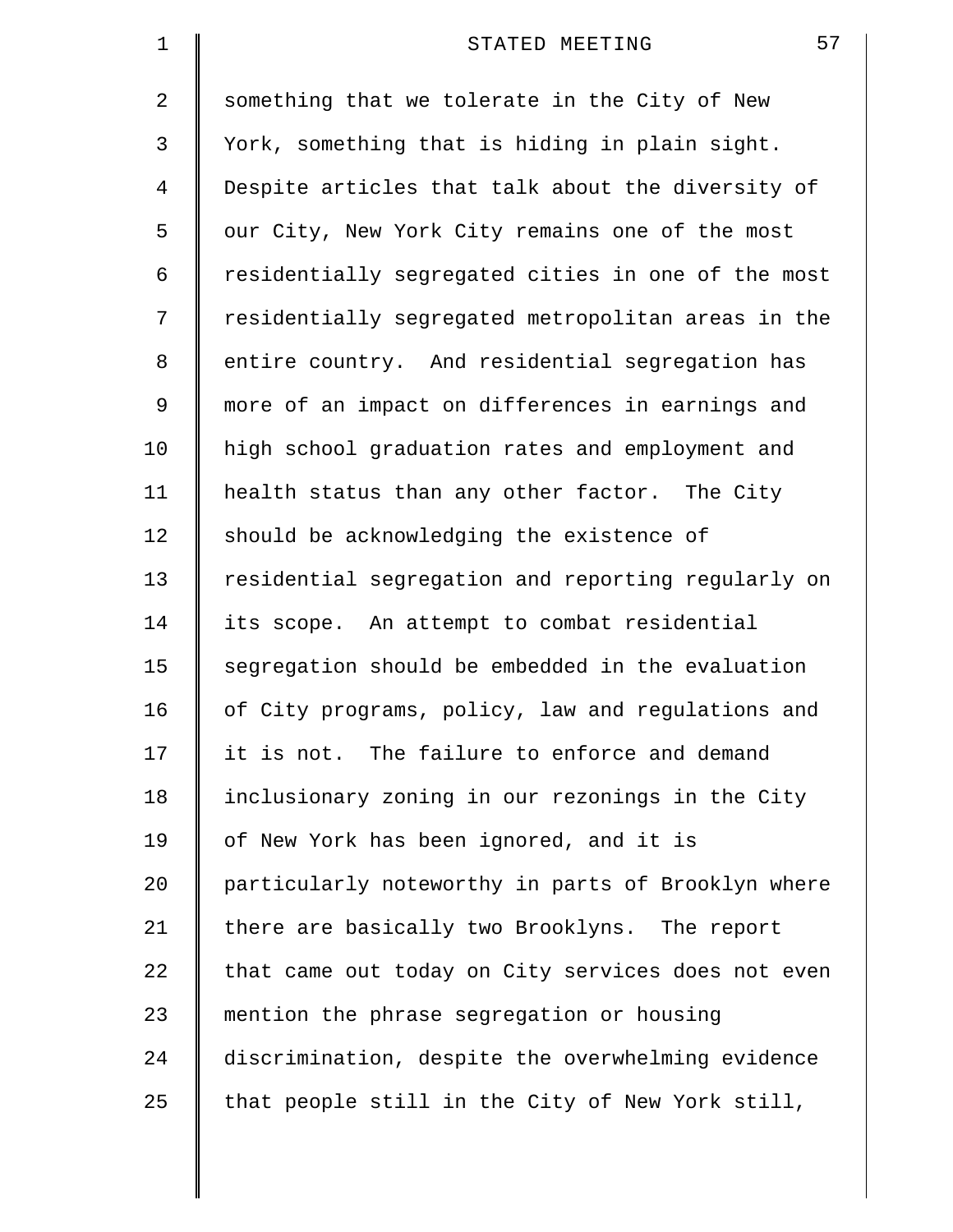| $\mathbf 1$    | 57<br>STATED MEETING                               |
|----------------|----------------------------------------------------|
| 2              | something that we tolerate in the City of New      |
| 3              | York, something that is hiding in plain sight.     |
| $\overline{4}$ | Despite articles that talk about the diversity of  |
| 5              | our City, New York City remains one of the most    |
| 6              | residentially segregated cities in one of the most |
| 7              | residentially segregated metropolitan areas in the |
| 8              | entire country. And residential segregation has    |
| 9              | more of an impact on differences in earnings and   |
| 10             | high school graduation rates and employment and    |
| 11             | health status than any other factor. The City      |
| 12             | should be acknowledging the existence of           |
| 13             | residential segregation and reporting regularly on |
| 14             | its scope. An attempt to combat residential        |
| 15             | segregation should be embedded in the evaluation   |
| 16             | of City programs, policy, law and regulations and  |
| 17             | it is not. The failure to enforce and demand       |
| 18             | inclusionary zoning in our rezonings in the City   |
| 19             | of New York has been ignored, and it is            |
| 20             | particularly noteworthy in parts of Brooklyn where |
| 21             | there are basically two Brooklyns. The report      |
| 22             | that came out today on City services does not even |
| 23             | mention the phrase segregation or housing          |
| 24             | discrimination, despite the overwhelming evidence  |
| 25             | that people still in the City of New York still,   |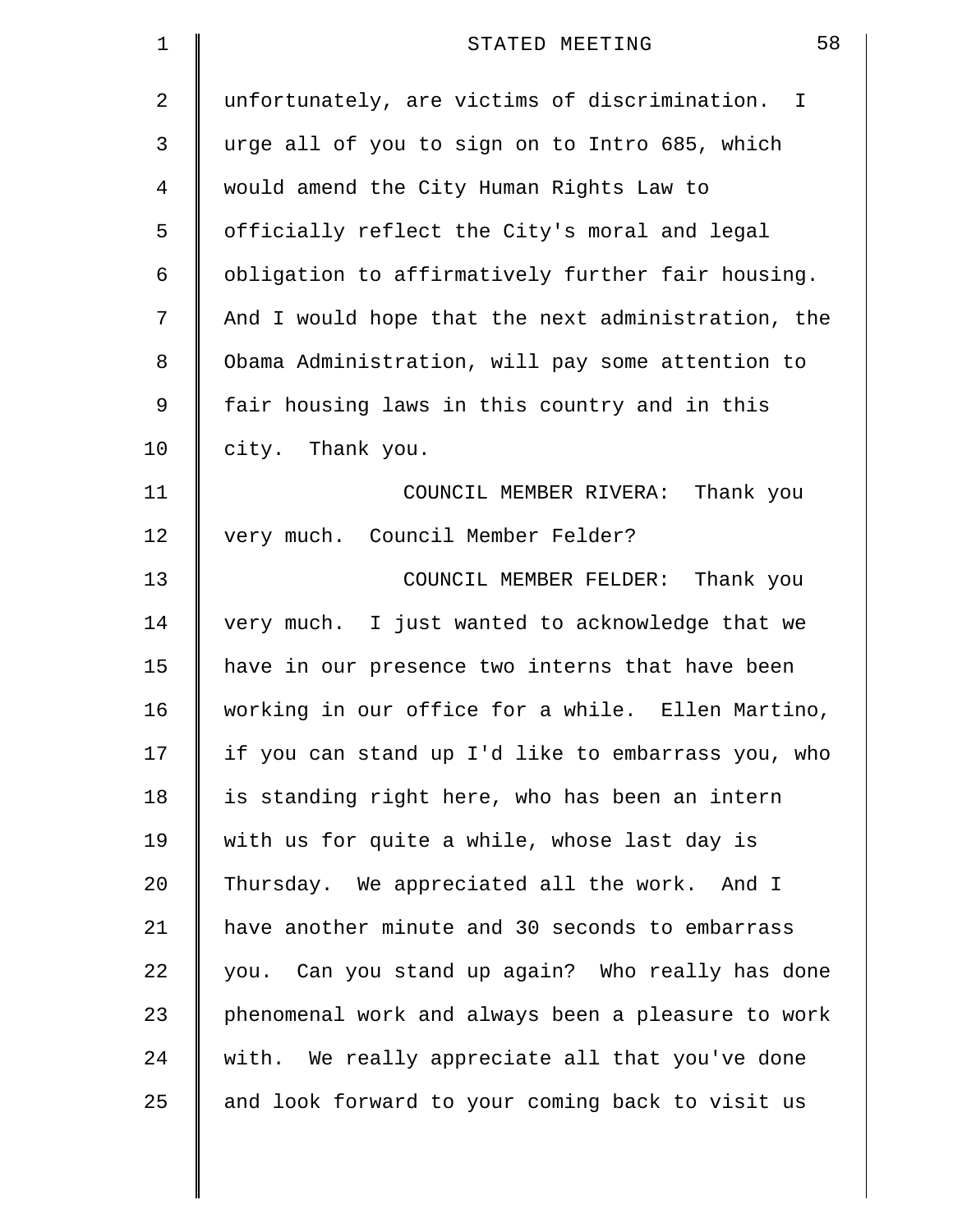| 1  | 58<br>STATED MEETING                               |
|----|----------------------------------------------------|
| 2  | unfortunately, are victims of discrimination. I    |
| 3  | urge all of you to sign on to Intro 685, which     |
| 4  | would amend the City Human Rights Law to           |
| 5  | officially reflect the City's moral and legal      |
| 6  | obligation to affirmatively further fair housing.  |
| 7  | And I would hope that the next administration, the |
| 8  | Obama Administration, will pay some attention to   |
| 9  | fair housing laws in this country and in this      |
| 10 | city. Thank you.                                   |
| 11 | COUNCIL MEMBER RIVERA: Thank you                   |
| 12 | very much. Council Member Felder?                  |
| 13 | COUNCIL MEMBER FELDER: Thank you                   |
| 14 | very much. I just wanted to acknowledge that we    |
| 15 | have in our presence two interns that have been    |
| 16 | working in our office for a while. Ellen Martino,  |
| 17 | if you can stand up I'd like to embarrass you, who |
| 18 | is standing right here, who has been an intern     |
| 19 | with us for quite a while, whose last day is       |
| 20 | Thursday. We appreciated all the work. And I       |
| 21 | have another minute and 30 seconds to embarrass    |
| 22 | you. Can you stand up again? Who really has done   |
| 23 | phenomenal work and always been a pleasure to work |
| 24 | with. We really appreciate all that you've done    |
| 25 | and look forward to your coming back to visit us   |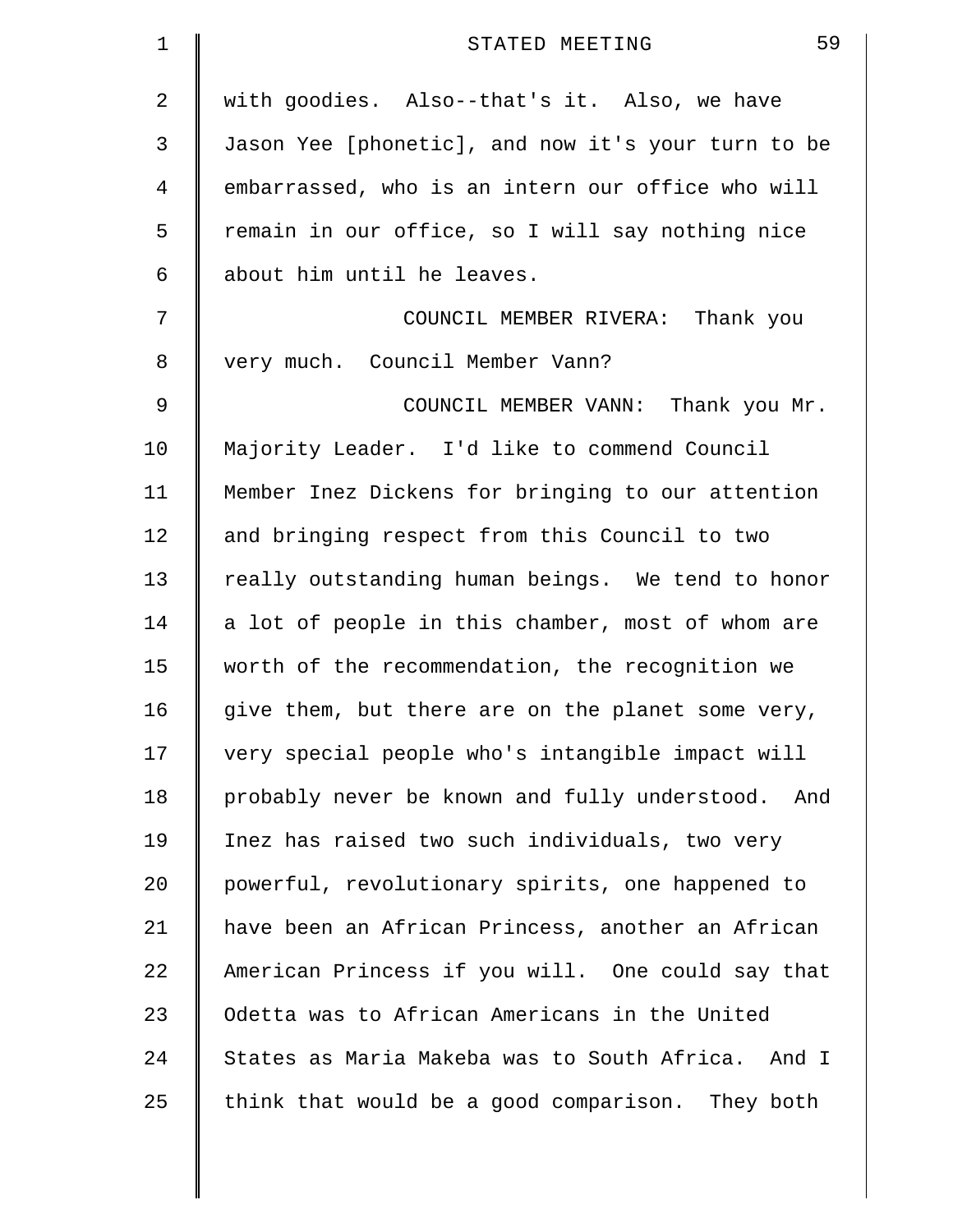| 1  | 59<br>STATED MEETING                               |
|----|----------------------------------------------------|
| 2  | with goodies. Also--that's it. Also, we have       |
| 3  | Jason Yee [phonetic], and now it's your turn to be |
| 4  | embarrassed, who is an intern our office who will  |
| 5  | remain in our office, so I will say nothing nice   |
| 6  | about him until he leaves.                         |
| 7  | COUNCIL MEMBER RIVERA: Thank you                   |
| 8  | very much. Council Member Vann?                    |
| 9  | COUNCIL MEMBER VANN: Thank you Mr.                 |
| 10 | Majority Leader. I'd like to commend Council       |
| 11 | Member Inez Dickens for bringing to our attention  |
| 12 | and bringing respect from this Council to two      |
| 13 | really outstanding human beings. We tend to honor  |
| 14 | a lot of people in this chamber, most of whom are  |
| 15 | worth of the recommendation, the recognition we    |
| 16 | give them, but there are on the planet some very,  |
| 17 | very special people who's intangible impact will   |
| 18 | probably never be known and fully understood. And  |
| 19 | Inez has raised two such individuals, two very     |
| 20 | powerful, revolutionary spirits, one happened to   |
| 21 | have been an African Princess, another an African  |
| 22 | American Princess if you will. One could say that  |
| 23 | Odetta was to African Americans in the United      |
| 24 | States as Maria Makeba was to South Africa. And I  |
| 25 | think that would be a good comparison. They both   |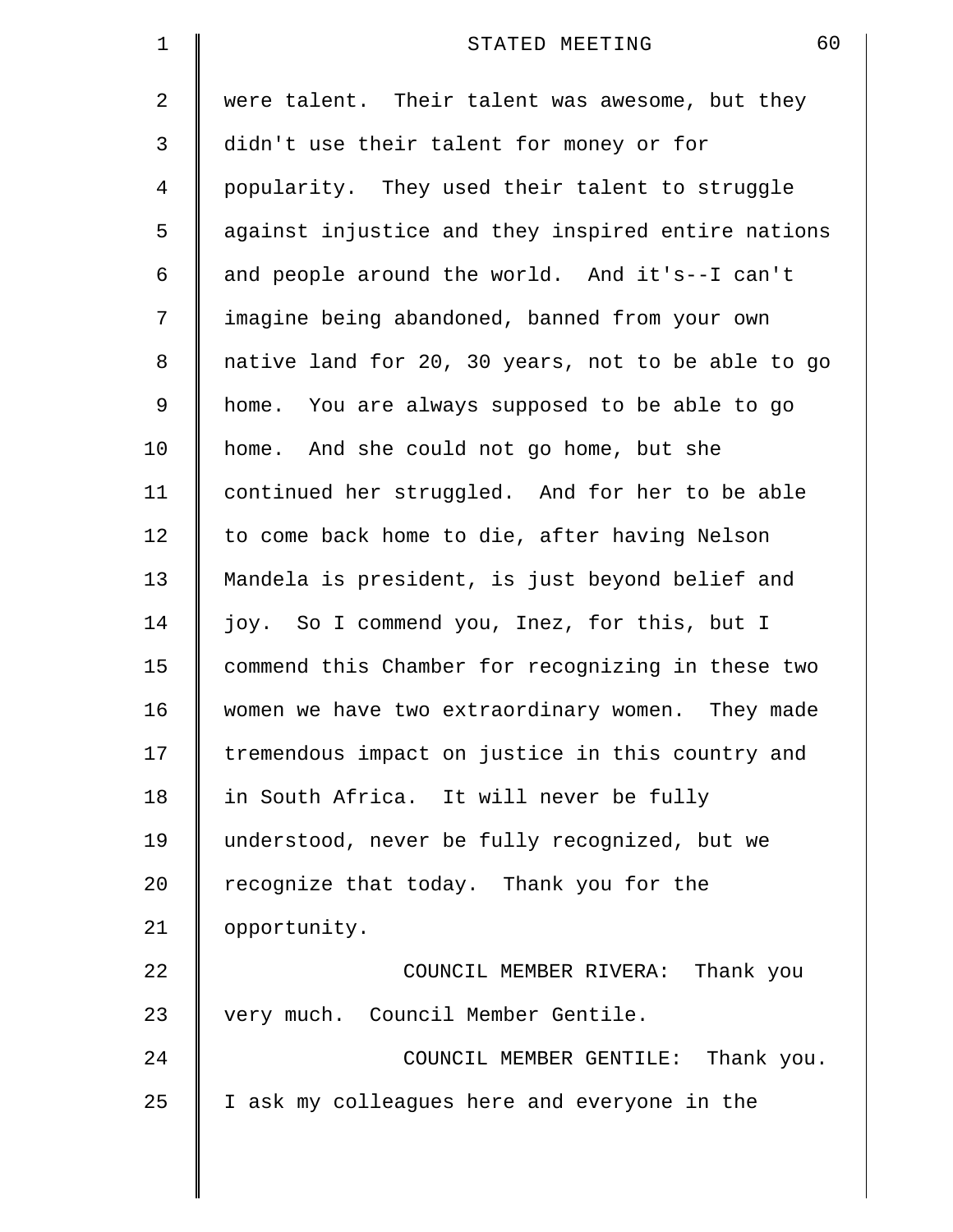| $\mathbf 1$    | 60<br>STATED MEETING                               |
|----------------|----------------------------------------------------|
| 2              | were talent. Their talent was awesome, but they    |
| 3              | didn't use their talent for money or for           |
| $\overline{4}$ | popularity. They used their talent to struggle     |
| 5              | against injustice and they inspired entire nations |
| 6              | and people around the world. And it's--I can't     |
| 7              | imagine being abandoned, banned from your own      |
| 8              | native land for 20, 30 years, not to be able to go |
| 9              | home. You are always supposed to be able to go     |
| 10             | home. And she could not go home, but she           |
| 11             | continued her struggled. And for her to be able    |
| 12             | to come back home to die, after having Nelson      |
| 13             | Mandela is president, is just beyond belief and    |
| 14             | joy. So I commend you, Inez, for this, but I       |
| 15             | commend this Chamber for recognizing in these two  |
| 16             | women we have two extraordinary women. They made   |
| 17             | tremendous impact on justice in this country and   |
| 18             | in South Africa. It will never be fully            |
| 19             | understood, never be fully recognized, but we      |
| 20             | recognize that today. Thank you for the            |
| 21             | opportunity.                                       |
| 22             | COUNCIL MEMBER RIVERA: Thank you                   |
| 23             | very much. Council Member Gentile.                 |
| 24             | COUNCIL MEMBER GENTILE: Thank you.                 |
| 25             | I ask my colleagues here and everyone in the       |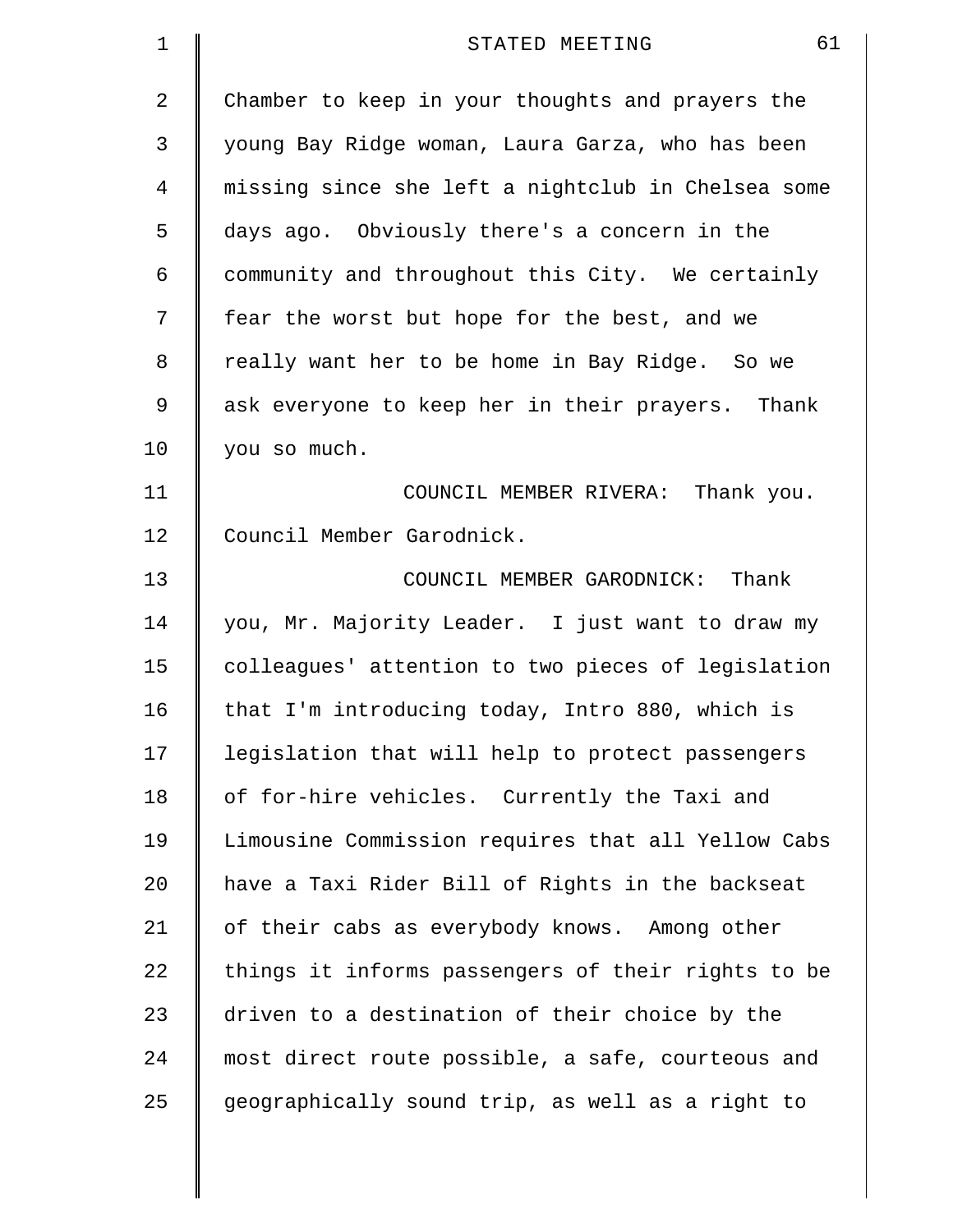| $\mathbf 1$    | 61<br>STATED MEETING                               |
|----------------|----------------------------------------------------|
| $\overline{a}$ | Chamber to keep in your thoughts and prayers the   |
| 3              | young Bay Ridge woman, Laura Garza, who has been   |
| 4              | missing since she left a nightclub in Chelsea some |
| 5              | days ago. Obviously there's a concern in the       |
| 6              | community and throughout this City. We certainly   |
| 7              | fear the worst but hope for the best, and we       |
| 8              | really want her to be home in Bay Ridge. So we     |
| 9              | ask everyone to keep her in their prayers. Thank   |
| 10             | you so much.                                       |
| 11             | COUNCIL MEMBER RIVERA: Thank you.                  |
| 12             | Council Member Garodnick.                          |
| 13             | COUNCIL MEMBER GARODNICK: Thank                    |
| 14             | you, Mr. Majority Leader. I just want to draw my   |
| 15             | colleagues' attention to two pieces of legislation |
| 16             | that I'm introducing today, Intro 880, which is    |
| 17             | legislation that will help to protect passengers   |
| 18             | of for-hire vehicles. Currently the Taxi and       |
| 19             | Limousine Commission requires that all Yellow Cabs |
| 20             | have a Taxi Rider Bill of Rights in the backseat   |
| 21             | of their cabs as everybody knows. Among other      |
| 22             | things it informs passengers of their rights to be |
| 23             | driven to a destination of their choice by the     |
| 24             | most direct route possible, a safe, courteous and  |
| 25             | geographically sound trip, as well as a right to   |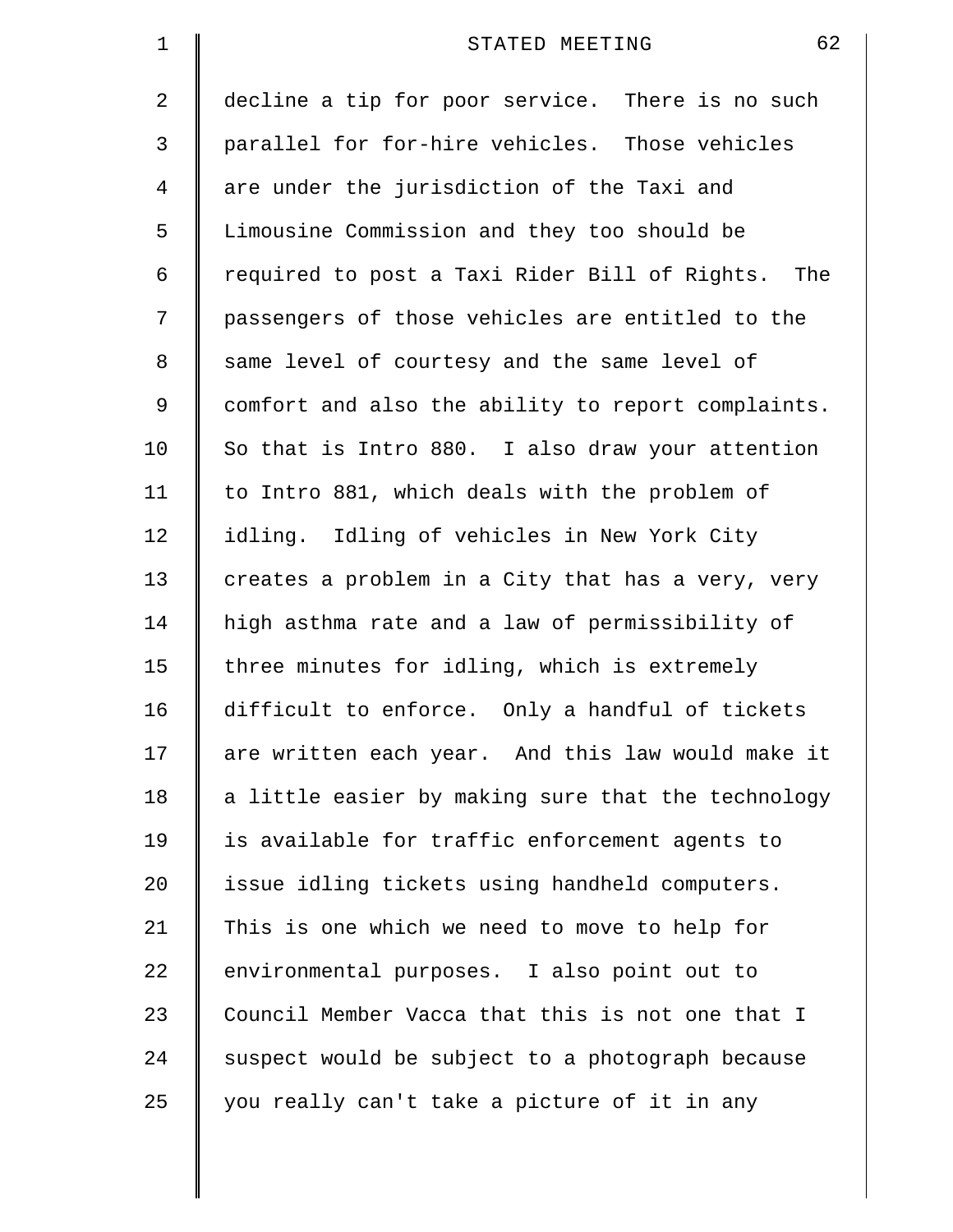| $\mathbf 1$    | 62<br>STATED MEETING                                 |
|----------------|------------------------------------------------------|
| $\overline{2}$ | decline a tip for poor service. There is no such     |
| 3              | parallel for for-hire vehicles. Those vehicles       |
| 4              | are under the jurisdiction of the Taxi and           |
| 5              | Limousine Commission and they too should be          |
| 6              | required to post a Taxi Rider Bill of Rights.<br>The |
| 7              | passengers of those vehicles are entitled to the     |
| 8              | same level of courtesy and the same level of         |
| 9              | comfort and also the ability to report complaints.   |
| 10             | So that is Intro 880. I also draw your attention     |
| 11             | to Intro 881, which deals with the problem of        |
| 12             | idling. Idling of vehicles in New York City          |
| 13             | creates a problem in a City that has a very, very    |
| 14             | high asthma rate and a law of permissibility of      |
| 15             | three minutes for idling, which is extremely         |
| $16\,$         | difficult to enforce. Only a handful of tickets      |
| 17             | are written each year. And this law would make it    |
| 18             | a little easier by making sure that the technology   |
| 19             | is available for traffic enforcement agents to       |
| 20             | issue idling tickets using handheld computers.       |
| 21             | This is one which we need to move to help for        |
| 22             | environmental purposes. I also point out to          |
| 23             | Council Member Vacca that this is not one that I     |
| 24             | suspect would be subject to a photograph because     |
| 25             | you really can't take a picture of it in any         |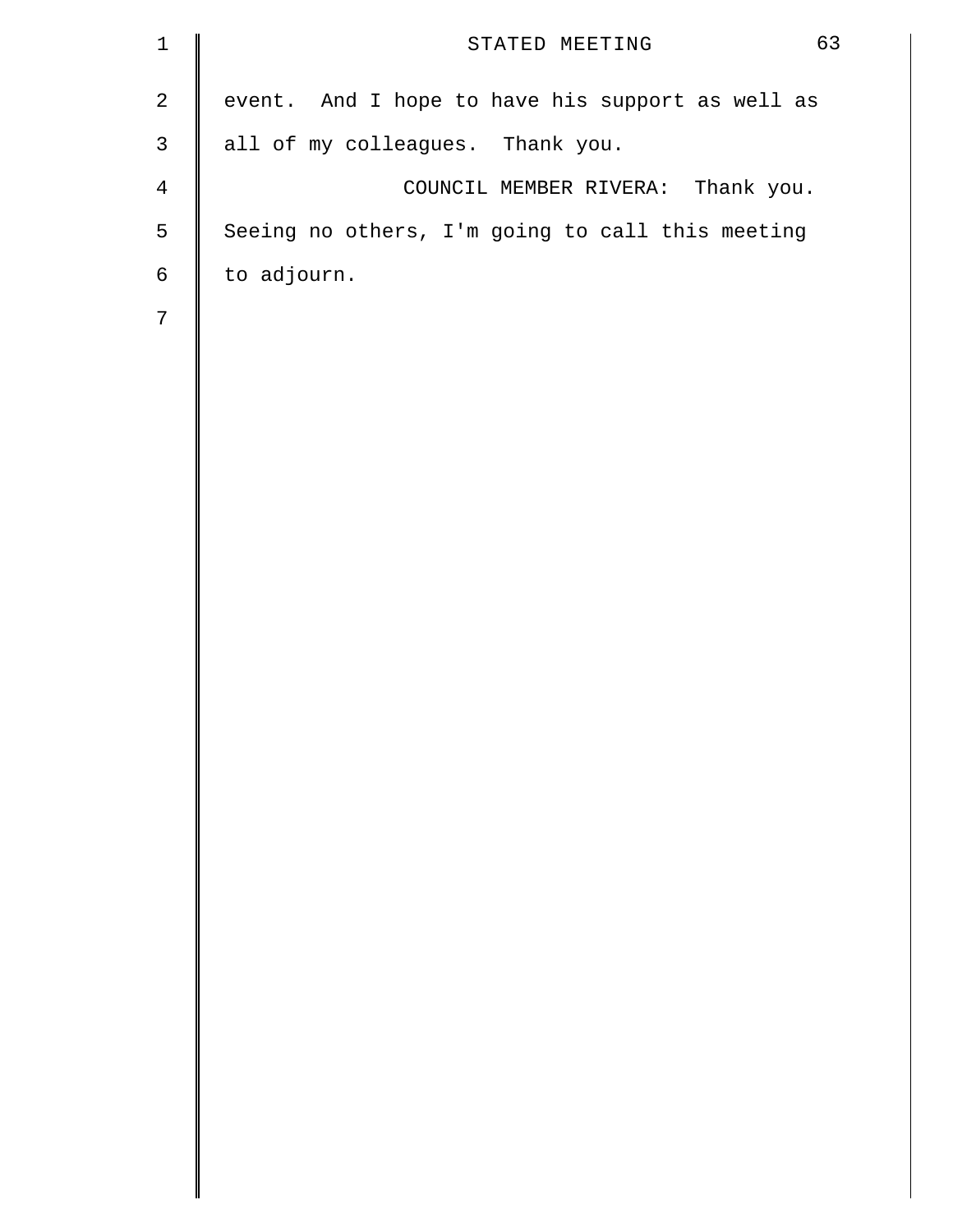| $\mathbf{1}$   | 63<br>STATED MEETING                             |
|----------------|--------------------------------------------------|
| $\mathbf{2}$   | event. And I hope to have his support as well as |
| $\mathsf{3}$   | all of my colleagues. Thank you.                 |
| $\overline{4}$ | COUNCIL MEMBER RIVERA: Thank you.                |
| 5              | Seeing no others, I'm going to call this meeting |
| $\sqrt{6}$     | to adjourn.                                      |
| $7\phantom{.}$ |                                                  |
|                |                                                  |
|                |                                                  |
|                |                                                  |
|                |                                                  |
|                |                                                  |
|                |                                                  |
|                |                                                  |
|                |                                                  |
|                |                                                  |
|                |                                                  |
|                |                                                  |
|                |                                                  |
|                |                                                  |
|                |                                                  |
|                |                                                  |
|                |                                                  |
|                |                                                  |
|                |                                                  |
|                |                                                  |
|                |                                                  |